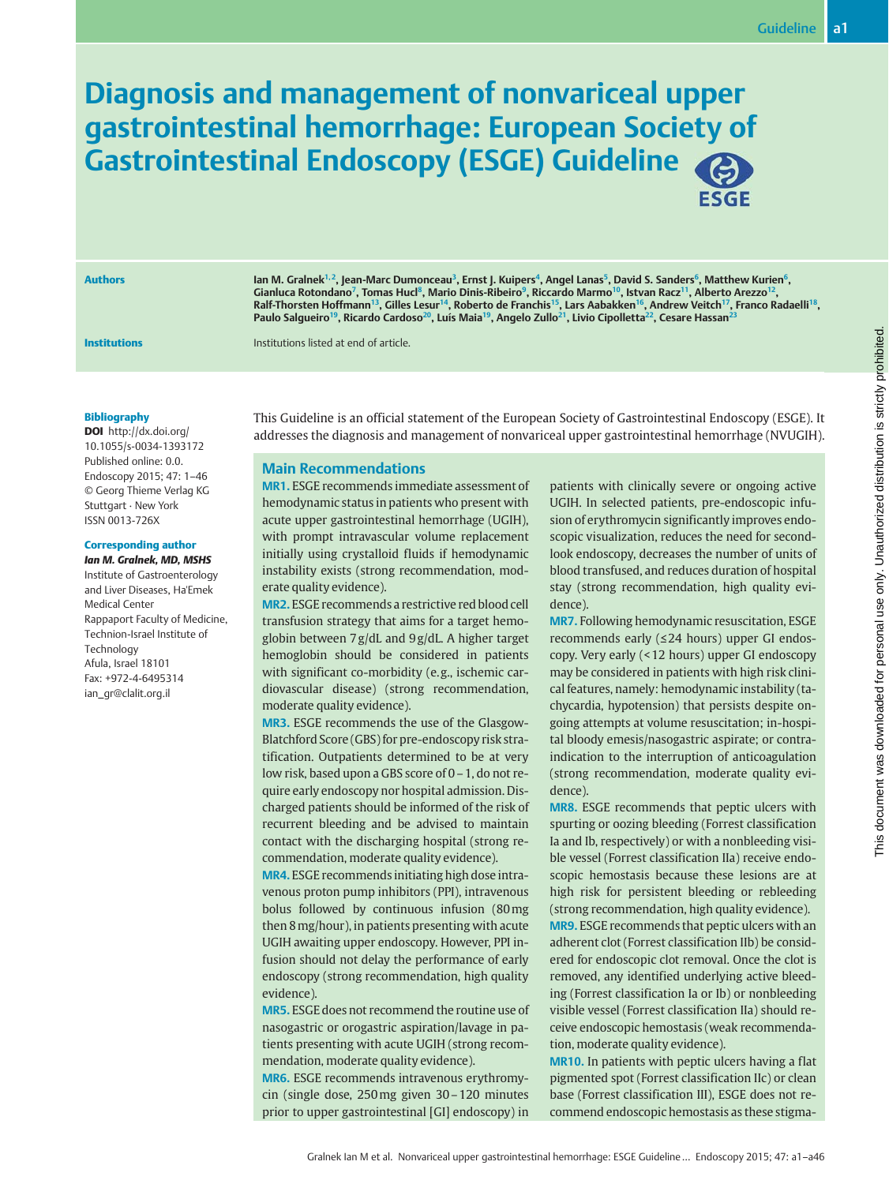# Diagnosis and management of nonvariceal upper gastrointestinal hemorrhage: European Society of Gastrointestinal Endoscopy (ESGE) Guideline **ESGE**

Authors **In M. Gralnek<sup>1, 2</sup>, Jean-Marc Dumonceau<sup>3</sup>, Ernst J. Kuipers<sup>4</sup>, Angel Lanas<sup>5</sup>, David S. Sanders<sup>6</sup>, Matthew Kurien<sup>6</sup>,** Gianluca Rotondano<sup>7</sup>, Tomas Hucl<sup>8</sup>, Mario Dinis-Ribeiro<sup>9</sup>, Riccardo Marmo<sup>10</sup>, Istvan Racz<sup>11</sup>, Alberto Arezzo<sup>12</sup> Ralf-Thorsten Hoffmann<sup>13</sup>, Gilles Lesur<sup>14</sup>, Roberto de Franchis<sup>15</sup>, Lars Aabakken<sup>16</sup>, Andrew Veitch<sup>17</sup>, Franco Radaelli<sup>18</sup>, Paulo Salgueiro<sup>19</sup>, Ricardo Cardoso<sup>20</sup>, Luís Maia<sup>19</sup>, Angelo Zullo<sup>21</sup>, Livio Cipolletta<sup>22</sup>, Cesare Hassan<sup>23</sup>

**Institutions Institutions Institutions** listed at end of article.

#### Bibliography

DOI http://dx.doi.org/ 10.1055/s-0034-1393172 Published online: 0.0. Endoscopy 2015; 47: 1–46 © Georg Thieme Verlag KG Stuttgart · New York ISSN 0013-726X

### Corresponding author

Ian M. Gralnek, MD, MSHS Institute of Gastroenterology and Liver Diseases, Ha'Emek Medical Center Rappaport Faculty of Medicine, Technion-Israel Institute of **Technology** Afula, Israel 18101 Fax: +972-4-6495314 ian\_gr@clalit.org.il

This Guideline is an official statement of the European Society of Gastrointestinal Endoscopy (ESGE). It addresses the diagnosis and management of nonvariceal upper gastrointestinal hemorrhage (NVUGIH).

### Main Recommendations

MR1. ESGE recommends immediate assessment of hemodynamic status in patients who present with acute upper gastrointestinal hemorrhage (UGIH), with prompt intravascular volume replacement initially using crystalloid fluids if hemodynamic instability exists (strong recommendation, moderate quality evidence).

MR2. ESGE recommends a restrictive red blood cell transfusion strategy that aims for a target hemoglobin between 7 g/dL and 9 g/dL. A higher target hemoglobin should be considered in patients with significant co-morbidity (e.g., ischemic cardiovascular disease) (strong recommendation, moderate quality evidence).

MR3. ESGE recommends the use of the Glasgow-Blatchford Score (GBS) for pre-endoscopy risk stratification. Outpatients determined to be at very low risk, based upon a GBS score of 0–1, do not require early endoscopy nor hospital admission. Discharged patients should be informed of the risk of recurrent bleeding and be advised to maintain contact with the discharging hospital (strong recommendation, moderate quality evidence).

MR4. ESGE recommends initiating high dose intravenous proton pump inhibitors (PPI), intravenous bolus followed by continuous infusion (80mg then 8mg/hour), in patients presenting with acute UGIH awaiting upper endoscopy. However, PPI infusion should not delay the performance of early endoscopy (strong recommendation, high quality evidence).

MR5. ESGE does not recommend the routine use of nasogastric or orogastric aspiration/lavage in patients presenting with acute UGIH (strong recommendation, moderate quality evidence).

MR6. ESGE recommends intravenous erythromycin (single dose, 250mg given 30–120 minutes prior to upper gastrointestinal [GI] endoscopy) in patients with clinically severe or ongoing active UGIH. In selected patients, pre-endoscopic infusion of erythromycin significantly improves endoscopic visualization, reduces the need for secondlook endoscopy, decreases the number of units of blood transfused, and reduces duration of hospital stay (strong recommendation, high quality evidence).

MR7. Following hemodynamic resuscitation, ESGE recommends early (≤24 hours) upper GI endoscopy. Very early (< 12 hours) upper GI endoscopy may be considered in patients with high risk clinical features, namely: hemodynamic instability (tachycardia, hypotension) that persists despite ongoing attempts at volume resuscitation; in-hospital bloody emesis/nasogastric aspirate; or contraindication to the interruption of anticoagulation (strong recommendation, moderate quality evidence).

MR8. ESGE recommends that peptic ulcers with spurting or oozing bleeding (Forrest classification Ia and Ib, respectively) or with a nonbleeding visible vessel (Forrest classification IIa) receive endoscopic hemostasis because these lesions are at high risk for persistent bleeding or rebleeding (strong recommendation, high quality evidence). MR9. ESGE recommends that peptic ulcers with an adherent clot (Forrest classification IIb) be considered for endoscopic clot removal. Once the clot is removed, any identified underlying active bleeding (Forrest classification Ia or Ib) or nonbleeding visible vessel (Forrest classification IIa) should receive endoscopic hemostasis (weak recommendation, moderate quality evidence).

MR10. In patients with peptic ulcers having a flat pigmented spot (Forrest classification IIc) or clean base (Forrest classification III), ESGE does not recommend endoscopic hemostasis as these stigma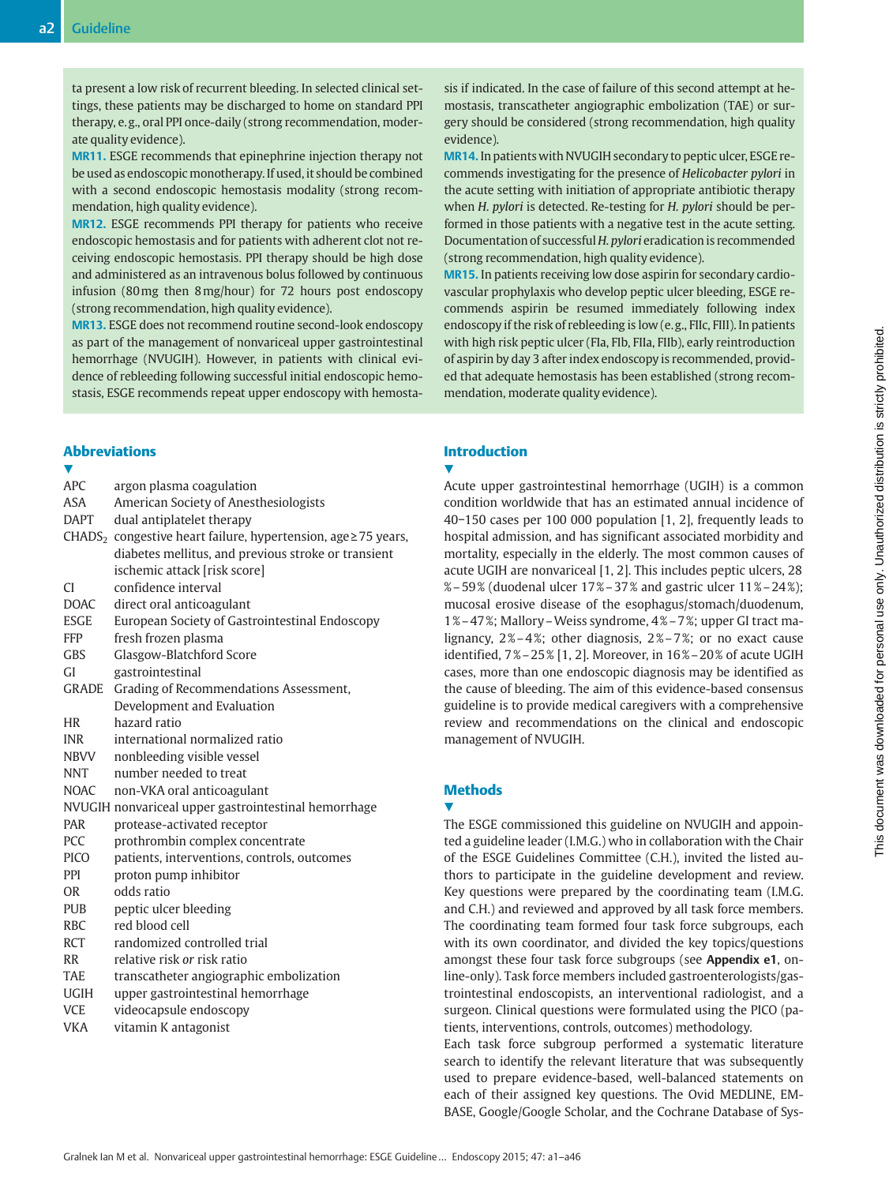ta present a low risk of recurrent bleeding. In selected clinical settings, these patients may be discharged to home on standard PPI therapy, e. g., oral PPI once-daily (strong recommendation, moderate quality evidence).

MR11. ESGE recommends that epinephrine injection therapy not be used as endoscopic monotherapy. If used, it should be combined with a second endoscopic hemostasis modality (strong recommendation, high quality evidence).

MR12. ESGE recommends PPI therapy for patients who receive endoscopic hemostasis and for patients with adherent clot not receiving endoscopic hemostasis. PPI therapy should be high dose and administered as an intravenous bolus followed by continuous infusion (80mg then 8mg/hour) for 72 hours post endoscopy (strong recommendation, high quality evidence).

MR13. ESGE does not recommend routine second-look endoscopy as part of the management of nonvariceal upper gastrointestinal hemorrhage (NVUGIH). However, in patients with clinical evidence of rebleeding following successful initial endoscopic hemostasis, ESGE recommends repeat upper endoscopy with hemosta-

### Abbreviations

| V            |                                                                                 |
|--------------|---------------------------------------------------------------------------------|
| <b>APC</b>   | argon plasma coagulation                                                        |
| ASA          | American Society of Anesthesiologists                                           |
| <b>DAPT</b>  | dual antiplatelet therapy                                                       |
|              | CHADS <sub>2</sub> congestive heart failure, hypertension, age $\geq$ 75 years, |
|              | diabetes mellitus, and previous stroke or transient                             |
|              | ischemic attack [risk score]                                                    |
| <b>CI</b>    | confidence interval                                                             |
| <b>DOAC</b>  | direct oral anticoagulant                                                       |
| ESGE         | European Society of Gastrointestinal Endoscopy                                  |
| <b>FFP</b>   | fresh frozen plasma                                                             |
| <b>GBS</b>   | Glasgow-Blatchford Score                                                        |
| <b>GI</b>    | gastrointestinal                                                                |
| <b>GRADE</b> | Grading of Recommendations Assessment,                                          |
|              | Development and Evaluation                                                      |
| HR           | hazard ratio                                                                    |
| <b>INR</b>   | international normalized ratio                                                  |
| <b>NBVV</b>  | nonbleeding visible vessel                                                      |
| <b>NNT</b>   | number needed to treat                                                          |
| <b>NOAC</b>  | non-VKA oral anticoagulant                                                      |
|              | NVUGIH nonvariceal upper gastrointestinal hemorrhage                            |
| <b>PAR</b>   | protease-activated receptor                                                     |
| <b>PCC</b>   | prothrombin complex concentrate                                                 |
| <b>PICO</b>  | patients, interventions, controls, outcomes                                     |
| <b>PPI</b>   | proton pump inhibitor                                                           |
| <b>OR</b>    | odds ratio                                                                      |
| <b>PUB</b>   | peptic ulcer bleeding                                                           |
| <b>RBC</b>   | red blood cell                                                                  |
| <b>RCT</b>   | randomized controlled trial                                                     |
| <b>RR</b>    | relative risk or risk ratio                                                     |
| <b>TAE</b>   | transcatheter angiographic embolization                                         |
| <b>UGIH</b>  | upper gastrointestinal hemorrhage                                               |
| <b>VCE</b>   | videocapsule endoscopy                                                          |
| VKA          | vitamin K antagonist                                                            |

sis if indicated. In the case of failure of this second attempt at hemostasis, transcatheter angiographic embolization (TAE) or surgery should be considered (strong recommendation, high quality evidence).

MR14. In patients with NVUGIH secondary to peptic ulcer, ESGE recommends investigating for the presence of Helicobacter pylori in the acute setting with initiation of appropriate antibiotic therapy when H. pylori is detected. Re-testing for H. pylori should be performed in those patients with a negative test in the acute setting. Documentation of successful H. pylori eradication is recommended (strong recommendation, high quality evidence).

MR15. In patients receiving low dose aspirin for secondary cardiovascular prophylaxis who develop peptic ulcer bleeding, ESGE recommends aspirin be resumed immediately following index endoscopy if the risk of rebleeding is low (e. g., FIIc, FIII). In patients with high risk peptic ulcer (FIa, FIb, FIIa, FIIb), early reintroduction of aspirin by day 3 after index endoscopy is recommended, provided that adequate hemostasis has been established (strong recommendation, moderate quality evidence).

### Introduction

**V** 

Acute upper gastrointestinal hemorrhage (UGIH) is a common condition worldwide that has an estimated annual incidence of 40−150 cases per 100 000 population [1, 2], frequently leads to hospital admission, and has significant associated morbidity and mortality, especially in the elderly. The most common causes of acute UGIH are nonvariceal [1, 2]. This includes peptic ulcers, 28 %–59 % (duodenal ulcer 17 %–37 % and gastric ulcer 11 %–24 %); mucosal erosive disease of the esophagus/stomach/duodenum, 1 %–47 %; Mallory–Weiss syndrome, 4 %–7 %; upper GI tract malignancy,  $2\% - 4\%$ ; other diagnosis,  $2\% - 7\%$ ; or no exact cause identified, 7 %–25 % [1, 2]. Moreover, in 16 %–20 % of acute UGIH cases, more than one endoscopic diagnosis may be identified as the cause of bleeding. The aim of this evidence-based consensus guideline is to provide medical caregivers with a comprehensive review and recommendations on the clinical and endoscopic management of NVUGIH.

### **Methods**

### **V**

The ESGE commissioned this guideline on NVUGIH and appointed a guideline leader (I.M.G.) who in collaboration with the Chair of the ESGE Guidelines Committee (C.H.), invited the listed authors to participate in the guideline development and review. Key questions were prepared by the coordinating team (I.M.G. and C.H.) and reviewed and approved by all task force members. The coordinating team formed four task force subgroups, each with its own coordinator, and divided the key topics/questions amongst these four task force subgroups (see Appendix e1, online-only). Task force members included gastroenterologists/gastrointestinal endoscopists, an interventional radiologist, and a surgeon. Clinical questions were formulated using the PICO (patients, interventions, controls, outcomes) methodology.

Each task force subgroup performed a systematic literature search to identify the relevant literature that was subsequently used to prepare evidence-based, well-balanced statements on each of their assigned key questions. The Ovid MEDLINE, EM-BASE, Google/Google Scholar, and the Cochrane Database of Sys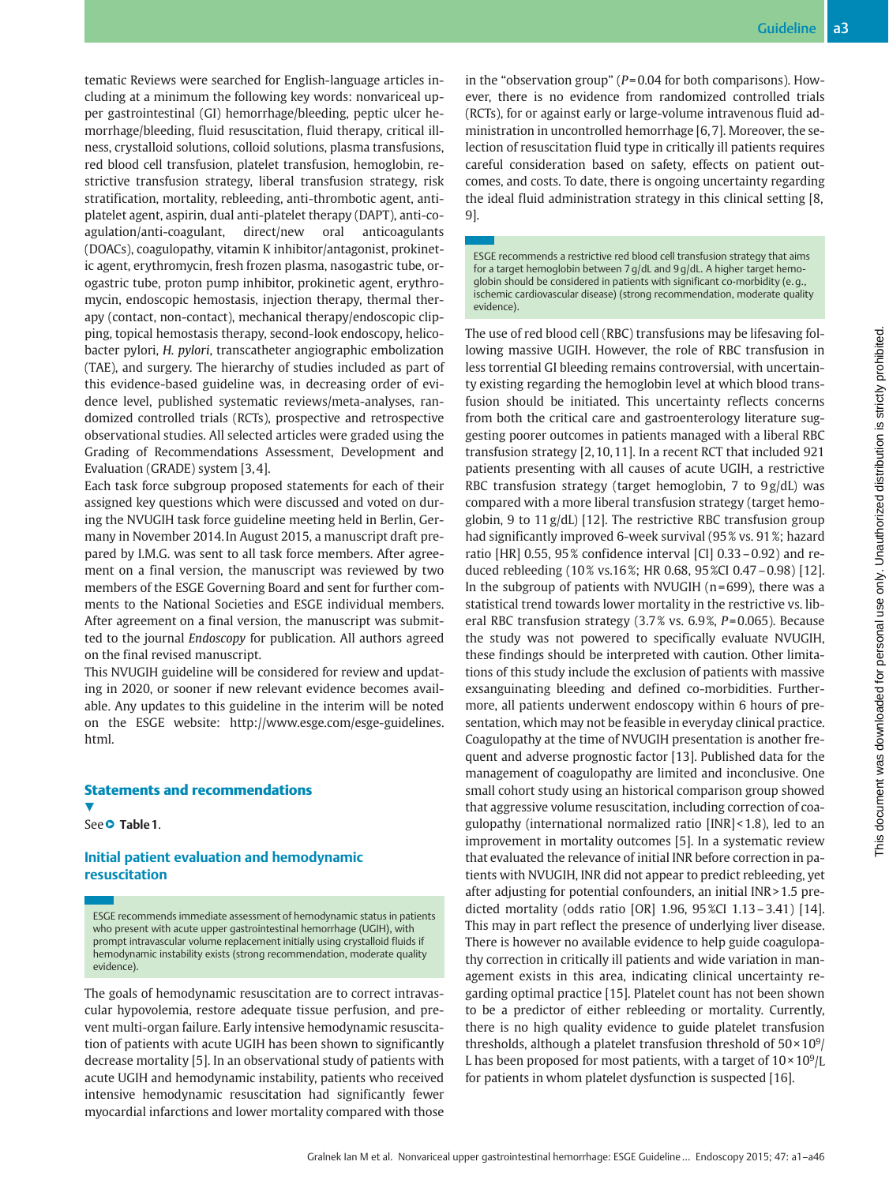tematic Reviews were searched for English-language articles including at a minimum the following key words: nonvariceal upper gastrointestinal (GI) hemorrhage/bleeding, peptic ulcer hemorrhage/bleeding, fluid resuscitation, fluid therapy, critical illness, crystalloid solutions, colloid solutions, plasma transfusions, red blood cell transfusion, platelet transfusion, hemoglobin, restrictive transfusion strategy, liberal transfusion strategy, risk stratification, mortality, rebleeding, anti-thrombotic agent, antiplatelet agent, aspirin, dual anti-platelet therapy (DAPT), anti-coagulation/anti-coagulant, direct/new oral anticoagulants (DOACs), coagulopathy, vitamin K inhibitor/antagonist, prokinetic agent, erythromycin, fresh frozen plasma, nasogastric tube, orogastric tube, proton pump inhibitor, prokinetic agent, erythromycin, endoscopic hemostasis, injection therapy, thermal therapy (contact, non-contact), mechanical therapy/endoscopic clipping, topical hemostasis therapy, second-look endoscopy, helicobacter pylori, H. pylori, transcatheter angiographic embolization (TAE), and surgery. The hierarchy of studies included as part of this evidence-based guideline was, in decreasing order of evidence level, published systematic reviews/meta-analyses, randomized controlled trials (RCTs), prospective and retrospective observational studies. All selected articles were graded using the Grading of Recommendations Assessment, Development and Evaluation (GRADE) system [3, 4].

Each task force subgroup proposed statements for each of their assigned key questions which were discussed and voted on during the NVUGIH task force guideline meeting held in Berlin, Germany in November 2014. In August 2015, a manuscript draft prepared by I.M.G. was sent to all task force members. After agreement on a final version, the manuscript was reviewed by two members of the ESGE Governing Board and sent for further comments to the National Societies and ESGE individual members. After agreement on a final version, the manuscript was submitted to the journal Endoscopy for publication. All authors agreed on the final revised manuscript.

This NVUGIH guideline will be considered for review and updating in 2020, or sooner if new relevant evidence becomes available. Any updates to this guideline in the interim will be noted on the ESGE website: http://www.esge.com/esge-guidelines. html.

### Statements and recommendations

V,

See● " Table 1.

### Initial patient evaluation and hemodynamic resuscitation

ESGE recommends immediate assessment of hemodynamic status in patients who present with acute upper gastrointestinal hemorrhage (UGIH), with prompt intravascular volume replacement initially using crystalloid fluids if hemodynamic instability exists (strong recommendation, moderate quality evidence).

The goals of hemodynamic resuscitation are to correct intravascular hypovolemia, restore adequate tissue perfusion, and prevent multi-organ failure. Early intensive hemodynamic resuscitation of patients with acute UGIH has been shown to significantly decrease mortality [5]. In an observational study of patients with acute UGIH and hemodynamic instability, patients who received intensive hemodynamic resuscitation had significantly fewer myocardial infarctions and lower mortality compared with those in the "observation group" ( $P = 0.04$  for both comparisons). However, there is no evidence from randomized controlled trials (RCTs), for or against early or large-volume intravenous fluid administration in uncontrolled hemorrhage [6, 7]. Moreover, the selection of resuscitation fluid type in critically ill patients requires careful consideration based on safety, effects on patient outcomes, and costs. To date, there is ongoing uncertainty regarding the ideal fluid administration strategy in this clinical setting [8, 9].

ESGE recommends a restrictive red blood cell transfusion strategy that aims for a target hemoglobin between 7 g/dL and 9 g/dL. A higher target hemoglobin should be considered in patients with significant co-morbidity (e. g., ischemic cardiovascular disease) (strong recommendation, moderate quality evidence).

The use of red blood cell (RBC) transfusions may be lifesaving following massive UGIH. However, the role of RBC transfusion in less torrential GI bleeding remains controversial, with uncertainty existing regarding the hemoglobin level at which blood transfusion should be initiated. This uncertainty reflects concerns from both the critical care and gastroenterology literature suggesting poorer outcomes in patients managed with a liberal RBC transfusion strategy [2, 10, 11]. In a recent RCT that included 921 patients presenting with all causes of acute UGIH, a restrictive RBC transfusion strategy (target hemoglobin, 7 to 9g/dL) was compared with a more liberal transfusion strategy (target hemoglobin, 9 to 11 g/dL) [12]. The restrictive RBC transfusion group had significantly improved 6-week survival (95 % vs. 91 %; hazard ratio [HR] 0.55, 95 % confidence interval [CI] 0.33–0.92) and reduced rebleeding (10 % vs.16 %; HR 0.68, 95 %CI 0.47–0.98) [12]. In the subgroup of patients with NVUGIH ( $n = 699$ ), there was a statistical trend towards lower mortality in the restrictive vs. liberal RBC transfusion strategy (3.7 % vs. 6.9 %, P= 0.065). Because the study was not powered to specifically evaluate NVUGIH, these findings should be interpreted with caution. Other limitations of this study include the exclusion of patients with massive exsanguinating bleeding and defined co-morbidities. Furthermore, all patients underwent endoscopy within 6 hours of presentation, which may not be feasible in everyday clinical practice. Coagulopathy at the time of NVUGIH presentation is another frequent and adverse prognostic factor [13]. Published data for the management of coagulopathy are limited and inconclusive. One small cohort study using an historical comparison group showed that aggressive volume resuscitation, including correction of coagulopathy (international normalized ratio [INR] < 1.8), led to an improvement in mortality outcomes [5]. In a systematic review that evaluated the relevance of initial INR before correction in patients with NVUGIH, INR did not appear to predict rebleeding, yet after adjusting for potential confounders, an initial INR > 1.5 predicted mortality (odds ratio [OR] 1.96, 95 %CI 1.13–3.41) [14]. This may in part reflect the presence of underlying liver disease. There is however no available evidence to help guide coagulopathy correction in critically ill patients and wide variation in management exists in this area, indicating clinical uncertainty regarding optimal practice [15]. Platelet count has not been shown to be a predictor of either rebleeding or mortality. Currently, there is no high quality evidence to guide platelet transfusion thresholds, although a platelet transfusion threshold of  $50 \times 10^9$ / L has been proposed for most patients, with a target of  $10 \times 10^9$ /L for patients in whom platelet dysfunction is suspected [16].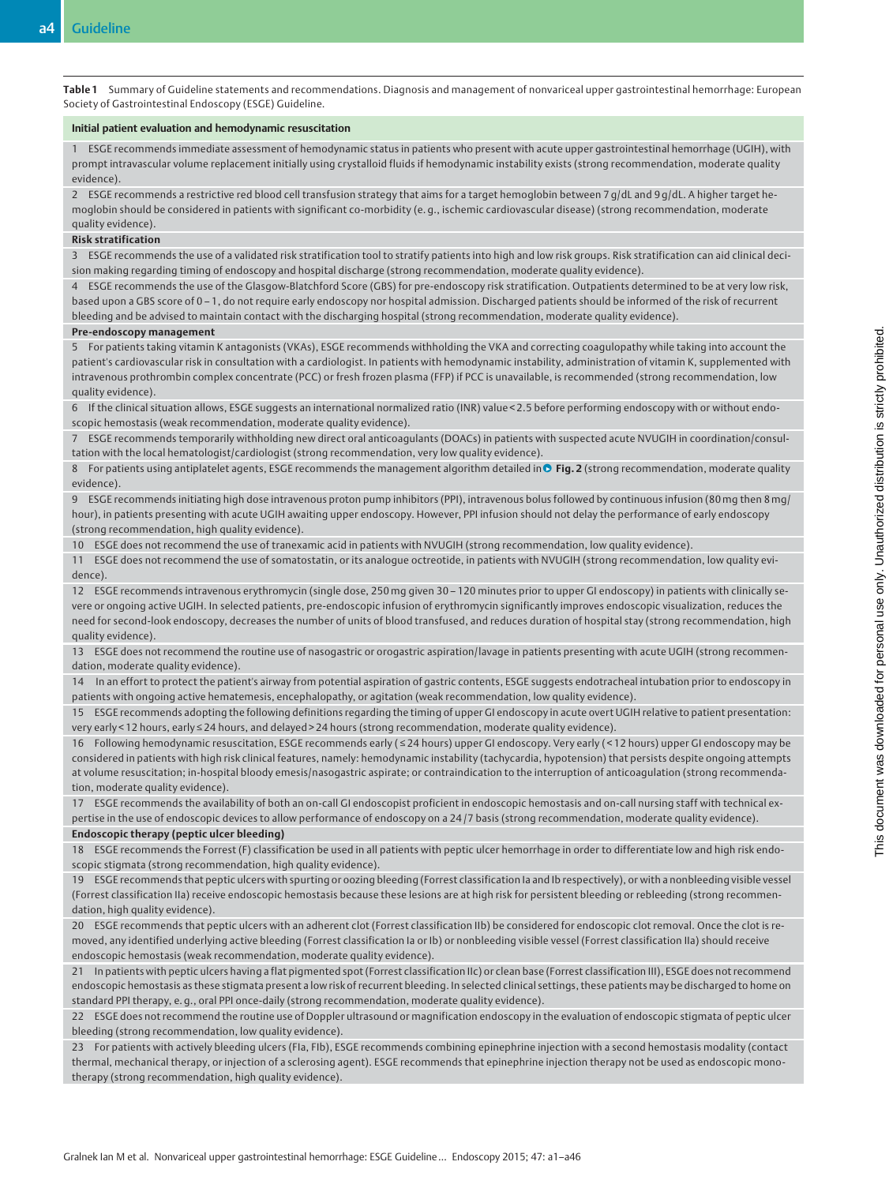Table 1 Summary of Guideline statements and recommendations. Diagnosis and management of nonvariceal upper gastrointestinal hemorrhage: European Society of Gastrointestinal Endoscopy (ESGE) Guideline.

#### Initial patient evaluation and hemodynamic resuscitation

1 ESGE recommends immediate assessment of hemodynamic status in patients who present with acute upper gastrointestinal hemorrhage (UGIH), with prompt intravascular volume replacement initially using crystalloid fluids if hemodynamic instability exists (strong recommendation, moderate quality evidence).

2 ESGE recommends a restrictive red blood cell transfusion strategy that aims for a target hemoglobin between 7 g/dL and 9 g/dL. A higher target hemoglobin should be considered in patients with significant co-morbidity (e. g., ischemic cardiovascular disease) (strong recommendation, moderate

#### quality evidence). Risk stratification

3 ESGE recommends the use of a validated risk stratification tool to stratify patients into high and low risk groups. Risk stratification can aid clinical decision making regarding timing of endoscopy and hospital discharge (strong recommendation, moderate quality evidence).

4 ESGE recommends the use of the Glasgow-Blatchford Score (GBS) for pre-endoscopy risk stratification. Outpatients determined to be at very low risk, based upon a GBS score of 0 – 1, do not require early endoscopy nor hospital admission. Discharged patients should be informed of the risk of recurrent bleeding and be advised to maintain contact with the discharging hospital (strong recommendation, moderate quality evidence).

#### Pre-endoscopy management

5 For patients taking vitamin K antagonists (VKAs), ESGE recommends withholding the VKA and correcting coagulopathy while taking into account the patient's cardiovascular risk in consultation with a cardiologist. In patients with hemodynamic instability, administration of vitamin K, supplemented with intravenous prothrombin complex concentrate (PCC) or fresh frozen plasma (FFP) if PCC is unavailable, is recommended (strong recommendation, low quality evidence).

6 If the clinical situation allows, ESGE suggests an international normalized ratio (INR) value < 2.5 before performing endoscopy with or without endoscopic hemostasis (weak recommendation, moderate quality evidence).

7 ESGE recommends temporarily withholding new direct oral anticoagulants (DOACs) in patients with suspected acute NVUGIH in coordination/consultation with the local hematologist/cardiologist (strong recommendation, very low quality evidence).

8 For patients using antiplatelet agents, ESGE recommends the management algorithm detailed in **C** Fig. 2 (strong recommendation, moderate quality evidence).

9 ESGE recommends initiating high dose intravenous proton pump inhibitors (PPI), intravenous bolus followed by continuous infusion (80mg then 8mg/ hour), in patients presenting with acute UGIH awaiting upper endoscopy. However, PPI infusion should not delay the performance of early endoscopy (strong recommendation, high quality evidence).

10 ESGE does not recommend the use of tranexamic acid in patients with NVUGIH (strong recommendation, low quality evidence).

11 ESGE does not recommend the use of somatostatin, or its analogue octreotide, in patients with NVUGIH (strong recommendation, low quality evidence).

12 ESGE recommends intravenous erythromycin (single dose, 250mg given 30 – 120 minutes prior to upper GI endoscopy) in patients with clinically severe or ongoing active UGIH. In selected patients, pre-endoscopic infusion of erythromycin significantly improves endoscopic visualization, reduces the need for second-look endoscopy, decreases the number of units of blood transfused, and reduces duration of hospital stay (strong recommendation, high quality evidence).

13 ESGE does not recommend the routine use of nasogastric or orogastric aspiration/lavage in patients presenting with acute UGIH (strong recommendation, moderate quality evidence).

14 In an effort to protect the patient's airway from potential aspiration of gastric contents, ESGE suggests endotracheal intubation prior to endoscopy in patients with ongoing active hematemesis, encephalopathy, or agitation (weak recommendation, low quality evidence).

15 ESGE recommends adopting the following definitions regarding the timing of upper GI endoscopy in acute overt UGIH relative to patient presentation: very early < 12 hours, early ≤ 24 hours, and delayed > 24 hours (strong recommendation, moderate quality evidence).

16 Following hemodynamic resuscitation, ESGE recommends early ( ≤ 24 hours) upper GI endoscopy. Very early ( < 12 hours) upper GI endoscopy may be considered in patients with high risk clinical features, namely: hemodynamic instability (tachycardia, hypotension) that persists despite ongoing attempts at volume resuscitation; in-hospital bloody emesis/nasogastric aspirate; or contraindication to the interruption of anticoagulation (strong recommendation, moderate quality evidence).

17 ESGE recommends the availability of both an on-call GI endoscopist proficient in endoscopic hemostasis and on-call nursing staff with technical expertise in the use of endoscopic devices to allow performance of endoscopy on a 24 /7 basis (strong recommendation, moderate quality evidence).

#### Endoscopic therapy (peptic ulcer bleeding)

18 ESGE recommends the Forrest (F) classification be used in all patients with peptic ulcer hemorrhage in order to differentiate low and high risk endoscopic stigmata (strong recommendation, high quality evidence).

19 ESGE recommends that peptic ulcers with spurting or oozing bleeding (Forrest classification Ia and Ib respectively), or with a nonbleeding visible vessel (Forrest classification IIa) receive endoscopic hemostasis because these lesions are at high risk for persistent bleeding or rebleeding (strong recommendation, high quality evidence).

20 ESGE recommends that peptic ulcers with an adherent clot (Forrest classification IIb) be considered for endoscopic clot removal. Once the clot is removed, any identified underlying active bleeding (Forrest classification Ia or Ib) or nonbleeding visible vessel (Forrest classification IIa) should receive endoscopic hemostasis (weak recommendation, moderate quality evidence).

21 In patients with peptic ulcers having a flat pigmented spot (Forrest classification IIc) or clean base (Forrest classification III), ESGE does not recommend endoscopic hemostasis as these stigmata present a low risk of recurrent bleeding. In selected clinical settings, these patients may be discharged to home on standard PPI therapy, e. g., oral PPI once-daily (strong recommendation, moderate quality evidence).

22 ESGE does not recommend the routine use of Doppler ultrasound or magnification endoscopy in the evaluation of endoscopic stigmata of peptic ulcer bleeding (strong recommendation, low quality evidence).

23 For patients with actively bleeding ulcers (FIa, FIb), ESGE recommends combining epinephrine injection with a second hemostasis modality (contact thermal, mechanical therapy, or injection of a sclerosing agent). ESGE recommends that epinephrine injection therapy not be used as endoscopic monotherapy (strong recommendation, high quality evidence).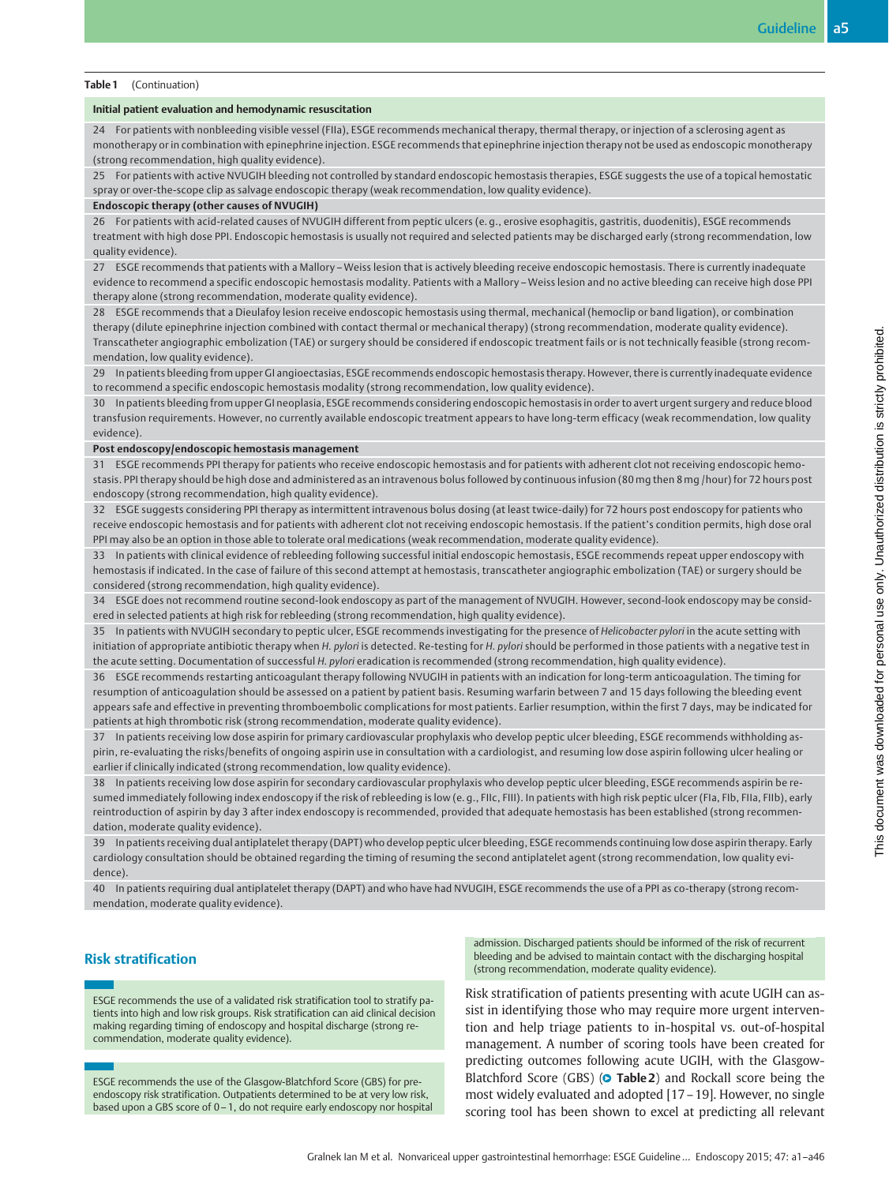#### Table 1 (Continuation)

#### Initial patient evaluation and hemodynamic resuscitation

24 For patients with nonbleeding visible vessel (FIIa), ESGE recommends mechanical therapy, thermal therapy, or injection of a sclerosing agent as monotherapy or in combination with epinephrine injection. ESGE recommends that epinephrine injection therapy not be used as endoscopic monotherapy (strong recommendation, high quality evidence).

25 For patients with active NVUGIH bleeding not controlled by standard endoscopic hemostasis therapies, ESGE suggests the use of a topical hemostatic spray or over-the-scope clip as salvage endoscopic therapy (weak recommendation, low quality evidence).

#### Endoscopic therapy (other causes of NVUGIH)

26 For patients with acid-related causes of NVUGIH different from peptic ulcers (e. g., erosive esophagitis, gastritis, duodenitis), ESGE recommends treatment with high dose PPI. Endoscopic hemostasis is usually not required and selected patients may be discharged early (strong recommendation, low quality evidence).

27 ESGE recommends that patients with a Mallory – Weiss lesion that is actively bleeding receive endoscopic hemostasis. There is currently inadequate evidence to recommend a specific endoscopic hemostasis modality. Patients with a Mallory – Weiss lesion and no active bleeding can receive high dose PPI therapy alone (strong recommendation, moderate quality evidence).

28 ESGE recommends that a Dieulafoy lesion receive endoscopic hemostasis using thermal, mechanical (hemoclip or band ligation), or combination therapy (dilute epinephrine injection combined with contact thermal or mechanical therapy) (strong recommendation, moderate quality evidence). Transcatheter angiographic embolization (TAE) or surgery should be considered if endoscopic treatment fails or is not technically feasible (strong recommendation, low quality evidence).

29 In patients bleeding from upper GI angioectasias, ESGE recommends endoscopic hemostasis therapy. However, there is currently inadequate evidence to recommend a specific endoscopic hemostasis modality (strong recommendation, low quality evidence).

30 In patients bleeding from upper GI neoplasia, ESGE recommends considering endoscopic hemostasis in order to avert urgent surgery and reduce blood transfusion requirements. However, no currently available endoscopic treatment appears to have long-term efficacy (weak recommendation, low quality evidence).

#### Post endoscopy/endoscopic hemostasis management

31 ESGE recommends PPI therapy for patients who receive endoscopic hemostasis and for patients with adherent clot not receiving endoscopic hemostasis. PPI therapy should be high dose and administered as an intravenous bolus followed by continuous infusion (80mg then 8mg /hour) for 72 hours post endoscopy (strong recommendation, high quality evidence).

32 ESGE suggests considering PPI therapy as intermittent intravenous bolus dosing (at least twice-daily) for 72 hours post endoscopy for patients who receive endoscopic hemostasis and for patients with adherent clot not receiving endoscopic hemostasis. If the patient's condition permits, high dose oral PPI may also be an option in those able to tolerate oral medications (weak recommendation, moderate quality evidence).

33 In patients with clinical evidence of rebleeding following successful initial endoscopic hemostasis, ESGE recommends repeat upper endoscopy with hemostasis if indicated. In the case of failure of this second attempt at hemostasis, transcatheter angiographic embolization (TAE) or surgery should be considered (strong recommendation, high quality evidence).

34 ESGE does not recommend routine second-look endoscopy as part of the management of NVUGIH. However, second-look endoscopy may be considered in selected patients at high risk for rebleeding (strong recommendation, high quality evidence).

35 In patients with NVUGIH secondary to peptic ulcer, ESGE recommends investigating for the presence of Helicobacter pylori in the acute setting with initiation of appropriate antibiotic therapy when H. pylori is detected. Re-testing for H. pylori should be performed in those patients with a negative test in the acute setting. Documentation of successful H. pylori eradication is recommended (strong recommendation, high quality evidence).

36 ESGE recommends restarting anticoagulant therapy following NVUGIH in patients with an indication for long-term anticoagulation. The timing for resumption of anticoagulation should be assessed on a patient by patient basis. Resuming warfarin between 7 and 15 days following the bleeding event appears safe and effective in preventing thromboembolic complications for most patients. Earlier resumption, within the first 7 days, may be indicated for patients at high thrombotic risk (strong recommendation, moderate quality evidence).

37 In patients receiving low dose aspirin for primary cardiovascular prophylaxis who develop peptic ulcer bleeding, ESGE recommends withholding aspirin, re-evaluating the risks/benefits of ongoing aspirin use in consultation with a cardiologist, and resuming low dose aspirin following ulcer healing or earlier if clinically indicated (strong recommendation, low quality evidence).

38 In patients receiving low dose aspirin for secondary cardiovascular prophylaxis who develop peptic ulcer bleeding, ESGE recommends aspirin be resumed immediately following index endoscopy if the risk of rebleeding is low (e. g., FIIc, FIII). In patients with high risk peptic ulcer (FIa, FIb, FIIa, FIIb), early reintroduction of aspirin by day 3 after index endoscopy is recommended, provided that adequate hemostasis has been established (strong recommendation, moderate quality evidence).

39 In patients receiving dual antiplatelet therapy (DAPT) who develop peptic ulcer bleeding, ESGE recommends continuing low dose aspirin therapy. Early cardiology consultation should be obtained regarding the timing of resuming the second antiplatelet agent (strong recommendation, low quality evidence).

40 In patients requiring dual antiplatelet therapy (DAPT) and who have had NVUGIH, ESGE recommends the use of a PPI as co-therapy (strong recommendation, moderate quality evidence).

### Risk stratification

ESGE recommends the use of a validated risk stratification tool to stratify patients into high and low risk groups. Risk stratification can aid clinical decision making regarding timing of endoscopy and hospital discharge (strong recommendation, moderate quality evidence).

ESGE recommends the use of the Glasgow-Blatchford Score (GBS) for preendoscopy risk stratification. Outpatients determined to be at very low risk, based upon a GBS score of 0–1, do not require early endoscopy nor hospital admission. Discharged patients should be informed of the risk of recurrent bleeding and be advised to maintain contact with the discharging hospital (strong recommendation, moderate quality evidence).

Risk stratification of patients presenting with acute UGIH can assist in identifying those who may require more urgent intervention and help triage patients to in-hospital vs. out-of-hospital management. A number of scoring tools have been created for predicting outcomes following acute UGIH, with the Glasgow-Blatchford Score (GBS) (O Table 2) and Rockall score being the most widely evaluated and adopted [17–19]. However, no single scoring tool has been shown to excel at predicting all relevant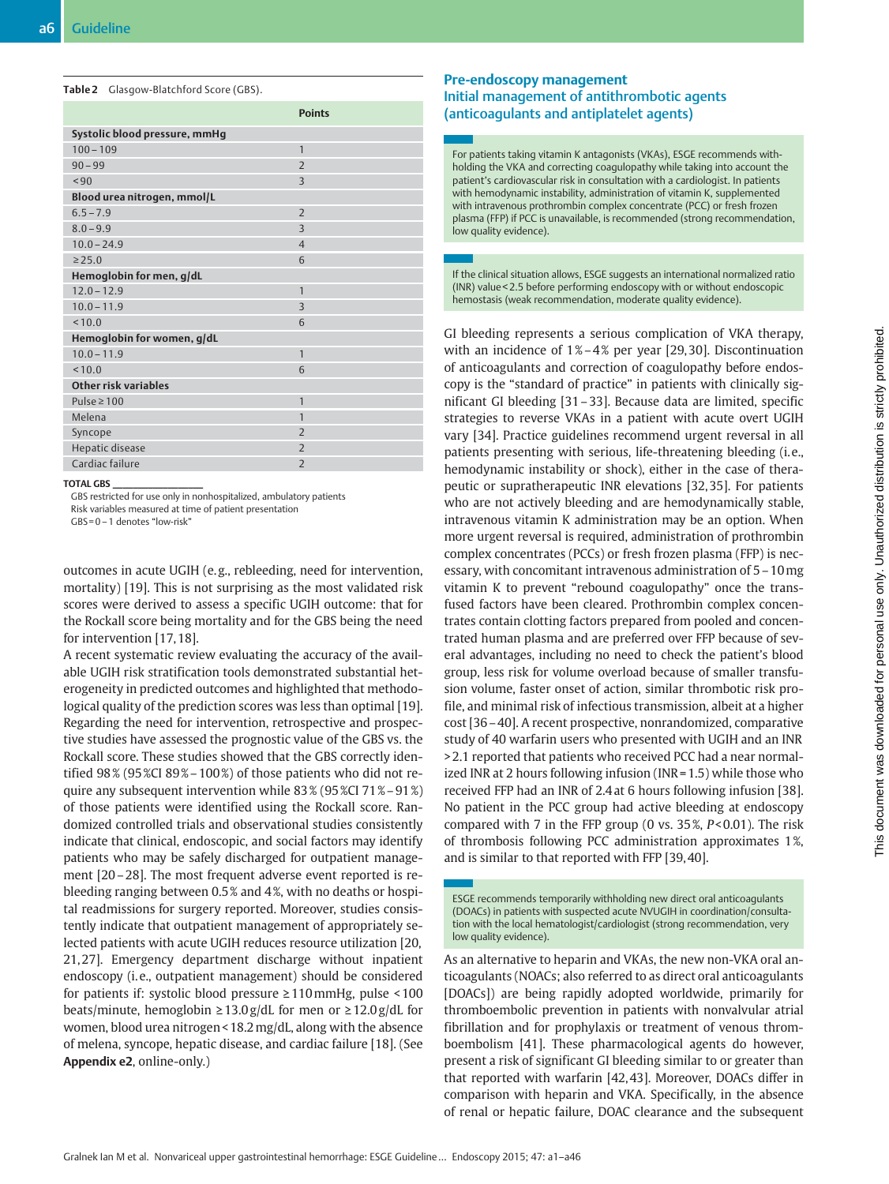Table 2 Glasgow-Blatchford Score (GBS).

|                               | <b>Points</b>            |
|-------------------------------|--------------------------|
| Systolic blood pressure, mmHq |                          |
| $100 - 109$                   | $\mathbf{1}$             |
| $90 - 99$                     | $\overline{\phantom{0}}$ |
| ${}^{590}$                    | 3                        |
| Blood urea nitrogen, mmol/L   |                          |
| $6.5 - 7.9$                   | $\overline{2}$           |
| $8.0 - 9.9$                   | $\overline{3}$           |
| $10.0 - 24.9$                 | $\overline{4}$           |
| $\geq 25.0$                   | 6                        |
| Hemoglobin for men, g/dL      |                          |
| $12.0 - 12.9$                 | $\mathbf{1}$             |
| $10.0 - 11.9$                 | 3                        |
| < 10.0                        | 6                        |
| Hemoglobin for women, g/dL    |                          |
| $10.0 - 11.9$                 | $\overline{1}$           |
| < 10.0                        | 6                        |
| <b>Other risk variables</b>   |                          |
| Pulse $\geq 100$              | $\mathbf{1}$             |
| Melena                        | $\mathbf{1}$             |
| Syncope                       | $\overline{\phantom{0}}$ |
| Hepatic disease               | $\overline{\phantom{0}}$ |
| Cardiac failure               | $\overline{2}$           |

#### TOTAL GBS \_\_\_\_\_\_\_\_\_\_\_\_\_\_\_\_\_\_

GBS restricted for use only in nonhospitalized, ambulatory patients Risk variables measured at time of patient presentation

GBS= 0–1 denotes "low-risk"

outcomes in acute UGIH (e. g., rebleeding, need for intervention, mortality) [19]. This is not surprising as the most validated risk scores were derived to assess a specific UGIH outcome: that for the Rockall score being mortality and for the GBS being the need for intervention [17, 18].

A recent systematic review evaluating the accuracy of the available UGIH risk stratification tools demonstrated substantial heterogeneity in predicted outcomes and highlighted that methodological quality of the prediction scores was less than optimal [19]. Regarding the need for intervention, retrospective and prospective studies have assessed the prognostic value of the GBS vs. the Rockall score. These studies showed that the GBS correctly identified  $98\%$  (95 %CI 89% – 100%) of those patients who did not require any subsequent intervention while 83 % (95 %CI 71 %–91 %) of those patients were identified using the Rockall score. Randomized controlled trials and observational studies consistently indicate that clinical, endoscopic, and social factors may identify patients who may be safely discharged for outpatient management [20–28]. The most frequent adverse event reported is rebleeding ranging between 0.5 % and 4 %, with no deaths or hospital readmissions for surgery reported. Moreover, studies consistently indicate that outpatient management of appropriately selected patients with acute UGIH reduces resource utilization [20, 21, 27]. Emergency department discharge without inpatient endoscopy (i.e., outpatient management) should be considered for patients if: systolic blood pressure ≥110mmHg, pulse < 100 beats/minute, hemoglobin  $\geq 13.0$  g/dL for men or  $\geq 12.0$  g/dL for women, blood urea nitrogen < 18.2mg/dL, along with the absence of melena, syncope, hepatic disease, and cardiac failure [18]. (See Appendix e2, online-only.)

### Pre-endoscopy management Initial management of antithrombotic agents (anticoagulants and antiplatelet agents)

For patients taking vitamin K antagonists (VKAs), ESGE recommends withholding the VKA and correcting coagulopathy while taking into account the patient's cardiovascular risk in consultation with a cardiologist. In patients with hemodynamic instability, administration of vitamin K, supplemented with intravenous prothrombin complex concentrate (PCC) or fresh frozen plasma (FFP) if PCC is unavailable, is recommended (strong recommendation, low quality evidence).

If the clinical situation allows, ESGE suggests an international normalized ratio (INR) value < 2.5 before performing endoscopy with or without endoscopic hemostasis (weak recommendation, moderate quality evidence).

GI bleeding represents a serious complication of VKA therapy, with an incidence of  $1\% - 4\%$  per year [29,30]. Discontinuation of anticoagulants and correction of coagulopathy before endoscopy is the "standard of practice" in patients with clinically significant GI bleeding [31–33]. Because data are limited, specific strategies to reverse VKAs in a patient with acute overt UGIH vary [34]. Practice guidelines recommend urgent reversal in all patients presenting with serious, life-threatening bleeding (i. e., hemodynamic instability or shock), either in the case of therapeutic or supratherapeutic INR elevations [32, 35]. For patients who are not actively bleeding and are hemodynamically stable, intravenous vitamin K administration may be an option. When more urgent reversal is required, administration of prothrombin complex concentrates (PCCs) or fresh frozen plasma (FFP) is necessary, with concomitant intravenous administration of 5–10mg vitamin K to prevent "rebound coagulopathy" once the transfused factors have been cleared. Prothrombin complex concentrates contain clotting factors prepared from pooled and concentrated human plasma and are preferred over FFP because of several advantages, including no need to check the patient's blood group, less risk for volume overload because of smaller transfusion volume, faster onset of action, similar thrombotic risk profile, and minimal risk of infectious transmission, albeit at a higher cost [36–40]. A recent prospective, nonrandomized, comparative study of 40 warfarin users who presented with UGIH and an INR > 2.1 reported that patients who received PCC had a near normalized INR at 2 hours following infusion (INR = 1.5) while those who received FFP had an INR of 2.4 at 6 hours following infusion [38]. No patient in the PCC group had active bleeding at endoscopy compared with 7 in the FFP group (0 vs.  $35\%$ ,  $P < 0.01$ ). The risk of thrombosis following PCC administration approximates 1 %, and is similar to that reported with FFP [39, 40].

ESGE recommends temporarily withholding new direct oral anticoagulants (DOACs) in patients with suspected acute NVUGIH in coordination/consultation with the local hematologist/cardiologist (strong recommendation, very low quality evidence).

As an alternative to heparin and VKAs, the new non-VKA oral anticoagulants (NOACs; also referred to as direct oral anticoagulants [DOACs]) are being rapidly adopted worldwide, primarily for thromboembolic prevention in patients with nonvalvular atrial fibrillation and for prophylaxis or treatment of venous thromboembolism [41]. These pharmacological agents do however, present a risk of significant GI bleeding similar to or greater than that reported with warfarin [42, 43]. Moreover, DOACs differ in comparison with heparin and VKA. Specifically, in the absence of renal or hepatic failure, DOAC clearance and the subsequent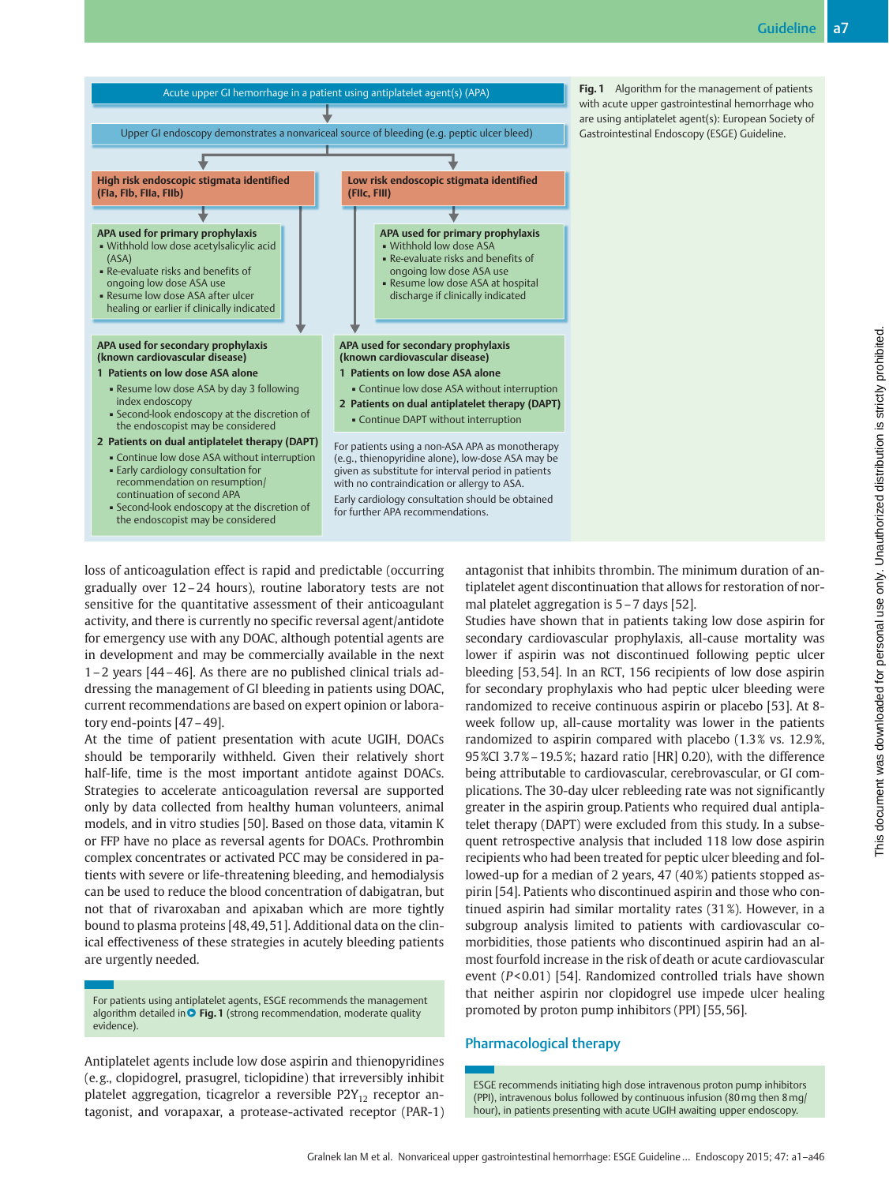

Fig. 1 Algorithm for the management of patients with acute upper gastrointestinal hemorrhage who are using antiplatelet agent(s): European Society of Gastrointestinal Endoscopy (ESGE) Guideline.

loss of anticoagulation effect is rapid and predictable (occurring gradually over 12–24 hours), routine laboratory tests are not sensitive for the quantitative assessment of their anticoagulant activity, and there is currently no specific reversal agent/antidote for emergency use with any DOAC, although potential agents are in development and may be commercially available in the next 1–2 years [44–46]. As there are no published clinical trials addressing the management of GI bleeding in patients using DOAC, current recommendations are based on expert opinion or laboratory end-points [47–49].

At the time of patient presentation with acute UGIH, DOACs should be temporarily withheld. Given their relatively short half-life, time is the most important antidote against DOACs. Strategies to accelerate anticoagulation reversal are supported only by data collected from healthy human volunteers, animal models, and in vitro studies [50]. Based on those data, vitamin K or FFP have no place as reversal agents for DOACs. Prothrombin complex concentrates or activated PCC may be considered in patients with severe or life-threatening bleeding, and hemodialysis can be used to reduce the blood concentration of dabigatran, but not that of rivaroxaban and apixaban which are more tightly bound to plasma proteins [48, 49, 51]. Additional data on the clinical effectiveness of these strategies in acutely bleeding patients are urgently needed.

For patients using antiplatelet agents, ESGE recommends the management algorithm detailed in **O** Fig. 1 (strong recommendation, moderate quality evidence).

Antiplatelet agents include low dose aspirin and thienopyridines (e. g., clopidogrel, prasugrel, ticlopidine) that irreversibly inhibit platelet aggregation, ticagrelor a reversible  $P2Y_{12}$  receptor antagonist, and vorapaxar, a protease-activated receptor (PAR-1) antagonist that inhibits thrombin. The minimum duration of antiplatelet agent discontinuation that allows for restoration of normal platelet aggregation is 5–7 days [52].

Studies have shown that in patients taking low dose aspirin for secondary cardiovascular prophylaxis, all-cause mortality was lower if aspirin was not discontinued following peptic ulcer bleeding [53, 54]. In an RCT, 156 recipients of low dose aspirin for secondary prophylaxis who had peptic ulcer bleeding were randomized to receive continuous aspirin or placebo [53]. At 8 week follow up, all-cause mortality was lower in the patients randomized to aspirin compared with placebo (1.3% vs. 12.9%, 95 %CI 3.7 %–19.5 %; hazard ratio [HR] 0.20), with the difference being attributable to cardiovascular, cerebrovascular, or GI complications. The 30-day ulcer rebleeding rate was not significantly greater in the aspirin group. Patients who required dual antiplatelet therapy (DAPT) were excluded from this study. In a subsequent retrospective analysis that included 118 low dose aspirin recipients who had been treated for peptic ulcer bleeding and followed-up for a median of 2 years, 47 (40%) patients stopped aspirin [54]. Patients who discontinued aspirin and those who continued aspirin had similar mortality rates (31 %). However, in a subgroup analysis limited to patients with cardiovascular comorbidities, those patients who discontinued aspirin had an almost fourfold increase in the risk of death or acute cardiovascular event (P< 0.01) [54]. Randomized controlled trials have shown that neither aspirin nor clopidogrel use impede ulcer healing promoted by proton pump inhibitors (PPI) [55, 56].

### Pharmacological therapy

ESGE recommends initiating high dose intravenous proton pump inhibitors (PPI), intravenous bolus followed by continuous infusion (80mg then 8mg/ hour), in patients presenting with acute UGIH awaiting upper endoscopy.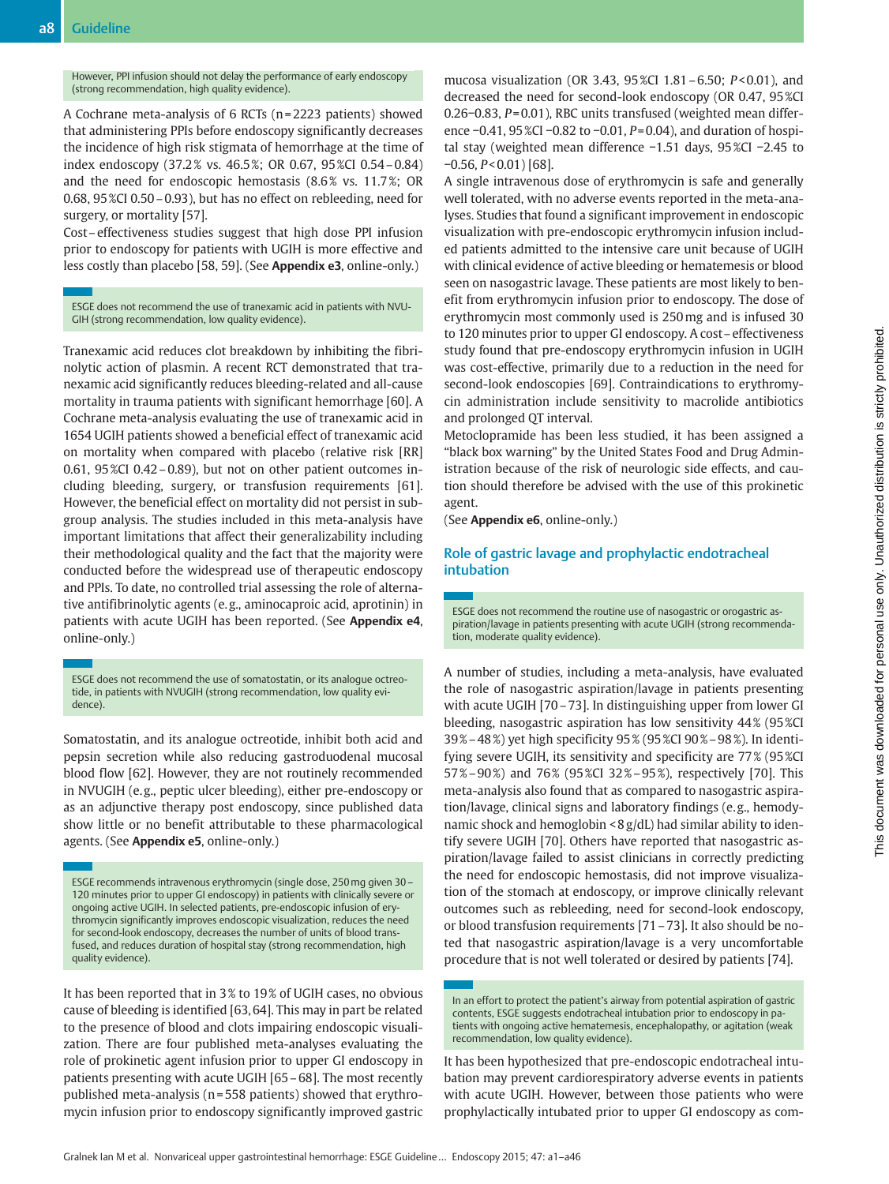However, PPI infusion should not delay the performance of early endoscopy (strong recommendation, high quality evidence).

A Cochrane meta-analysis of 6 RCTs (n = 2223 patients) showed that administering PPIs before endoscopy significantly decreases the incidence of high risk stigmata of hemorrhage at the time of index endoscopy (37.2 % vs. 46.5 %; OR 0.67, 95 %CI 0.54–0.84) and the need for endoscopic hemostasis (8.6 % vs. 11.7 %; OR 0.68, 95 %CI 0.50–0.93), but has no effect on rebleeding, need for surgery, or mortality [57].

Cost–effectiveness studies suggest that high dose PPI infusion prior to endoscopy for patients with UGIH is more effective and less costly than placebo [58, 59]. (See Appendix e3, online-only.)

ESGE does not recommend the use of tranexamic acid in patients with NVU-GIH (strong recommendation, low quality evidence).

Tranexamic acid reduces clot breakdown by inhibiting the fibrinolytic action of plasmin. A recent RCT demonstrated that tranexamic acid significantly reduces bleeding-related and all-cause mortality in trauma patients with significant hemorrhage [60]. A Cochrane meta-analysis evaluating the use of tranexamic acid in 1654 UGIH patients showed a beneficial effect of tranexamic acid on mortality when compared with placebo (relative risk [RR] 0.61, 95 %CI 0.42–0.89), but not on other patient outcomes including bleeding, surgery, or transfusion requirements [61]. However, the beneficial effect on mortality did not persist in subgroup analysis. The studies included in this meta-analysis have important limitations that affect their generalizability including their methodological quality and the fact that the majority were conducted before the widespread use of therapeutic endoscopy and PPIs. To date, no controlled trial assessing the role of alternative antifibrinolytic agents (e. g., aminocaproic acid, aprotinin) in patients with acute UGIH has been reported. (See Appendix e4, online-only.)

ESGE does not recommend the use of somatostatin, or its analogue octreotide, in patients with NVUGIH (strong recommendation, low quality evidence).

Somatostatin, and its analogue octreotide, inhibit both acid and pepsin secretion while also reducing gastroduodenal mucosal blood flow [62]. However, they are not routinely recommended in NVUGIH (e. g., peptic ulcer bleeding), either pre-endoscopy or as an adjunctive therapy post endoscopy, since published data show little or no benefit attributable to these pharmacological agents. (See Appendix e5, online-only.)

ESGE recommends intravenous erythromycin (single dose, 250mg given 30– 120 minutes prior to upper GI endoscopy) in patients with clinically severe or ongoing active UGIH. In selected patients, pre-endoscopic infusion of erythromycin significantly improves endoscopic visualization, reduces the need for second-look endoscopy, decreases the number of units of blood transfused, and reduces duration of hospital stay (strong recommendation, high quality evidence).

It has been reported that in 3 % to 19 % of UGIH cases, no obvious cause of bleeding is identified [63, 64]. This may in part be related to the presence of blood and clots impairing endoscopic visualization. There are four published meta-analyses evaluating the role of prokinetic agent infusion prior to upper GI endoscopy in patients presenting with acute UGIH [65–68]. The most recently published meta-analysis (n = 558 patients) showed that erythromycin infusion prior to endoscopy significantly improved gastric

mucosa visualization (OR 3.43, 95 %CI 1.81–6.50; P< 0.01), and decreased the need for second-look endoscopy (OR 0.47, 95 %CI 0.26−0.83, P= 0.01), RBC units transfused (weighted mean difference −0.41, 95 %CI −0.82 to −0.01, P= 0.04), and duration of hospital stay (weighted mean difference −1.51 days, 95 %CI −2.45 to −0.56, P< 0.01) [68].

A single intravenous dose of erythromycin is safe and generally well tolerated, with no adverse events reported in the meta-analyses. Studies that found a significant improvement in endoscopic visualization with pre-endoscopic erythromycin infusion included patients admitted to the intensive care unit because of UGIH with clinical evidence of active bleeding or hematemesis or blood seen on nasogastric lavage. These patients are most likely to benefit from erythromycin infusion prior to endoscopy. The dose of erythromycin most commonly used is 250mg and is infused 30 to 120 minutes prior to upper GI endoscopy. A cost–effectiveness study found that pre-endoscopy erythromycin infusion in UGIH was cost-effective, primarily due to a reduction in the need for second-look endoscopies [69]. Contraindications to erythromycin administration include sensitivity to macrolide antibiotics and prolonged QT interval.

Metoclopramide has been less studied, it has been assigned a "black box warning" by the United States Food and Drug Administration because of the risk of neurologic side effects, and caution should therefore be advised with the use of this prokinetic agent.

(See Appendix e6, online-only.)

### Role of gastric lavage and prophylactic endotracheal intubation

ESGE does not recommend the routine use of nasogastric or orogastric aspiration/lavage in patients presenting with acute UGIH (strong recommendation, moderate quality evidence).

A number of studies, including a meta-analysis, have evaluated the role of nasogastric aspiration/lavage in patients presenting with acute UGIH [70–73]. In distinguishing upper from lower GI bleeding, nasogastric aspiration has low sensitivity 44% (95%CI 39 %–48 %) yet high specificity 95 % (95 %CI 90 %–98 %). In identifying severe UGIH, its sensitivity and specificity are 77% (95%CI 57 %–90 %) and 76 % (95 %CI 32 %–95 %), respectively [70]. This meta-analysis also found that as compared to nasogastric aspiration/lavage, clinical signs and laboratory findings (e. g., hemodynamic shock and hemoglobin < 8 g/dL) had similar ability to identify severe UGIH [70]. Others have reported that nasogastric aspiration/lavage failed to assist clinicians in correctly predicting the need for endoscopic hemostasis, did not improve visualization of the stomach at endoscopy, or improve clinically relevant outcomes such as rebleeding, need for second-look endoscopy, or blood transfusion requirements [71–73]. It also should be noted that nasogastric aspiration/lavage is a very uncomfortable procedure that is not well tolerated or desired by patients [74].

It has been hypothesized that pre-endoscopic endotracheal intubation may prevent cardiorespiratory adverse events in patients with acute UGIH. However, between those patients who were prophylactically intubated prior to upper GI endoscopy as com-

In an effort to protect the patient's airway from potential aspiration of gastric contents, ESGE suggests endotracheal intubation prior to endoscopy in patients with ongoing active hematemesis, encephalopathy, or agitation (weak recommendation, low quality evidence).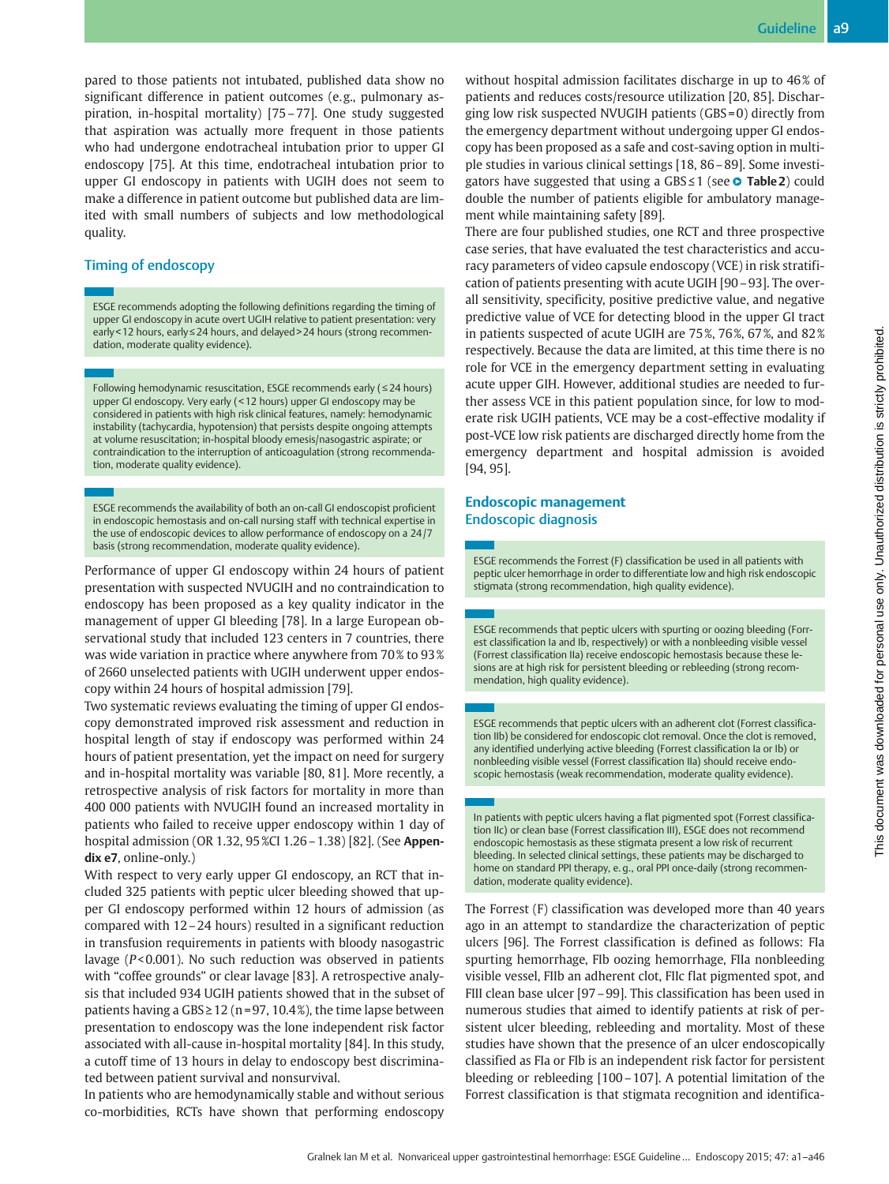pared to those patients not intubated, published data show no significant difference in patient outcomes (e.g., pulmonary aspiration, in-hospital mortality) [75–77]. One study suggested that aspiration was actually more frequent in those patients who had undergone endotracheal intubation prior to upper GI endoscopy [75]. At this time, endotracheal intubation prior to upper GI endoscopy in patients with UGIH does not seem to make a difference in patient outcome but published data are limited with small numbers of subjects and low methodological quality.

## Timing of endoscopy

ESGE recommends adopting the following definitions regarding the timing of upper GI endoscopy in acute overt UGIH relative to patient presentation: very early < 12 hours, early≤24 hours, and delayed > 24 hours (strong recommendation, moderate quality evidence).

Following hemodynamic resuscitation, ESGE recommends early (≤24 hours) upper GI endoscopy. Very early ( < 12 hours) upper GI endoscopy may be considered in patients with high risk clinical features, namely: hemodynamic instability (tachycardia, hypotension) that persists despite ongoing attempts at volume resuscitation; in-hospital bloody emesis/nasogastric aspirate; or contraindication to the interruption of anticoagulation (strong recommendation, moderate quality evidence).

ESGE recommends the availability of both an on-call GI endoscopist proficient in endoscopic hemostasis and on-call nursing staff with technical expertise in the use of endoscopic devices to allow performance of endoscopy on a 24 /7 basis (strong recommendation, moderate quality evidence).

Performance of upper GI endoscopy within 24 hours of patient presentation with suspected NVUGIH and no contraindication to endoscopy has been proposed as a key quality indicator in the management of upper GI bleeding [78]. In a large European observational study that included 123 centers in 7 countries, there was wide variation in practice where anywhere from 70 % to 93 % of 2660 unselected patients with UGIH underwent upper endoscopy within 24 hours of hospital admission [79].

Two systematic reviews evaluating the timing of upper GI endoscopy demonstrated improved risk assessment and reduction in hospital length of stay if endoscopy was performed within 24 hours of patient presentation, yet the impact on need for surgery and in-hospital mortality was variable [80, 81]. More recently, a retrospective analysis of risk factors for mortality in more than 400 000 patients with NVUGIH found an increased mortality in patients who failed to receive upper endoscopy within 1 day of hospital admission (OR 1.32, 95 %CI 1.26–1.38) [82]. (See Appendix e7, online-only.)

With respect to very early upper GI endoscopy, an RCT that included 325 patients with peptic ulcer bleeding showed that upper GI endoscopy performed within 12 hours of admission (as compared with 12–24 hours) resulted in a significant reduction in transfusion requirements in patients with bloody nasogastric lavage (P< 0.001). No such reduction was observed in patients with "coffee grounds" or clear lavage [83]. A retrospective analysis that included 934 UGIH patients showed that in the subset of patients having a  $GBS \ge 12$  (n=97, 10.4%), the time lapse between presentation to endoscopy was the lone independent risk factor associated with all-cause in-hospital mortality [84]. In this study, a cutoff time of 13 hours in delay to endoscopy best discriminated between patient survival and nonsurvival.

In patients who are hemodynamically stable and without serious co-morbidities, RCTs have shown that performing endoscopy without hospital admission facilitates discharge in up to 46% of patients and reduces costs/resource utilization [20, 85]. Discharging low risk suspected NVUGIH patients (GBS = 0) directly from the emergency department without undergoing upper GI endoscopy has been proposed as a safe and cost-saving option in multiple studies in various clinical settings [18, 86–89]. Some investigators have suggested that using a GBS≤1 (see ● Table2) could double the number of patients eligible for ambulatory management while maintaining safety [89].

There are four published studies, one RCT and three prospective case series, that have evaluated the test characteristics and accuracy parameters of video capsule endoscopy (VCE) in risk stratification of patients presenting with acute UGIH [90–93]. The overall sensitivity, specificity, positive predictive value, and negative predictive value of VCE for detecting blood in the upper GI tract in patients suspected of acute UGIH are 75 %, 76 %, 67 %, and 82 % respectively. Because the data are limited, at this time there is no role for VCE in the emergency department setting in evaluating acute upper GIH. However, additional studies are needed to further assess VCE in this patient population since, for low to moderate risk UGIH patients, VCE may be a cost-effective modality if post-VCE low risk patients are discharged directly home from the emergency department and hospital admission is avoided [94, 95].

### Endoscopic management Endoscopic diagnosis

ESGE recommends the Forrest (F) classification be used in all patients with peptic ulcer hemorrhage in order to differentiate low and high risk endoscopic stigmata (strong recommendation, high quality evidence).

ESGE recommends that peptic ulcers with spurting or oozing bleeding (Forrest classification Ia and Ib, respectively) or with a nonbleeding visible vessel (Forrest classification IIa) receive endoscopic hemostasis because these lesions are at high risk for persistent bleeding or rebleeding (strong recommendation, high quality evidence).

ESGE recommends that peptic ulcers with an adherent clot (Forrest classification IIb) be considered for endoscopic clot removal. Once the clot is removed, any identified underlying active bleeding (Forrest classification Ia or Ib) or nonbleeding visible vessel (Forrest classification IIa) should receive endoscopic hemostasis (weak recommendation, moderate quality evidence).

In patients with peptic ulcers having a flat pigmented spot (Forrest classification IIc) or clean base (Forrest classification III), ESGE does not recommend endoscopic hemostasis as these stigmata present a low risk of recurrent bleeding. In selected clinical settings, these patients may be discharged to home on standard PPI therapy, e. g., oral PPI once-daily (strong recommendation, moderate quality evidence).

The Forrest (F) classification was developed more than 40 years ago in an attempt to standardize the characterization of peptic ulcers [96]. The Forrest classification is defined as follows: FIa spurting hemorrhage, FIb oozing hemorrhage, FIIa nonbleeding visible vessel, FIIb an adherent clot, FIIc flat pigmented spot, and FIII clean base ulcer [97–99]. This classification has been used in numerous studies that aimed to identify patients at risk of persistent ulcer bleeding, rebleeding and mortality. Most of these studies have shown that the presence of an ulcer endoscopically classified as FIa or FIb is an independent risk factor for persistent bleeding or rebleeding [100–107]. A potential limitation of the Forrest classification is that stigmata recognition and identifica-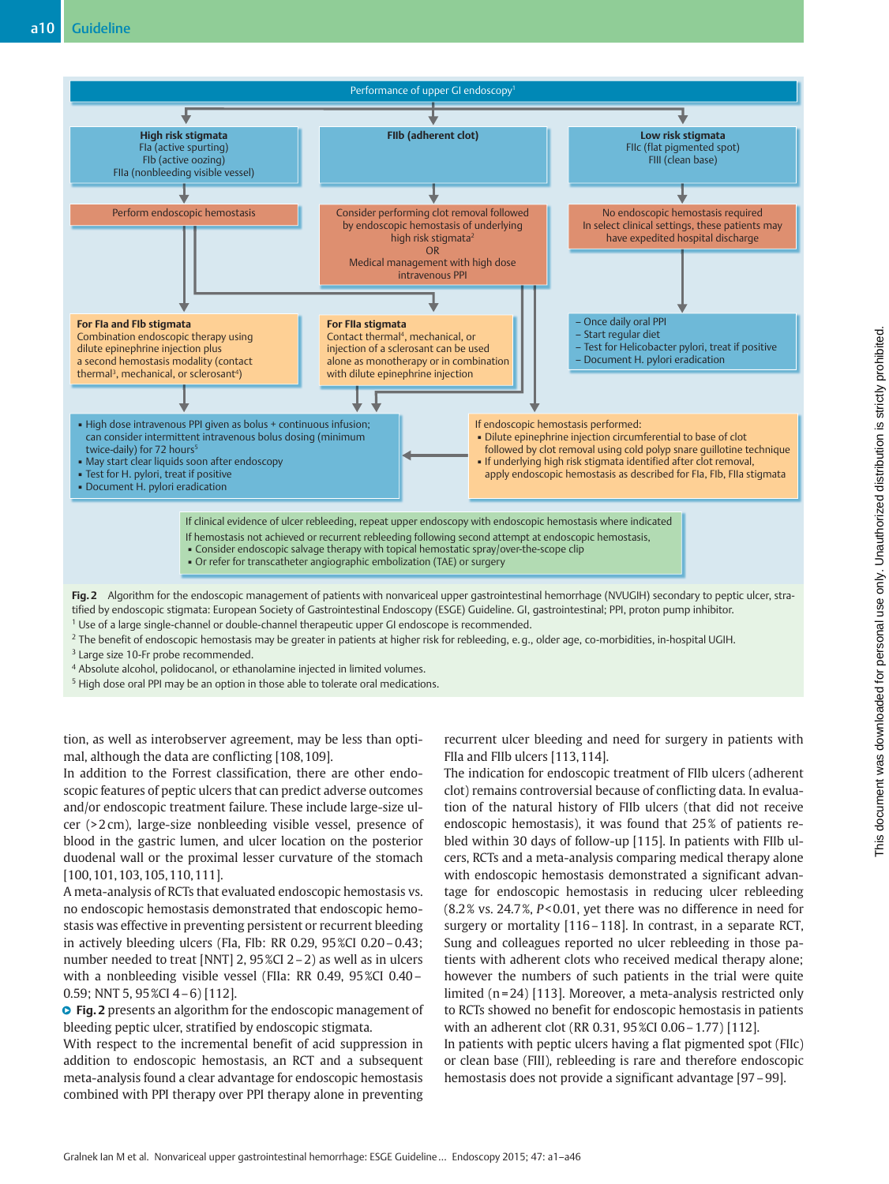

- Fig. 2 Algorithm for the endoscopic management of patients with nonvariceal upper gastrointestinal hemorrhage (NVUGIH) secondary to peptic ulcer, stratified by endoscopic stigmata: European Society of Gastrointestinal Endoscopy (ESGE) Guideline. GI, gastrointestinal; PPI, proton pump inhibitor.
- <sup>1</sup> Use of a large single-channel or double-channel therapeutic upper GI endoscope is recommended.

<sup>2</sup> The benefit of endoscopic hemostasis may be greater in patients at higher risk for rebleeding, e.g., older age, co-morbidities, in-hospital UGIH.

<sup>3</sup> Large size 10-Fr probe recommended.

<sup>4</sup> Absolute alcohol, polidocanol, or ethanolamine injected in limited volumes.

<sup>5</sup> High dose oral PPI may be an option in those able to tolerate oral medications.

tion, as well as interobserver agreement, may be less than optimal, although the data are conflicting [108, 109].

In addition to the Forrest classification, there are other endoscopic features of peptic ulcers that can predict adverse outcomes and/or endoscopic treatment failure. These include large-size ulcer (> 2 cm), large-size nonbleeding visible vessel, presence of blood in the gastric lumen, and ulcer location on the posterior duodenal wall or the proximal lesser curvature of the stomach [100, 101, 103, 105, 110, 111].

A meta-analysis of RCTs that evaluated endoscopic hemostasis vs. no endoscopic hemostasis demonstrated that endoscopic hemostasis was effective in preventing persistent or recurrent bleeding in actively bleeding ulcers (FIa, FIb: RR 0.29, 95 %CI 0.20–0.43; number needed to treat [NNT] 2, 95 %CI 2–2) as well as in ulcers with a nonbleeding visible vessel (FIIa: RR 0.49, 95 %CI 0.40– 0.59; NNT 5, 95 %CI 4–6) [112].

**O** Fig. 2 presents an algorithm for the endoscopic management of bleeding peptic ulcer, stratified by endoscopic stigmata.

With respect to the incremental benefit of acid suppression in addition to endoscopic hemostasis, an RCT and a subsequent meta-analysis found a clear advantage for endoscopic hemostasis combined with PPI therapy over PPI therapy alone in preventing recurrent ulcer bleeding and need for surgery in patients with FIIa and FIIb ulcers [113, 114].

The indication for endoscopic treatment of FIIb ulcers (adherent clot) remains controversial because of conflicting data. In evaluation of the natural history of FIIb ulcers (that did not receive endoscopic hemostasis), it was found that 25% of patients rebled within 30 days of follow-up [115]. In patients with FIIb ulcers, RCTs and a meta-analysis comparing medical therapy alone with endoscopic hemostasis demonstrated a significant advantage for endoscopic hemostasis in reducing ulcer rebleeding (8.2 % vs. 24.7 %, P< 0.01, yet there was no difference in need for surgery or mortality [116–118]. In contrast, in a separate RCT, Sung and colleagues reported no ulcer rebleeding in those patients with adherent clots who received medical therapy alone; however the numbers of such patients in the trial were quite limited  $(n=24)$  [113]. Moreover, a meta-analysis restricted only to RCTs showed no benefit for endoscopic hemostasis in patients with an adherent clot (RR 0.31, 95 %CI 0.06–1.77) [112].

In patients with peptic ulcers having a flat pigmented spot (FIIc) or clean base (FIII), rebleeding is rare and therefore endoscopic hemostasis does not provide a significant advantage [97–99].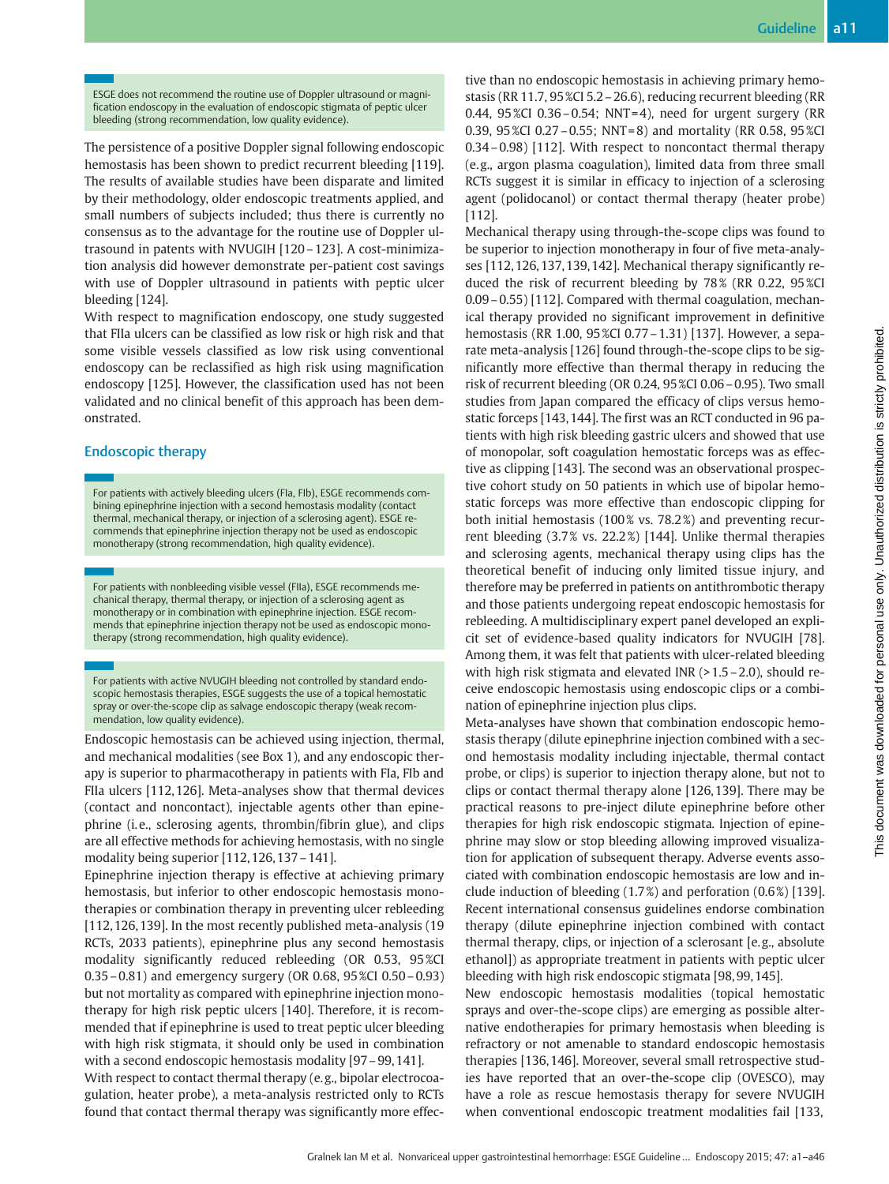ESGE does not recommend the routine use of Doppler ultrasound or magnification endoscopy in the evaluation of endoscopic stigmata of peptic ulcer bleeding (strong recommendation, low quality evidence).

The persistence of a positive Doppler signal following endoscopic hemostasis has been shown to predict recurrent bleeding [119]. The results of available studies have been disparate and limited by their methodology, older endoscopic treatments applied, and small numbers of subjects included; thus there is currently no consensus as to the advantage for the routine use of Doppler ultrasound in patents with NVUGIH [120–123]. A cost-minimization analysis did however demonstrate per-patient cost savings with use of Doppler ultrasound in patients with peptic ulcer bleeding [124].

With respect to magnification endoscopy, one study suggested that FIIa ulcers can be classified as low risk or high risk and that some visible vessels classified as low risk using conventional endoscopy can be reclassified as high risk using magnification endoscopy [125]. However, the classification used has not been validated and no clinical benefit of this approach has been demonstrated.

### Endoscopic therapy

For patients with actively bleeding ulcers (FIa, FIb), ESGE recommends combining epinephrine injection with a second hemostasis modality (contact thermal, mechanical therapy, or injection of a sclerosing agent). ESGE recommends that epinephrine injection therapy not be used as endoscopic monotherapy (strong recommendation, high quality evidence).

For patients with nonbleeding visible vessel (FIIa), ESGE recommends mechanical therapy, thermal therapy, or injection of a sclerosing agent as monotherapy or in combination with epinephrine injection. ESGE recommends that epinephrine injection therapy not be used as endoscopic monotherapy (strong recommendation, high quality evidence).

For patients with active NVUGIH bleeding not controlled by standard endoscopic hemostasis therapies, ESGE suggests the use of a topical hemostatic spray or over-the-scope clip as salvage endoscopic therapy (weak recommendation, low quality evidence).

Endoscopic hemostasis can be achieved using injection, thermal, and mechanical modalities (see Box 1), and any endoscopic therapy is superior to pharmacotherapy in patients with FIa, FIb and FIIa ulcers [112, 126]. Meta-analyses show that thermal devices (contact and noncontact), injectable agents other than epinephrine (i.e., sclerosing agents, thrombin/fibrin glue), and clips are all effective methods for achieving hemostasis, with no single modality being superior [112, 126, 137–141].

Epinephrine injection therapy is effective at achieving primary hemostasis, but inferior to other endoscopic hemostasis monotherapies or combination therapy in preventing ulcer rebleeding [112, 126, 139]. In the most recently published meta-analysis (19 RCTs, 2033 patients), epinephrine plus any second hemostasis modality significantly reduced rebleeding (OR 0.53, 95 %CI 0.35–0.81) and emergency surgery (OR 0.68, 95 %CI 0.50–0.93) but not mortality as compared with epinephrine injection monotherapy for high risk peptic ulcers [140]. Therefore, it is recommended that if epinephrine is used to treat peptic ulcer bleeding with high risk stigmata, it should only be used in combination with a second endoscopic hemostasis modality [97–99, 141].

With respect to contact thermal therapy (e.g., bipolar electrocoagulation, heater probe), a meta-analysis restricted only to RCTs found that contact thermal therapy was significantly more effective than no endoscopic hemostasis in achieving primary hemostasis (RR 11.7, 95 %CI 5.2–26.6), reducing recurrent bleeding (RR 0.44,  $95\%$ CI 0.36 – 0.54; NNT = 4), need for urgent surgery (RR 0.39, 95 %CI 0.27–0.55; NNT = 8) and mortality (RR 0.58, 95 %CI 0.34–0.98) [112]. With respect to noncontact thermal therapy (e. g., argon plasma coagulation), limited data from three small RCTs suggest it is similar in efficacy to injection of a sclerosing agent (polidocanol) or contact thermal therapy (heater probe) [112].

Mechanical therapy using through-the-scope clips was found to be superior to injection monotherapy in four of five meta-analyses [112, 126, 137, 139, 142]. Mechanical therapy significantly reduced the risk of recurrent bleeding by 78% (RR 0.22, 95%CI 0.09–0.55) [112]. Compared with thermal coagulation, mechanical therapy provided no significant improvement in definitive hemostasis (RR 1.00, 95 %CI 0.77–1.31) [137]. However, a separate meta-analysis [126] found through-the-scope clips to be significantly more effective than thermal therapy in reducing the risk of recurrent bleeding (OR 0.24, 95 %CI 0.06–0.95). Two small studies from Japan compared the efficacy of clips versus hemostatic forceps [143, 144]. The first was an RCT conducted in 96 patients with high risk bleeding gastric ulcers and showed that use of monopolar, soft coagulation hemostatic forceps was as effective as clipping [143]. The second was an observational prospective cohort study on 50 patients in which use of bipolar hemostatic forceps was more effective than endoscopic clipping for both initial hemostasis (100% vs. 78.2%) and preventing recurrent bleeding (3.7 % vs. 22.2 %) [144]. Unlike thermal therapies and sclerosing agents, mechanical therapy using clips has the theoretical benefit of inducing only limited tissue injury, and therefore may be preferred in patients on antithrombotic therapy and those patients undergoing repeat endoscopic hemostasis for rebleeding. A multidisciplinary expert panel developed an explicit set of evidence-based quality indicators for NVUGIH [78]. Among them, it was felt that patients with ulcer-related bleeding with high risk stigmata and elevated INR (> 1.5 - 2.0), should receive endoscopic hemostasis using endoscopic clips or a combination of epinephrine injection plus clips.

Meta-analyses have shown that combination endoscopic hemostasis therapy (dilute epinephrine injection combined with a second hemostasis modality including injectable, thermal contact probe, or clips) is superior to injection therapy alone, but not to clips or contact thermal therapy alone [126, 139]. There may be practical reasons to pre-inject dilute epinephrine before other therapies for high risk endoscopic stigmata. Injection of epinephrine may slow or stop bleeding allowing improved visualization for application of subsequent therapy. Adverse events associated with combination endoscopic hemostasis are low and include induction of bleeding (1.7 %) and perforation (0.6 %) [139]. Recent international consensus guidelines endorse combination therapy (dilute epinephrine injection combined with contact thermal therapy, clips, or injection of a sclerosant [e. g., absolute ethanol]) as appropriate treatment in patients with peptic ulcer bleeding with high risk endoscopic stigmata [98, 99, 145].

New endoscopic hemostasis modalities (topical hemostatic sprays and over-the-scope clips) are emerging as possible alternative endotherapies for primary hemostasis when bleeding is refractory or not amenable to standard endoscopic hemostasis therapies [136, 146]. Moreover, several small retrospective studies have reported that an over-the-scope clip (OVESCO), may have a role as rescue hemostasis therapy for severe NVUGIH when conventional endoscopic treatment modalities fail [133,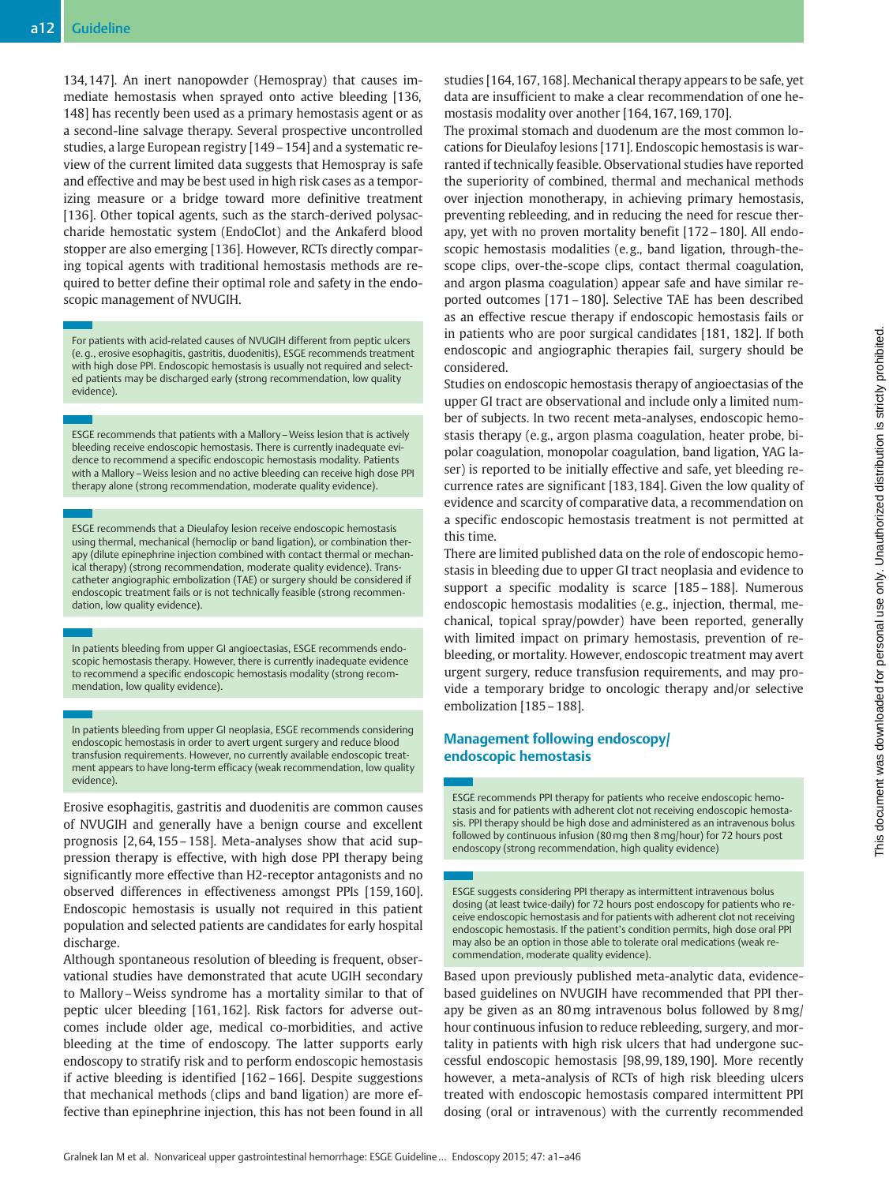134, 147]. An inert nanopowder (Hemospray) that causes immediate hemostasis when sprayed onto active bleeding [136, 148] has recently been used as a primary hemostasis agent or as a second-line salvage therapy. Several prospective uncontrolled studies, a large European registry [149–154] and a systematic review of the current limited data suggests that Hemospray is safe and effective and may be best used in high risk cases as a temporizing measure or a bridge toward more definitive treatment [136]. Other topical agents, such as the starch-derived polysaccharide hemostatic system (EndoClot) and the Ankaferd blood stopper are also emerging [136]. However, RCTs directly comparing topical agents with traditional hemostasis methods are required to better define their optimal role and safety in the endoscopic management of NVUGIH.

For patients with acid-related causes of NVUGIH different from peptic ulcers (e. g., erosive esophagitis, gastritis, duodenitis), ESGE recommends treatment with high dose PPI. Endoscopic hemostasis is usually not required and selected patients may be discharged early (strong recommendation, low quality evidence).

ESGE recommends that patients with a Mallory–Weiss lesion that is actively bleeding receive endoscopic hemostasis. There is currently inadequate evidence to recommend a specific endoscopic hemostasis modality. Patients with a Mallory–Weiss lesion and no active bleeding can receive high dose PPI therapy alone (strong recommendation, moderate quality evidence).

ESGE recommends that a Dieulafoy lesion receive endoscopic hemostasis using thermal, mechanical (hemoclip or band ligation), or combination therapy (dilute epinephrine injection combined with contact thermal or mechanical therapy) (strong recommendation, moderate quality evidence). Transcatheter angiographic embolization (TAE) or surgery should be considered if endoscopic treatment fails or is not technically feasible (strong recommendation, low quality evidence).

In patients bleeding from upper GI angioectasias, ESGE recommends endoscopic hemostasis therapy. However, there is currently inadequate evidence to recommend a specific endoscopic hemostasis modality (strong recommendation, low quality evidence).

In patients bleeding from upper GI neoplasia, ESGE recommends considering endoscopic hemostasis in order to avert urgent surgery and reduce blood transfusion requirements. However, no currently available endoscopic treatment appears to have long-term efficacy (weak recommendation, low quality evidence).

Erosive esophagitis, gastritis and duodenitis are common causes of NVUGIH and generally have a benign course and excellent prognosis [2, 64, 155–158]. Meta-analyses show that acid suppression therapy is effective, with high dose PPI therapy being significantly more effective than H2-receptor antagonists and no observed differences in effectiveness amongst PPIs [159, 160]. Endoscopic hemostasis is usually not required in this patient population and selected patients are candidates for early hospital discharge.

Although spontaneous resolution of bleeding is frequent, observational studies have demonstrated that acute UGIH secondary to Mallory–Weiss syndrome has a mortality similar to that of peptic ulcer bleeding [161, 162]. Risk factors for adverse outcomes include older age, medical co-morbidities, and active bleeding at the time of endoscopy. The latter supports early endoscopy to stratify risk and to perform endoscopic hemostasis if active bleeding is identified [162–166]. Despite suggestions that mechanical methods (clips and band ligation) are more effective than epinephrine injection, this has not been found in all

studies [164, 167, 168]. Mechanical therapy appears to be safe, yet data are insufficient to make a clear recommendation of one hemostasis modality over another [164, 167, 169, 170].

The proximal stomach and duodenum are the most common locations for Dieulafoy lesions [171]. Endoscopic hemostasis is warranted if technically feasible. Observational studies have reported the superiority of combined, thermal and mechanical methods over injection monotherapy, in achieving primary hemostasis, preventing rebleeding, and in reducing the need for rescue therapy, yet with no proven mortality benefit [172–180]. All endoscopic hemostasis modalities (e.g., band ligation, through-thescope clips, over-the-scope clips, contact thermal coagulation, and argon plasma coagulation) appear safe and have similar reported outcomes [171–180]. Selective TAE has been described as an effective rescue therapy if endoscopic hemostasis fails or in patients who are poor surgical candidates [181, 182]. If both endoscopic and angiographic therapies fail, surgery should be considered.

Studies on endoscopic hemostasis therapy of angioectasias of the upper GI tract are observational and include only a limited number of subjects. In two recent meta-analyses, endoscopic hemostasis therapy (e. g., argon plasma coagulation, heater probe, bipolar coagulation, monopolar coagulation, band ligation, YAG laser) is reported to be initially effective and safe, yet bleeding recurrence rates are significant [183, 184]. Given the low quality of evidence and scarcity of comparative data, a recommendation on a specific endoscopic hemostasis treatment is not permitted at this time.

There are limited published data on the role of endoscopic hemostasis in bleeding due to upper GI tract neoplasia and evidence to support a specific modality is scarce [185–188]. Numerous endoscopic hemostasis modalities (e. g., injection, thermal, mechanical, topical spray/powder) have been reported, generally with limited impact on primary hemostasis, prevention of rebleeding, or mortality. However, endoscopic treatment may avert urgent surgery, reduce transfusion requirements, and may provide a temporary bridge to oncologic therapy and/or selective embolization [185–188].

### Management following endoscopy/ endoscopic hemostasis

ESGE recommends PPI therapy for patients who receive endoscopic hemostasis and for patients with adherent clot not receiving endoscopic hemostasis. PPI therapy should be high dose and administered as an intravenous bolus followed by continuous infusion (80mg then 8mg/hour) for 72 hours post endoscopy (strong recommendation, high quality evidence)

ESGE suggests considering PPI therapy as intermittent intravenous bolus dosing (at least twice-daily) for 72 hours post endoscopy for patients who receive endoscopic hemostasis and for patients with adherent clot not receiving endoscopic hemostasis. If the patient's condition permits, high dose oral PPI may also be an option in those able to tolerate oral medications (weak recommendation, moderate quality evidence).

Based upon previously published meta-analytic data, evidencebased guidelines on NVUGIH have recommended that PPI therapy be given as an 80mg intravenous bolus followed by 8mg/ hour continuous infusion to reduce rebleeding, surgery, and mortality in patients with high risk ulcers that had undergone successful endoscopic hemostasis [98, 99, 189, 190]. More recently however, a meta-analysis of RCTs of high risk bleeding ulcers treated with endoscopic hemostasis compared intermittent PPI dosing (oral or intravenous) with the currently recommended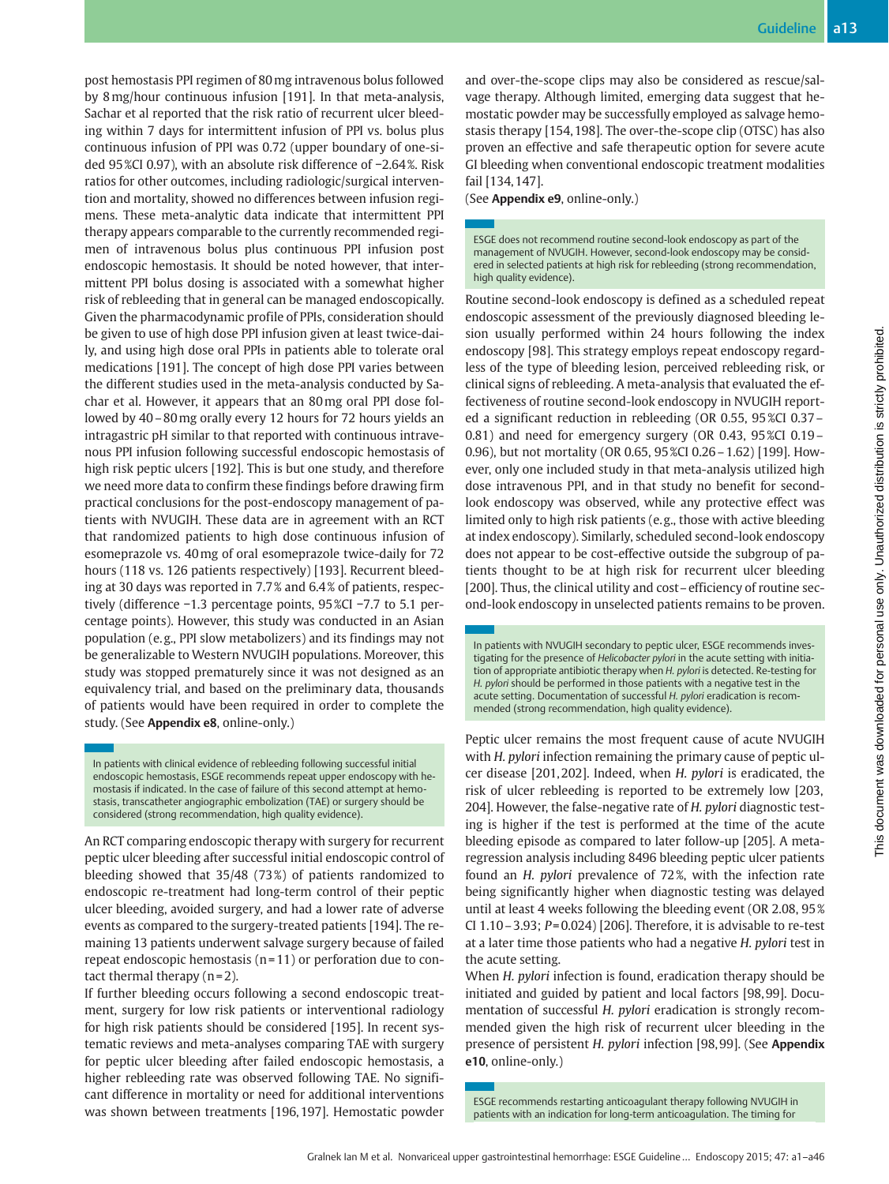post hemostasis PPI regimen of 80mg intravenous bolus followed by 8mg/hour continuous infusion [191]. In that meta-analysis, Sachar et al reported that the risk ratio of recurrent ulcer bleeding within 7 days for intermittent infusion of PPI vs. bolus plus continuous infusion of PPI was 0.72 (upper boundary of one-sided 95 %CI 0.97), with an absolute risk difference of −2.64 %. Risk ratios for other outcomes, including radiologic/surgical intervention and mortality, showed no differences between infusion regimens. These meta-analytic data indicate that intermittent PPI therapy appears comparable to the currently recommended regimen of intravenous bolus plus continuous PPI infusion post endoscopic hemostasis. It should be noted however, that intermittent PPI bolus dosing is associated with a somewhat higher risk of rebleeding that in general can be managed endoscopically. Given the pharmacodynamic profile of PPIs, consideration should be given to use of high dose PPI infusion given at least twice-daily, and using high dose oral PPIs in patients able to tolerate oral medications [191]. The concept of high dose PPI varies between the different studies used in the meta-analysis conducted by Sachar et al. However, it appears that an 80mg oral PPI dose followed by 40–80mg orally every 12 hours for 72 hours yields an intragastric pH similar to that reported with continuous intravenous PPI infusion following successful endoscopic hemostasis of high risk peptic ulcers [192]. This is but one study, and therefore we need more data to confirm these findings before drawing firm practical conclusions for the post-endoscopy management of patients with NVUGIH. These data are in agreement with an RCT that randomized patients to high dose continuous infusion of esomeprazole vs. 40mg of oral esomeprazole twice-daily for 72 hours (118 vs. 126 patients respectively) [193]. Recurrent bleeding at 30 days was reported in 7.7 % and 6.4 % of patients, respectively (difference −1.3 percentage points, 95 %CI −7.7 to 5.1 percentage points). However, this study was conducted in an Asian population (e. g., PPI slow metabolizers) and its findings may not be generalizable to Western NVUGIH populations. Moreover, this study was stopped prematurely since it was not designed as an equivalency trial, and based on the preliminary data, thousands of patients would have been required in order to complete the study. (See Appendix e8, online-only.)

In patients with clinical evidence of rebleeding following successful initial endoscopic hemostasis, ESGE recommends repeat upper endoscopy with hemostasis if indicated. In the case of failure of this second attempt at hemostasis, transcatheter angiographic embolization (TAE) or surgery should be considered (strong recommendation, high quality evidence).

An RCT comparing endoscopic therapy with surgery for recurrent peptic ulcer bleeding after successful initial endoscopic control of bleeding showed that 35/48 (73 %) of patients randomized to endoscopic re-treatment had long-term control of their peptic ulcer bleeding, avoided surgery, and had a lower rate of adverse events as compared to the surgery-treated patients [194]. The remaining 13 patients underwent salvage surgery because of failed repeat endoscopic hemostasis  $(n=11)$  or perforation due to contact thermal therapy  $(n=2)$ .

If further bleeding occurs following a second endoscopic treatment, surgery for low risk patients or interventional radiology for high risk patients should be considered [195]. In recent systematic reviews and meta-analyses comparing TAE with surgery for peptic ulcer bleeding after failed endoscopic hemostasis, a higher rebleeding rate was observed following TAE. No significant difference in mortality or need for additional interventions was shown between treatments [196, 197]. Hemostatic powder and over-the-scope clips may also be considered as rescue/salvage therapy. Although limited, emerging data suggest that hemostatic powder may be successfully employed as salvage hemostasis therapy [154, 198]. The over-the-scope clip (OTSC) has also proven an effective and safe therapeutic option for severe acute GI bleeding when conventional endoscopic treatment modalities fail [134, 147].

(See Appendix e9, online-only.)

ESGE does not recommend routine second-look endoscopy as part of the management of NVUGIH. However, second-look endoscopy may be considered in selected patients at high risk for rebleeding (strong recommendation, high quality evidence).

Routine second-look endoscopy is defined as a scheduled repeat endoscopic assessment of the previously diagnosed bleeding lesion usually performed within 24 hours following the index endoscopy [98]. This strategy employs repeat endoscopy regardless of the type of bleeding lesion, perceived rebleeding risk, or clinical signs of rebleeding. A meta-analysis that evaluated the effectiveness of routine second-look endoscopy in NVUGIH reported a significant reduction in rebleeding (OR 0.55, 95 %CI 0.37– 0.81) and need for emergency surgery (OR 0.43, 95 %CI 0.19– 0.96), but not mortality (OR 0.65, 95 %CI 0.26–1.62) [199]. However, only one included study in that meta-analysis utilized high dose intravenous PPI, and in that study no benefit for secondlook endoscopy was observed, while any protective effect was limited only to high risk patients (e. g., those with active bleeding at index endoscopy). Similarly, scheduled second-look endoscopy does not appear to be cost-effective outside the subgroup of patients thought to be at high risk for recurrent ulcer bleeding [200]. Thus, the clinical utility and cost–efficiency of routine second-look endoscopy in unselected patients remains to be proven.

In patients with NVUGIH secondary to peptic ulcer, ESGE recommends investigating for the presence of Helicobacter pylori in the acute setting with initiation of appropriate antibiotic therapy when H. pylori is detected. Re-testing for H. pylori should be performed in those patients with a negative test in the acute setting. Documentation of successful H. pylori eradication is recommended (strong recommendation, high quality evidence).

Peptic ulcer remains the most frequent cause of acute NVUGIH with H. pylori infection remaining the primary cause of peptic ulcer disease [201, 202]. Indeed, when H. pylori is eradicated, the risk of ulcer rebleeding is reported to be extremely low [203, 204]. However, the false-negative rate of H. pylori diagnostic testing is higher if the test is performed at the time of the acute bleeding episode as compared to later follow-up [205]. A metaregression analysis including 8496 bleeding peptic ulcer patients found an H. pylori prevalence of 72 %, with the infection rate being significantly higher when diagnostic testing was delayed until at least 4 weeks following the bleeding event (OR 2.08, 95 % CI 1.10 – 3.93;  $P = 0.024$  [206]. Therefore, it is advisable to re-test at a later time those patients who had a negative H. pylori test in the acute setting.

When H. pylori infection is found, eradication therapy should be initiated and guided by patient and local factors [98, 99]. Documentation of successful H. pylori eradication is strongly recommended given the high risk of recurrent ulcer bleeding in the presence of persistent H. pylori infection [98,99]. (See Appendix e10, online-only.)

ESGE recommends restarting anticoagulant therapy following NVUGIH in patients with an indication for long-term anticoagulation. The timing for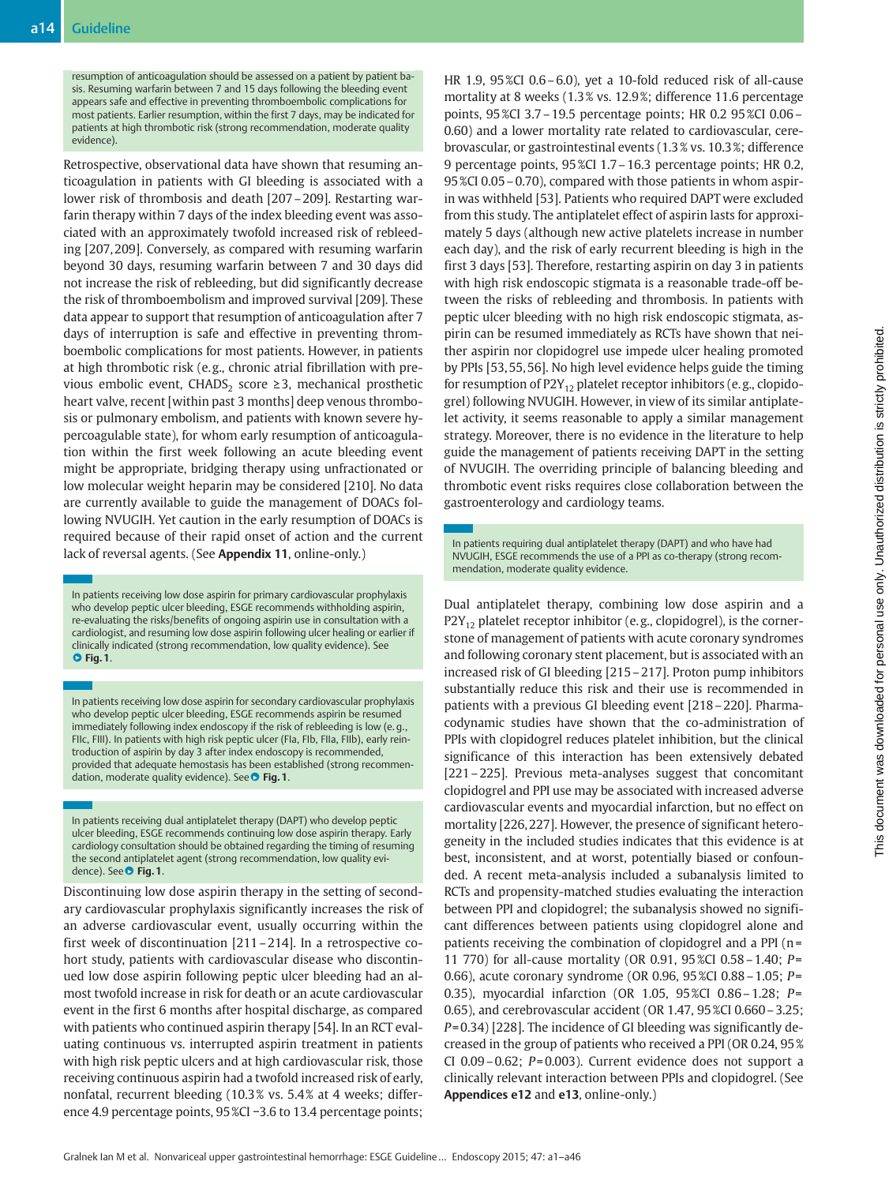resumption of anticoagulation should be assessed on a patient by patient basis. Resuming warfarin between 7 and 15 days following the bleeding event appears safe and effective in preventing thromboembolic complications for most patients. Earlier resumption, within the first 7 days, may be indicated for patients at high thrombotic risk (strong recommendation, moderate quality evidence).

Retrospective, observational data have shown that resuming anticoagulation in patients with GI bleeding is associated with a lower risk of thrombosis and death [207–209]. Restarting warfarin therapy within 7 days of the index bleeding event was associated with an approximately twofold increased risk of rebleeding [207, 209]. Conversely, as compared with resuming warfarin beyond 30 days, resuming warfarin between 7 and 30 days did not increase the risk of rebleeding, but did significantly decrease the risk of thromboembolism and improved survival [209]. These data appear to support that resumption of anticoagulation after 7 days of interruption is safe and effective in preventing thromboembolic complications for most patients. However, in patients at high thrombotic risk (e.g., chronic atrial fibrillation with previous embolic event, CHADS<sub>2</sub> score  $\geq$ 3, mechanical prosthetic heart valve, recent [within past 3 months] deep venous thrombosis or pulmonary embolism, and patients with known severe hypercoagulable state), for whom early resumption of anticoagulation within the first week following an acute bleeding event might be appropriate, bridging therapy using unfractionated or low molecular weight heparin may be considered [210]. No data are currently available to guide the management of DOACs following NVUGIH. Yet caution in the early resumption of DOACs is required because of their rapid onset of action and the current lack of reversal agents. (See Appendix 11, online-only.)

In patients receiving low dose aspirin for primary cardiovascular prophylaxis who develop peptic ulcer bleeding, ESGE recommends withholding aspirin, re-evaluating the risks/benefits of ongoing aspirin use in consultation with a cardiologist, and resuming low dose aspirin following ulcer healing or earlier if clinically indicated (strong recommendation, low quality evidence). See  $\bullet$  Fig. 1.

In patients receiving low dose aspirin for secondary cardiovascular prophylaxis who develop peptic ulcer bleeding, ESGE recommends aspirin be resumed immediately following index endoscopy if the risk of rebleeding is low (e. g., FIIc, FIII). In patients with high risk peptic ulcer (FIa, FIb, FIIa, FIIb), early reintroduction of aspirin by day 3 after index endoscopy is recommended, provided that adequate hemostasis has been established (strong recommendation, moderate quality evidence). See **O Fig. 1**.

In patients receiving dual antiplatelet therapy (DAPT) who develop peptic ulcer bleeding, ESGE recommends continuing low dose aspirin therapy. Early cardiology consultation should be obtained regarding the timing of resuming the second antiplatelet agent (strong recommendation, low quality evidence). See ● Fig. 1.

Discontinuing low dose aspirin therapy in the setting of secondary cardiovascular prophylaxis significantly increases the risk of an adverse cardiovascular event, usually occurring within the first week of discontinuation [211–214]. In a retrospective cohort study, patients with cardiovascular disease who discontinued low dose aspirin following peptic ulcer bleeding had an almost twofold increase in risk for death or an acute cardiovascular event in the first 6 months after hospital discharge, as compared with patients who continued aspirin therapy [54]. In an RCT evaluating continuous vs. interrupted aspirin treatment in patients with high risk peptic ulcers and at high cardiovascular risk, those receiving continuous aspirin had a twofold increased risk of early, nonfatal, recurrent bleeding (10.3 % vs. 5.4 % at 4 weeks; difference 4.9 percentage points, 95 %CI −3.6 to 13.4 percentage points;

HR 1.9, 95 %CI 0.6–6.0), yet a 10-fold reduced risk of all-cause mortality at 8 weeks (1.3 % vs. 12.9 %; difference 11.6 percentage points, 95 %CI 3.7–19.5 percentage points; HR 0.2 95 %CI 0.06– 0.60) and a lower mortality rate related to cardiovascular, cerebrovascular, or gastrointestinal events (1.3 % vs. 10.3 %; difference 9 percentage points, 95 %CI 1.7–16.3 percentage points; HR 0.2, 95 %CI 0.05–0.70), compared with those patients in whom aspirin was withheld [53]. Patients who required DAPT were excluded from this study. The antiplatelet effect of aspirin lasts for approximately 5 days (although new active platelets increase in number each day), and the risk of early recurrent bleeding is high in the first 3 days [53]. Therefore, restarting aspirin on day 3 in patients with high risk endoscopic stigmata is a reasonable trade-off between the risks of rebleeding and thrombosis. In patients with peptic ulcer bleeding with no high risk endoscopic stigmata, aspirin can be resumed immediately as RCTs have shown that neither aspirin nor clopidogrel use impede ulcer healing promoted by PPIs [53, 55, 56]. No high level evidence helps guide the timing for resumption of  $P2Y_{12}$  platelet receptor inhibitors (e.g., clopidogrel) following NVUGIH. However, in view of its similar antiplatelet activity, it seems reasonable to apply a similar management strategy. Moreover, there is no evidence in the literature to help guide the management of patients receiving DAPT in the setting of NVUGIH. The overriding principle of balancing bleeding and thrombotic event risks requires close collaboration between the gastroenterology and cardiology teams.

In patients requiring dual antiplatelet therapy (DAPT) and who have had NVUGIH, ESGE recommends the use of a PPI as co-therapy (strong recommendation, moderate quality evidence.

Dual antiplatelet therapy, combining low dose aspirin and a  $P2Y_{12}$  platelet receptor inhibitor (e.g., clopidogrel), is the cornerstone of management of patients with acute coronary syndromes and following coronary stent placement, but is associated with an increased risk of GI bleeding [215–217]. Proton pump inhibitors substantially reduce this risk and their use is recommended in patients with a previous GI bleeding event [218–220]. Pharmacodynamic studies have shown that the co-administration of PPIs with clopidogrel reduces platelet inhibition, but the clinical significance of this interaction has been extensively debated [221–225]. Previous meta-analyses suggest that concomitant clopidogrel and PPI use may be associated with increased adverse cardiovascular events and myocardial infarction, but no effect on mortality [226, 227]. However, the presence of significant heterogeneity in the included studies indicates that this evidence is at best, inconsistent, and at worst, potentially biased or confounded. A recent meta-analysis included a subanalysis limited to RCTs and propensity-matched studies evaluating the interaction between PPI and clopidogrel; the subanalysis showed no significant differences between patients using clopidogrel alone and patients receiving the combination of clopidogrel and a PPI (n = 11 770) for all-cause mortality (OR 0.91, 95 %CI 0.58–1.40; P= 0.66), acute coronary syndrome (OR 0.96, 95 %CI 0.88–1.05; P= 0.35), myocardial infarction (OR 1.05, 95 %CI 0.86–1.28; P= 0.65), and cerebrovascular accident (OR 1.47, 95 %CI 0.660–3.25; P= 0.34) [228]. The incidence of GI bleeding was significantly decreased in the group of patients who received a PPI (OR 0.24, 95 % CI  $0.09 - 0.62$ ;  $P = 0.003$ ). Current evidence does not support a clinically relevant interaction between PPIs and clopidogrel. (See Appendices e12 and e13, online-only.)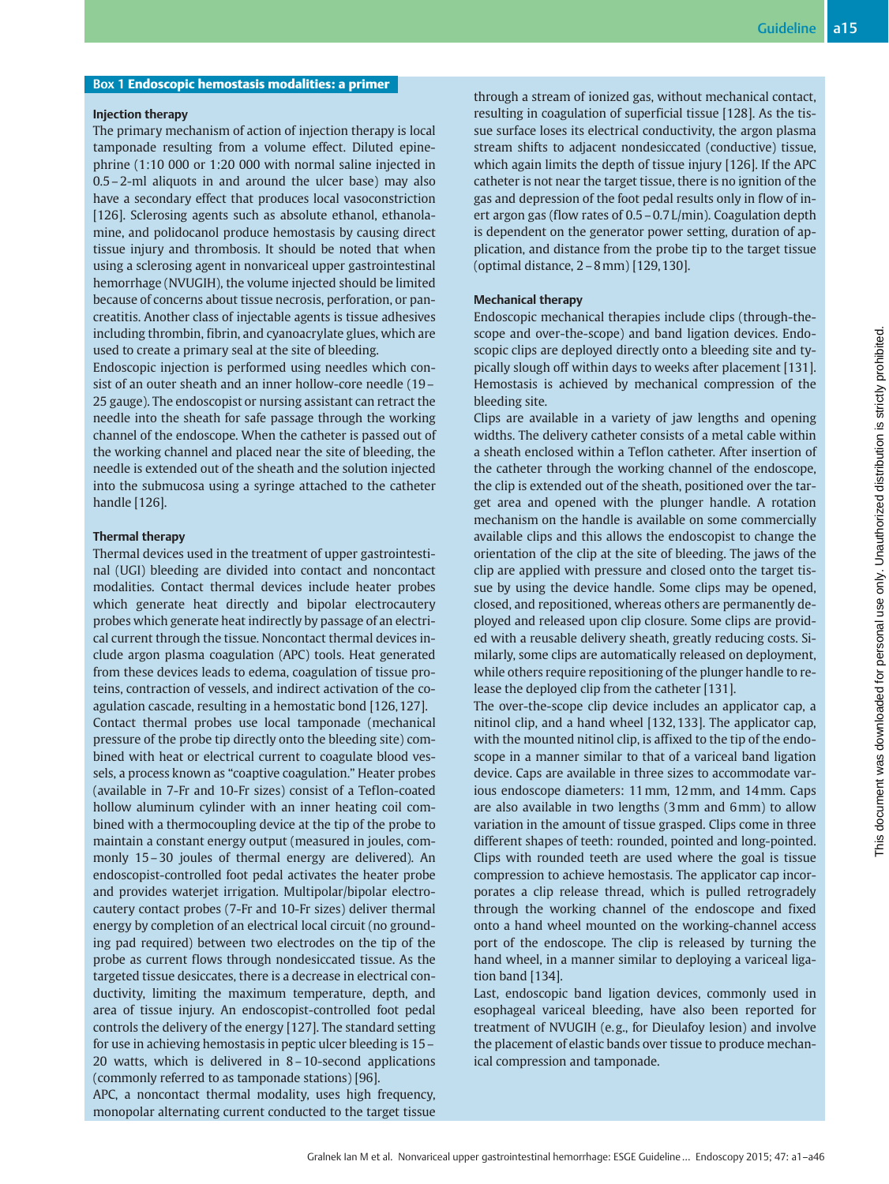### Box 1 Endoscopic hemostasis modalities: a primer

#### Injection therapy

The primary mechanism of action of injection therapy is local tamponade resulting from a volume effect. Diluted epinephrine (1:10 000 or 1:20 000 with normal saline injected in 0.5–2-ml aliquots in and around the ulcer base) may also have a secondary effect that produces local vasoconstriction [126]. Sclerosing agents such as absolute ethanol, ethanolamine, and polidocanol produce hemostasis by causing direct tissue injury and thrombosis. It should be noted that when using a sclerosing agent in nonvariceal upper gastrointestinal hemorrhage (NVUGIH), the volume injected should be limited because of concerns about tissue necrosis, perforation, or pancreatitis. Another class of injectable agents is tissue adhesives including thrombin, fibrin, and cyanoacrylate glues, which are used to create a primary seal at the site of bleeding.

Endoscopic injection is performed using needles which consist of an outer sheath and an inner hollow-core needle (19– 25 gauge). The endoscopist or nursing assistant can retract the needle into the sheath for safe passage through the working channel of the endoscope. When the catheter is passed out of the working channel and placed near the site of bleeding, the needle is extended out of the sheath and the solution injected into the submucosa using a syringe attached to the catheter handle [126].

#### Thermal therapy

Thermal devices used in the treatment of upper gastrointestinal (UGI) bleeding are divided into contact and noncontact modalities. Contact thermal devices include heater probes which generate heat directly and bipolar electrocautery probes which generate heat indirectly by passage of an electrical current through the tissue. Noncontact thermal devices include argon plasma coagulation (APC) tools. Heat generated from these devices leads to edema, coagulation of tissue proteins, contraction of vessels, and indirect activation of the coagulation cascade, resulting in a hemostatic bond [126, 127]. Contact thermal probes use local tamponade (mechanical pressure of the probe tip directly onto the bleeding site) combined with heat or electrical current to coagulate blood vessels, a process known as "coaptive coagulation." Heater probes (available in 7-Fr and 10-Fr sizes) consist of a Teflon-coated hollow aluminum cylinder with an inner heating coil combined with a thermocoupling device at the tip of the probe to maintain a constant energy output (measured in joules, commonly 15–30 joules of thermal energy are delivered). An endoscopist-controlled foot pedal activates the heater probe and provides waterjet irrigation. Multipolar/bipolar electrocautery contact probes (7-Fr and 10-Fr sizes) deliver thermal energy by completion of an electrical local circuit (no grounding pad required) between two electrodes on the tip of the probe as current flows through nondesiccated tissue. As the targeted tissue desiccates, there is a decrease in electrical conductivity, limiting the maximum temperature, depth, and area of tissue injury. An endoscopist-controlled foot pedal controls the delivery of the energy [127]. The standard setting for use in achieving hemostasis in peptic ulcer bleeding is 15– 20 watts, which is delivered in 8–10-second applications (commonly referred to as tamponade stations) [96].

APC, a noncontact thermal modality, uses high frequency, monopolar alternating current conducted to the target tissue

through a stream of ionized gas, without mechanical contact, resulting in coagulation of superficial tissue [128]. As the tissue surface loses its electrical conductivity, the argon plasma stream shifts to adjacent nondesiccated (conductive) tissue, which again limits the depth of tissue injury [126]. If the APC catheter is not near the target tissue, there is no ignition of the gas and depression of the foot pedal results only in flow of inert argon gas (flow rates of 0.5–0.7 L/min). Coagulation depth is dependent on the generator power setting, duration of application, and distance from the probe tip to the target tissue (optimal distance, 2–8mm) [129, 130].

### Mechanical therapy

Endoscopic mechanical therapies include clips (through-thescope and over-the-scope) and band ligation devices. Endoscopic clips are deployed directly onto a bleeding site and typically slough off within days to weeks after placement [131]. Hemostasis is achieved by mechanical compression of the bleeding site.

Clips are available in a variety of jaw lengths and opening widths. The delivery catheter consists of a metal cable within a sheath enclosed within a Teflon catheter. After insertion of the catheter through the working channel of the endoscope, the clip is extended out of the sheath, positioned over the target area and opened with the plunger handle. A rotation mechanism on the handle is available on some commercially available clips and this allows the endoscopist to change the orientation of the clip at the site of bleeding. The jaws of the clip are applied with pressure and closed onto the target tissue by using the device handle. Some clips may be opened, closed, and repositioned, whereas others are permanently deployed and released upon clip closure. Some clips are provided with a reusable delivery sheath, greatly reducing costs. Similarly, some clips are automatically released on deployment, while others require repositioning of the plunger handle to release the deployed clip from the catheter [131].

The over-the-scope clip device includes an applicator cap, a nitinol clip, and a hand wheel [132, 133]. The applicator cap, with the mounted nitinol clip, is affixed to the tip of the endoscope in a manner similar to that of a variceal band ligation device. Caps are available in three sizes to accommodate various endoscope diameters: 11mm, 12mm, and 14mm. Caps are also available in two lengths (3mm and 6mm) to allow variation in the amount of tissue grasped. Clips come in three different shapes of teeth: rounded, pointed and long-pointed. Clips with rounded teeth are used where the goal is tissue compression to achieve hemostasis. The applicator cap incorporates a clip release thread, which is pulled retrogradely through the working channel of the endoscope and fixed onto a hand wheel mounted on the working-channel access port of the endoscope. The clip is released by turning the hand wheel, in a manner similar to deploying a variceal ligation band [134].

Last, endoscopic band ligation devices, commonly used in esophageal variceal bleeding, have also been reported for treatment of NVUGIH (e. g., for Dieulafoy lesion) and involve the placement of elastic bands over tissue to produce mechanical compression and tamponade.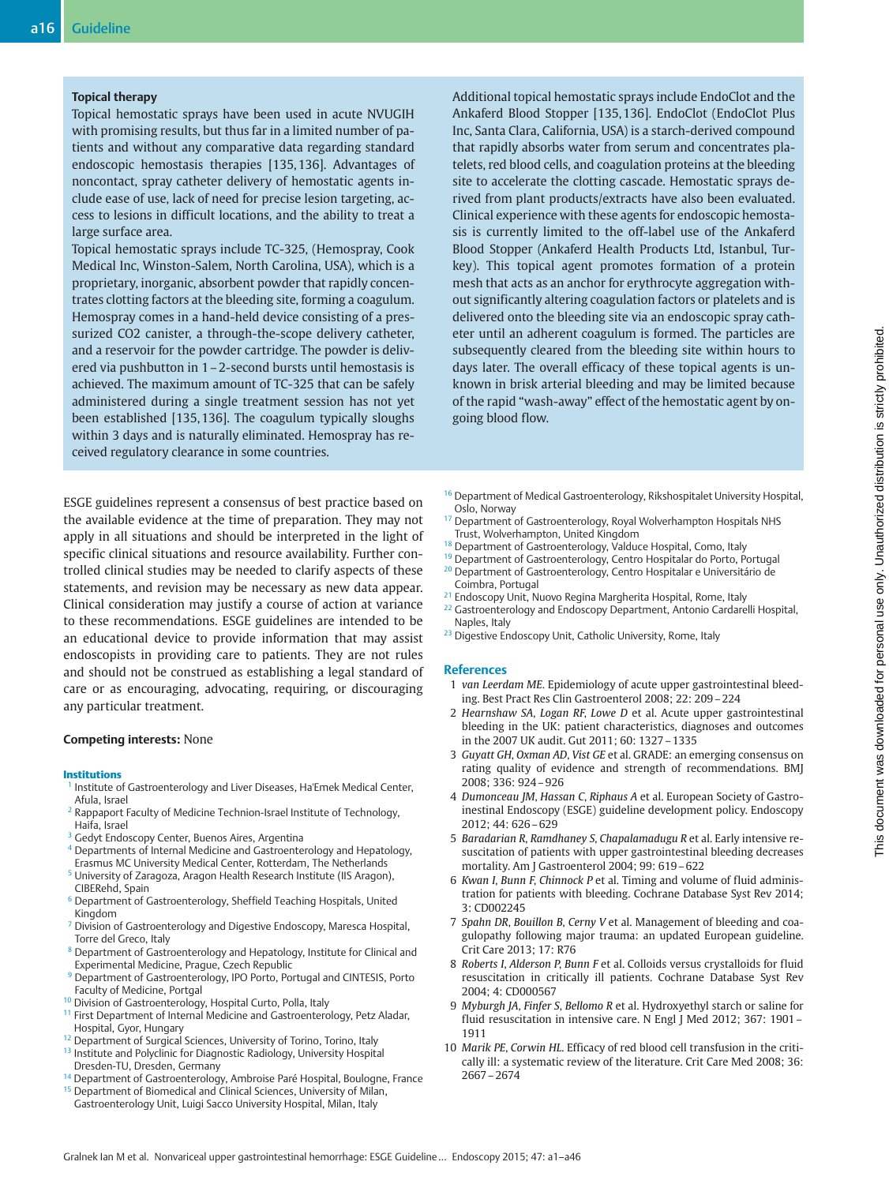#### Topical therapy

Topical hemostatic sprays have been used in acute NVUGIH with promising results, but thus far in a limited number of patients and without any comparative data regarding standard endoscopic hemostasis therapies [135, 136]. Advantages of noncontact, spray catheter delivery of hemostatic agents include ease of use, lack of need for precise lesion targeting, access to lesions in difficult locations, and the ability to treat a large surface area.

Topical hemostatic sprays include TC-325, (Hemospray, Cook Medical Inc, Winston-Salem, North Carolina, USA), which is a proprietary, inorganic, absorbent powder that rapidly concentrates clotting factors at the bleeding site, forming a coagulum. Hemospray comes in a hand-held device consisting of a pressurized CO2 canister, a through-the-scope delivery catheter, and a reservoir for the powder cartridge. The powder is delivered via pushbutton in 1–2-second bursts until hemostasis is achieved. The maximum amount of TC-325 that can be safely administered during a single treatment session has not yet been established [135, 136]. The coagulum typically sloughs within 3 days and is naturally eliminated. Hemospray has received regulatory clearance in some countries.

ESGE guidelines represent a consensus of best practice based on the available evidence at the time of preparation. They may not apply in all situations and should be interpreted in the light of specific clinical situations and resource availability. Further controlled clinical studies may be needed to clarify aspects of these statements, and revision may be necessary as new data appear. Clinical consideration may justify a course of action at variance to these recommendations. ESGE guidelines are intended to be an educational device to provide information that may assist endoscopists in providing care to patients. They are not rules and should not be construed as establishing a legal standard of care or as encouraging, advocating, requiring, or discouraging any particular treatment.

#### Competing interests: None

#### Institutions

- <sup>1</sup> Institute of Gastroenterology and Liver Diseases, Ha'Emek Medical Center, Afula, Israel
- <sup>2</sup> Rappaport Faculty of Medicine Technion-Israel Institute of Technology, Haifa, Israel
- Gedyt Endoscopy Center, Buenos Aires, Argentina
- <sup>4</sup> Departments of Internal Medicine and Gastroenterology and Hepatology, Erasmus MC University Medical Center, Rotterdam, The Netherlands
- University of Zaragoza, Aragon Health Research Institute (IIS Aragon), CIBERehd, Spain
- <sup>6</sup> Department of Gastroenterology, Sheffield Teaching Hospitals, United Kingdom
- <sup>7</sup> Division of Gastroenterology and Digestive Endoscopy, Maresca Hospital, Torre del Greco, Italy
- <sup>8</sup> Department of Gastroenterology and Hepatology, Institute for Clinical and Experimental Medicine, Prague, Czech Republic
- Department of Gastroenterology, IPO Porto, Portugal and CINTESIS, Porto Faculty of Medicine, Portgal
- <sup>10</sup> Division of Gastroenterology, Hospital Curto, Polla, Italy
- <sup>11</sup> First Department of Internal Medicine and Gastroenterology, Petz Aladar, Hospital, Gyor, Hungary
- 12 Department of Surgical Sciences, University of Torino, Torino, Italy
- <sup>13</sup> Institute and Polyclinic for Diagnostic Radiology, University Hospital Dresden-TU, Dresden, Germany
- <sup>14</sup> Department of Gastroenterology, Ambroise Paré Hospital, Boulogne, France <sup>15</sup> Department of Biomedical and Clinical Sciences, University of Milan, Gastroenterology Unit, Luigi Sacco University Hospital, Milan, Italy

Additional topical hemostatic sprays include EndoClot and the Ankaferd Blood Stopper [135, 136]. EndoClot (EndoClot Plus Inc, Santa Clara, California, USA) is a starch-derived compound that rapidly absorbs water from serum and concentrates platelets, red blood cells, and coagulation proteins at the bleeding site to accelerate the clotting cascade. Hemostatic sprays derived from plant products/extracts have also been evaluated. Clinical experience with these agents for endoscopic hemostasis is currently limited to the off-label use of the Ankaferd Blood Stopper (Ankaferd Health Products Ltd, Istanbul, Turkey). This topical agent promotes formation of a protein mesh that acts as an anchor for erythrocyte aggregation without significantly altering coagulation factors or platelets and is delivered onto the bleeding site via an endoscopic spray catheter until an adherent coagulum is formed. The particles are subsequently cleared from the bleeding site within hours to days later. The overall efficacy of these topical agents is unknown in brisk arterial bleeding and may be limited because of the rapid "wash-away" effect of the hemostatic agent by ongoing blood flow.

- <sup>16</sup> Department of Medical Gastroenterology, Rikshospitalet University Hospital, Oslo, Norway
- <sup>17</sup> Department of Gastroenterology, Royal Wolverhampton Hospitals NHS Trust, Wolverhampton, United Kingdom
- <sup>18</sup> Department of Gastroenterology, Valduce Hospital, Como, Italy
- <sup>19</sup> Department of Gastroenterology, Centro Hospitalar do Porto, Portugal <sup>20</sup> Department of Gastroenterology, Centro Hospitalar e Universitário de Coimbra, Portugal
- 
- <sup>21</sup> Endoscopy Unit, Nuovo Regina Margherita Hospital, Rome, Italy <sup>22</sup> Gastroenterology and Endoscopy Department, Antonio Cardarelli Hospital, Naples, Italy
- <sup>23</sup> Digestive Endoscopy Unit, Catholic University, Rome, Italy

#### **References**

- 1 van Leerdam ME. Epidemiology of acute upper gastrointestinal bleeding. Best Pract Res Clin Gastroenterol 2008; 22: 209–224
- 2 Hearnshaw SA, Logan RF, Lowe D et al. Acute upper gastrointestinal bleeding in the UK: patient characteristics, diagnoses and outcomes in the 2007 UK audit. Gut 2011; 60: 1327–1335
- 3 Guyatt GH, Oxman AD, Vist GE et al. GRADE: an emerging consensus on rating quality of evidence and strength of recommendations. BMJ 2008; 336: 924–926
- 4 Dumonceau JM, Hassan C, Riphaus A et al. European Society of Gastroinestinal Endoscopy (ESGE) guideline development policy. Endoscopy 2012; 44: 626–629
- 5 Baradarian R, Ramdhaney S, Chapalamadugu R et al. Early intensive resuscitation of patients with upper gastrointestinal bleeding decreases mortality. Am J Gastroenterol 2004; 99: 619–622
- 6 Kwan I, Bunn F, Chinnock P et al. Timing and volume of fluid administration for patients with bleeding. Cochrane Database Syst Rev 2014; 3: CD002245
- 7 Spahn DR, Bouillon B, Cerny V et al. Management of bleeding and coagulopathy following major trauma: an updated European guideline. Crit Care 2013; 17: R76
- 8 Roberts I, Alderson P, Bunn F et al. Colloids versus crystalloids for fluid resuscitation in critically ill patients. Cochrane Database Syst Rev 2004; 4: CD000567
- 9 Myburgh JA, Finfer S, Bellomo R et al. Hydroxyethyl starch or saline for fluid resuscitation in intensive care. N Engl J Med 2012; 367: 1901– 1911
- 10 Marik PE, Corwin HL. Efficacy of red blood cell transfusion in the critically ill: a systematic review of the literature. Crit Care Med 2008; 36: 2667–2674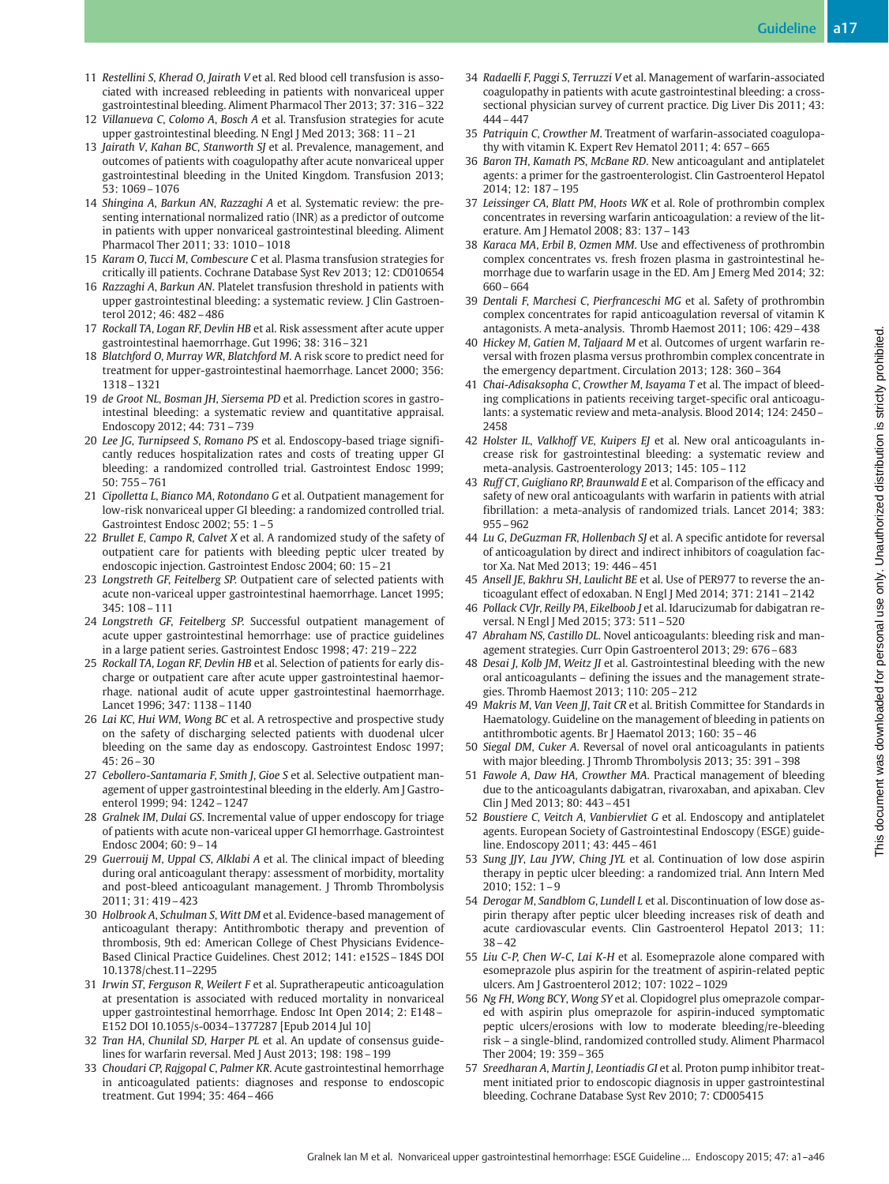- 11 Restellini S, Kherad O, Jairath V et al. Red blood cell transfusion is associated with increased rebleeding in patients with nonvariceal upper gastrointestinal bleeding. Aliment Pharmacol Ther 2013; 37: 316–322
- 12 Villanueva C, Colomo A, Bosch A et al. Transfusion strategies for acute upper gastrointestinal bleeding. N Engl J Med 2013; 368: 11–21
- 13 Jairath V, Kahan BC, Stanworth SJ et al. Prevalence, management, and outcomes of patients with coagulopathy after acute nonvariceal upper gastrointestinal bleeding in the United Kingdom. Transfusion 2013; 53: 1069–1076
- 14 Shingina A, Barkun AN, Razzaghi A et al. Systematic review: the presenting international normalized ratio (INR) as a predictor of outcome in patients with upper nonvariceal gastrointestinal bleeding. Aliment Pharmacol Ther 2011; 33: 1010–1018
- 15 Karam O, Tucci M, Combescure C et al. Plasma transfusion strategies for critically ill patients. Cochrane Database Syst Rev 2013; 12: CD010654
- 16 Razzaghi A, Barkun AN. Platelet transfusion threshold in patients with upper gastrointestinal bleeding: a systematic review. J Clin Gastroenterol 2012; 46: 482–486
- 17 Rockall TA, Logan RF, Devlin HB et al. Risk assessment after acute upper gastrointestinal haemorrhage. Gut 1996; 38: 316–321
- 18 Blatchford O, Murray WR, Blatchford M. A risk score to predict need for treatment for upper-gastrointestinal haemorrhage. Lancet 2000; 356: 1318–1321
- 19 de Groot NL, Bosman JH, Siersema PD et al. Prediction scores in gastrointestinal bleeding: a systematic review and quantitative appraisal. Endoscopy 2012; 44: 731–739
- 20 Lee JG, Turnipseed S, Romano PS et al. Endoscopy-based triage significantly reduces hospitalization rates and costs of treating upper GI bleeding: a randomized controlled trial. Gastrointest Endosc 1999; 50: 755–761
- 21 Cipolletta L, Bianco MA, Rotondano G et al. Outpatient management for low-risk nonvariceal upper GI bleeding: a randomized controlled trial. Gastrointest Endosc 2002; 55: 1–5
- 22 Brullet E, Campo R, Calvet X et al. A randomized study of the safety of outpatient care for patients with bleeding peptic ulcer treated by endoscopic injection. Gastrointest Endosc 2004; 60: 15–21
- 23 Longstreth GF, Feitelberg SP. Outpatient care of selected patients with acute non-variceal upper gastrointestinal haemorrhage. Lancet 1995; 345: 108–111
- 24 Longstreth GF, Feitelberg SP. Successful outpatient management of acute upper gastrointestinal hemorrhage: use of practice guidelines in a large patient series. Gastrointest Endosc 1998; 47: 219–222
- 25 Rockall TA, Logan RF, Devlin HB et al. Selection of patients for early discharge or outpatient care after acute upper gastrointestinal haemorrhage. national audit of acute upper gastrointestinal haemorrhage. Lancet 1996; 347: 1138–1140
- 26 Lai KC, Hui WM, Wong BC et al. A retrospective and prospective study on the safety of discharging selected patients with duodenal ulcer bleeding on the same day as endoscopy. Gastrointest Endosc 1997; 45: 26–30
- 27 Cebollero-Santamaria F, Smith J, Gioe S et al. Selective outpatient management of upper gastrointestinal bleeding in the elderly. Am J Gastroenterol 1999; 94: 1242–1247
- 28 Gralnek IM, Dulai GS. Incremental value of upper endoscopy for triage of patients with acute non-variceal upper GI hemorrhage. Gastrointest Endosc 2004; 60: 9–14
- 29 Guerrouij M, Uppal CS, Alklabi A et al. The clinical impact of bleeding during oral anticoagulant therapy: assessment of morbidity, mortality and post-bleed anticoagulant management. J Thromb Thrombolysis 2011; 31: 419–423
- 30 Holbrook A, Schulman S, Witt DM et al. Evidence-based management of anticoagulant therapy: Antithrombotic therapy and prevention of thrombosis, 9th ed: American College of Chest Physicians Evidence-Based Clinical Practice Guidelines. Chest 2012; 141: e152S–184S DOI 10.1378/chest.11–2295
- 31 Irwin ST, Ferguson R, Weilert F et al. Supratherapeutic anticoagulation at presentation is associated with reduced mortality in nonvariceal upper gastrointestinal hemorrhage. Endosc Int Open 2014; 2: E148– E152 DOI 10.1055/s-0034–1377287 [Epub 2014 Jul 10]
- 32 Tran HA, Chunilal SD, Harper PL et al. An update of consensus guidelines for warfarin reversal. Med J Aust 2013; 198: 198 - 199
- 33 Choudari CP, Rajgopal C, Palmer KR. Acute gastrointestinal hemorrhage in anticoagulated patients: diagnoses and response to endoscopic treatment. Gut 1994; 35: 464–466
- 34 Radaelli F, Paggi S, Terruzzi V et al. Management of warfarin-associated coagulopathy in patients with acute gastrointestinal bleeding: a crosssectional physician survey of current practice. Dig Liver Dis 2011; 43: 444–447
- 35 Patriquin C, Crowther M. Treatment of warfarin-associated coagulopathy with vitamin K. Expert Rev Hematol 2011; 4: 657–665
- 36 Baron TH, Kamath PS, McBane RD. New anticoagulant and antiplatelet agents: a primer for the gastroenterologist. Clin Gastroenterol Hepatol 2014; 12: 187–195
- 37 Leissinger CA, Blatt PM, Hoots WK et al. Role of prothrombin complex concentrates in reversing warfarin anticoagulation: a review of the literature. Am J Hematol 2008; 83: 137–143
- 38 Karaca MA, Erbil B, Ozmen MM. Use and effectiveness of prothrombin complex concentrates vs. fresh frozen plasma in gastrointestinal hemorrhage due to warfarin usage in the ED. Am J Emerg Med 2014; 32: 660–664
- 39 Dentali F, Marchesi C, Pierfranceschi MG et al. Safety of prothrombin complex concentrates for rapid anticoagulation reversal of vitamin K antagonists. A meta-analysis. Thromb Haemost 2011; 106: 429–438
- 40 Hickey M, Gatien M, Taljaard M et al. Outcomes of urgent warfarin reversal with frozen plasma versus prothrombin complex concentrate in the emergency department. Circulation 2013; 128: 360–364
- 41 Chai-Adisaksopha C, Crowther M, Isayama T et al. The impact of bleeding complications in patients receiving target-specific oral anticoagulants: a systematic review and meta-analysis. Blood 2014; 124: 2450– 2458
- 42 Holster IL, Valkhoff VE, Kuipers EJ et al. New oral anticoagulants increase risk for gastrointestinal bleeding: a systematic review and meta-analysis. Gastroenterology 2013; 145: 105–112
- 43 Ruff CT, Guigliano RP, Braunwald E et al. Comparison of the efficacy and safety of new oral anticoagulants with warfarin in patients with atrial fibrillation: a meta-analysis of randomized trials. Lancet 2014; 383: 955–962
- 44 Lu G, DeGuzman FR, Hollenbach SJ et al. A specific antidote for reversal of anticoagulation by direct and indirect inhibitors of coagulation factor Xa. Nat Med 2013; 19: 446–451
- 45 Ansell JE, Bakhru SH, Laulicht BE et al. Use of PER977 to reverse the anticoagulant effect of edoxaban. N Engl J Med 2014; 371: 2141–2142
- 46 Pollack CVJr, Reilly PA, Eikelboob J et al. Idarucizumab for dabigatran reversal. N Engl J Med 2015; 373: 511–520
- 47 Abraham NS, Castillo DL. Novel anticoagulants: bleeding risk and management strategies. Curr Opin Gastroenterol 2013; 29: 676–683
- 48 Desai J, Kolb JM, Weitz JI et al. Gastrointestinal bleeding with the new oral anticoagulants – defining the issues and the management strategies. Thromb Haemost 2013; 110: 205–212
- 49 Makris M, Van Veen JJ, Tait CR et al. British Committee for Standards in Haematology. Guideline on the management of bleeding in patients on antithrombotic agents. Br J Haematol 2013; 160: 35–46
- 50 Siegal DM, Cuker A. Reversal of novel oral anticoagulants in patients with major bleeding. J Thromb Thrombolysis 2013; 35: 391 - 398
- 51 Fawole A, Daw HA, Crowther MA. Practical management of bleeding due to the anticoagulants dabigatran, rivaroxaban, and apixaban. Clev Clin J Med 2013; 80: 443–451
- 52 Boustiere C, Veitch A, Vanbiervliet G et al. Endoscopy and antiplatelet agents. European Society of Gastrointestinal Endoscopy (ESGE) guideline. Endoscopy 2011; 43: 445–461
- 53 Sung JJY, Lau JYW, Ching JYL et al. Continuation of low dose aspirin therapy in peptic ulcer bleeding: a randomized trial. Ann Intern Med 2010; 152: 1–9
- 54 Derogar M, Sandblom G, Lundell L et al. Discontinuation of low dose aspirin therapy after peptic ulcer bleeding increases risk of death and acute cardiovascular events. Clin Gastroenterol Hepatol 2013; 11: 38–42
- 55 Liu C-P, Chen W-C, Lai K-H et al. Esomeprazole alone compared with esomeprazole plus aspirin for the treatment of aspirin-related peptic ulcers. Am J Gastroenterol 2012; 107: 1022–1029
- 56 Ng FH, Wong BCY, Wong SY et al. Clopidogrel plus omeprazole compared with aspirin plus omeprazole for aspirin-induced symptomatic peptic ulcers/erosions with low to moderate bleeding/re-bleeding risk – a single-blind, randomized controlled study. Aliment Pharmacol Ther 2004; 19: 359–365
- 57 Sreedharan A, Martin J, Leontiadis GI et al. Proton pump inhibitor treatment initiated prior to endoscopic diagnosis in upper gastrointestinal bleeding. Cochrane Database Syst Rev 2010; 7: CD005415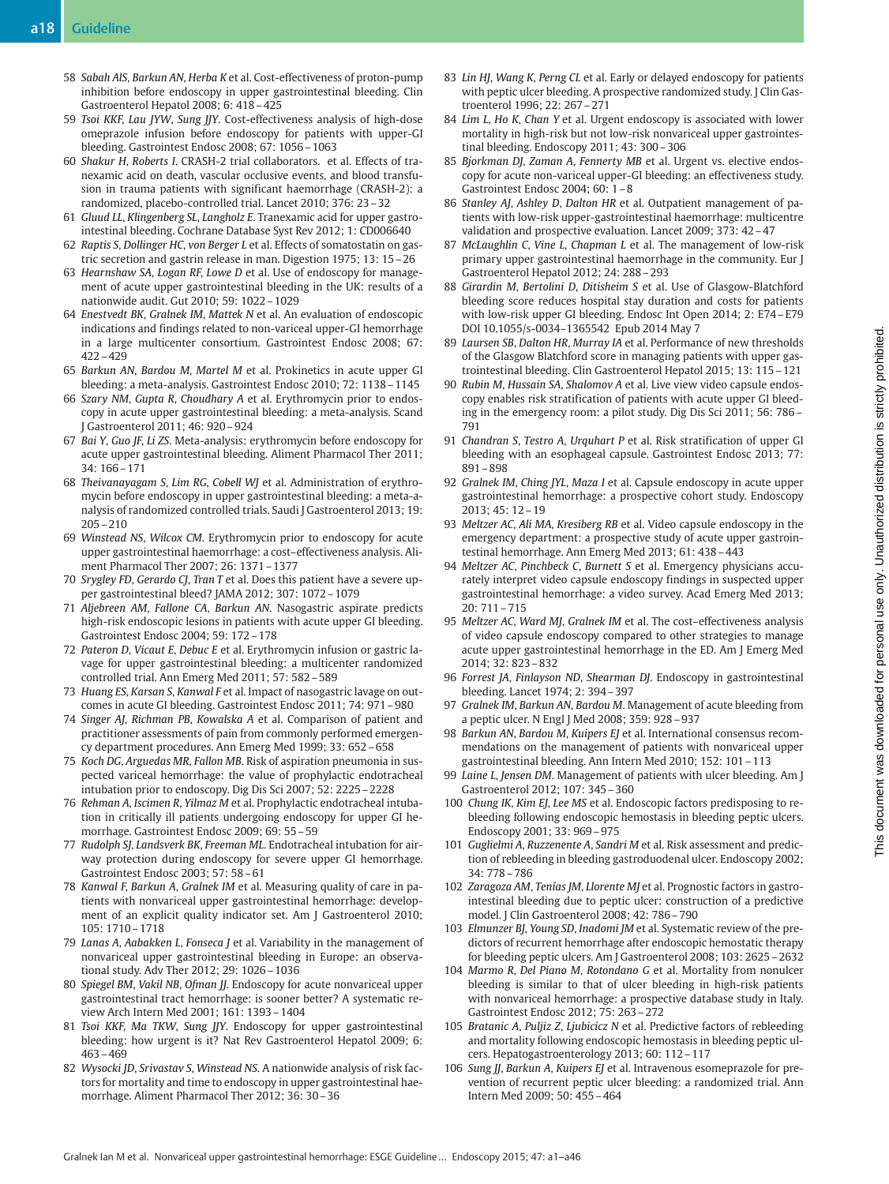- 58 Sabah AlS, Barkun AN, Herba K et al. Cost-effectiveness of proton-pump inhibition before endoscopy in upper gastrointestinal bleeding. Clin Gastroenterol Hepatol 2008; 6: 418–425
- 59 Tsoi KKF, Lau JYW, Sung JJY. Cost-effectiveness analysis of high-dose omeprazole infusion before endoscopy for patients with upper-GI bleeding. Gastrointest Endosc 2008; 67: 1056–1063
- 60 Shakur H, Roberts I. CRASH-2 trial collaborators. et al. Effects of tranexamic acid on death, vascular occlusive events, and blood transfusion in trauma patients with significant haemorrhage (CRASH-2): a randomized, placebo-controlled trial. Lancet 2010; 376: 23–32
- 61 Gluud LL, Klingenberg SL, Langholz E. Tranexamic acid for upper gastrointestinal bleeding. Cochrane Database Syst Rev 2012; 1: CD006640
- 62 Raptis S, Dollinger HC, von Berger L et al. Effects of somatostatin on gastric secretion and gastrin release in man. Digestion 1975; 13: 15–26
- 63 Hearnshaw SA, Logan RF, Lowe D et al. Use of endoscopy for management of acute upper gastrointestinal bleeding in the UK: results of a nationwide audit. Gut 2010; 59: 1022–1029
- 64 Enestvedt BK, Gralnek IM, Mattek N et al. An evaluation of endoscopic indications and findings related to non-variceal upper-GI hemorrhage in a large multicenter consortium. Gastrointest Endosc 2008; 67: 422–429
- 65 Barkun AN, Bardou M, Martel M et al. Prokinetics in acute upper GI bleeding: a meta-analysis. Gastrointest Endosc 2010; 72: 1138–1145
- 66 Szary NM, Gupta R, Choudhary A et al. Erythromycin prior to endoscopy in acute upper gastrointestinal bleeding: a meta-analysis. Scand J Gastroenterol 2011; 46: 920–924
- 67 Bai Y, Guo JF, Li ZS. Meta-analysis: erythromycin before endoscopy for acute upper gastrointestinal bleeding. Aliment Pharmacol Ther 2011; 34: 166–171
- 68 Theivanayagam S, Lim RG, Cobell WJ et al. Administration of erythromycin before endoscopy in upper gastrointestinal bleeding: a meta-analysis of randomized controlled trials. Saudi J Gastroenterol 2013; 19: 205–210
- 69 Winstead NS, Wilcox CM. Erythromycin prior to endoscopy for acute upper gastrointestinal haemorrhage: a cost–effectiveness analysis. Aliment Pharmacol Ther 2007; 26: 1371–1377
- 70 Srygley FD, Gerardo CJ, Tran T et al. Does this patient have a severe upper gastrointestinal bleed? JAMA 2012; 307: 1072–1079
- 71 Aljebreen AM, Fallone CA, Barkun AN. Nasogastric aspirate predicts high-risk endoscopic lesions in patients with acute upper GI bleeding. Gastrointest Endosc 2004; 59: 172–178
- 72 Pateron D, Vicaut E, Debuc E et al. Erythromycin infusion or gastric lavage for upper gastrointestinal bleeding: a multicenter randomized controlled trial. Ann Emerg Med 2011; 57: 582–589
- 73 Huang ES, Karsan S, Kanwal F et al. Impact of nasogastric lavage on outcomes in acute GI bleeding. Gastrointest Endosc 2011; 74: 971–980
- 74 Singer AJ, Richman PB, Kowalska A et al. Comparison of patient and practitioner assessments of pain from commonly performed emergency department procedures. Ann Emerg Med 1999; 33: 652–658
- 75 Koch DG, Arguedas MR, Fallon MB. Risk of aspiration pneumonia in suspected variceal hemorrhage: the value of prophylactic endotracheal intubation prior to endoscopy. Dig Dis Sci 2007; 52: 2225–2228
- 76 Rehman A, Iscimen R, Yilmaz M et al. Prophylactic endotracheal intubation in critically ill patients undergoing endoscopy for upper GI hemorrhage. Gastrointest Endosc 2009; 69: 55–59
- 77 Rudolph SJ, Landsverk BK, Freeman ML. Endotracheal intubation for airway protection during endoscopy for severe upper GI hemorrhage. Gastrointest Endosc 2003; 57: 58–61
- 78 Kanwal F, Barkun A, Gralnek IM et al. Measuring quality of care in patients with nonvariceal upper gastrointestinal hemorrhage: development of an explicit quality indicator set. Am J Gastroenterol 2010; 105: 1710–1718
- 79 Lanas A, Aabakken L, Fonseca J et al. Variability in the management of nonvariceal upper gastrointestinal bleeding in Europe: an observational study. Adv Ther 2012; 29: 1026–1036
- 80 Spiegel BM, Vakil NB, Ofman JJ. Endoscopy for acute nonvariceal upper gastrointestinal tract hemorrhage: is sooner better? A systematic review Arch Intern Med 2001; 161: 1393–1404
- 81 Tsoi KKF, Ma TKW, Sung JJY. Endoscopy for upper gastrointestinal bleeding: how urgent is it? Nat Rev Gastroenterol Hepatol 2009; 6: 463–469
- 82 Wysocki JD, Srivastav S, Winstead NS. A nationwide analysis of risk factors for mortality and time to endoscopy in upper gastrointestinal haemorrhage. Aliment Pharmacol Ther 2012; 36: 30–36
- 83 Lin HJ, Wang K, Perng CL et al. Early or delayed endoscopy for patients with peptic ulcer bleeding. A prospective randomized study. J Clin Gastroenterol 1996; 22: 267–271
- 84 Lim L, Ho K, Chan Y et al. Urgent endoscopy is associated with lower mortality in high-risk but not low-risk nonvariceal upper gastrointestinal bleeding. Endoscopy 2011; 43: 300–306
- 85 Bjorkman DJ, Zaman A, Fennerty MB et al. Urgent vs. elective endoscopy for acute non-variceal upper-GI bleeding: an effectiveness study. Gastrointest Endosc 2004; 60: 1–8
- 86 Stanley AJ, Ashley D, Dalton HR et al. Outpatient management of patients with low-risk upper-gastrointestinal haemorrhage: multicentre validation and prospective evaluation. Lancet 2009; 373: 42–47
- 87 McLaughlin C, Vine L, Chapman L et al. The management of low-risk primary upper gastrointestinal haemorrhage in the community. Eur J Gastroenterol Hepatol 2012; 24: 288–293
- 88 Girardin M, Bertolini D, Ditisheim S et al. Use of Glasgow-Blatchford bleeding score reduces hospital stay duration and costs for patients with low-risk upper GI bleeding. Endosc Int Open 2014; 2: E74–E79 DOI 10.1055/s-0034–1365542 Epub 2014 May 7
- 89 Laursen SB, Dalton HR, Murray IA et al. Performance of new thresholds of the Glasgow Blatchford score in managing patients with upper gastrointestinal bleeding. Clin Gastroenterol Hepatol 2015; 13: 115–121
- 90 Rubin M, Hussain SA, Shalomov A et al. Live view video capsule endoscopy enables risk stratification of patients with acute upper GI bleeding in the emergency room: a pilot study. Dig Dis Sci 2011; 56: 786– 791
- 91 Chandran S, Testro A, Urquhart P et al. Risk stratification of upper GI bleeding with an esophageal capsule. Gastrointest Endosc 2013; 77: 891–898
- 92 Gralnek IM, Ching JYL, Maza I et al. Capsule endoscopy in acute upper gastrointestinal hemorrhage: a prospective cohort study. Endoscopy 2013; 45: 12–19
- 93 Meltzer AC, Ali MA, Kresiberg RB et al. Video capsule endoscopy in the emergency department: a prospective study of acute upper gastrointestinal hemorrhage. Ann Emerg Med 2013; 61: 438–443
- 94 Meltzer AC, Pinchbeck C, Burnett S et al. Emergency physicians accurately interpret video capsule endoscopy findings in suspected upper gastrointestinal hemorrhage: a video survey. Acad Emerg Med 2013; 20: 711–715
- 95 Meltzer AC, Ward MJ, Gralnek IM et al. The cost–effectiveness analysis of video capsule endoscopy compared to other strategies to manage acute upper gastrointestinal hemorrhage in the ED. Am J Emerg Med 2014; 32: 823–832
- 96 Forrest JA, Finlayson ND, Shearman DJ. Endoscopy in gastrointestinal bleeding. Lancet 1974; 2: 394–397
- 97 Gralnek IM, Barkun AN, Bardou M. Management of acute bleeding from a peptic ulcer. N Engl J Med 2008; 359: 928–937
- 98 Barkun AN, Bardou M, Kuipers EJ et al. International consensus recommendations on the management of patients with nonvariceal upper gastrointestinal bleeding. Ann Intern Med 2010; 152: 101–113
- 99 Laine L, Jensen DM. Management of patients with ulcer bleeding. Am J Gastroenterol 2012; 107: 345–360
- 100 Chung IK, Kim EJ, Lee MS et al. Endoscopic factors predisposing to rebleeding following endoscopic hemostasis in bleeding peptic ulcers. Endoscopy 2001; 33: 969–975
- 101 Guglielmi A, Ruzzenente A, Sandri M et al. Risk assessment and prediction of rebleeding in bleeding gastroduodenal ulcer. Endoscopy 2002; 34: 778–786
- 102 Zaragoza AM, Tenías JM, Llorente MJ et al. Prognostic factors in gastrointestinal bleeding due to peptic ulcer: construction of a predictive model. J Clin Gastroenterol 2008; 42: 786–790
- 103 Elmunzer BJ, Young SD, Inadomi JM et al. Systematic review of the predictors of recurrent hemorrhage after endoscopic hemostatic therapy for bleeding peptic ulcers. Am J Gastroenterol 2008; 103: 2625–2632
- 104 Marmo R, Del Piano M, Rotondano G et al. Mortality from nonulcer bleeding is similar to that of ulcer bleeding in high-risk patients with nonvariceal hemorrhage: a prospective database study in Italy. Gastrointest Endosc 2012; 75: 263–272
- 105 Bratanic A, Puljiz Z, Ljubicicz N et al. Predictive factors of rebleeding and mortality following endoscopic hemostasis in bleeding peptic ulcers. Hepatogastroenterology 2013; 60: 112–117
- 106 Sung JJ, Barkun A, Kuipers EJ et al. Intravenous esomeprazole for prevention of recurrent peptic ulcer bleeding: a randomized trial. Ann Intern Med 2009; 50: 455–464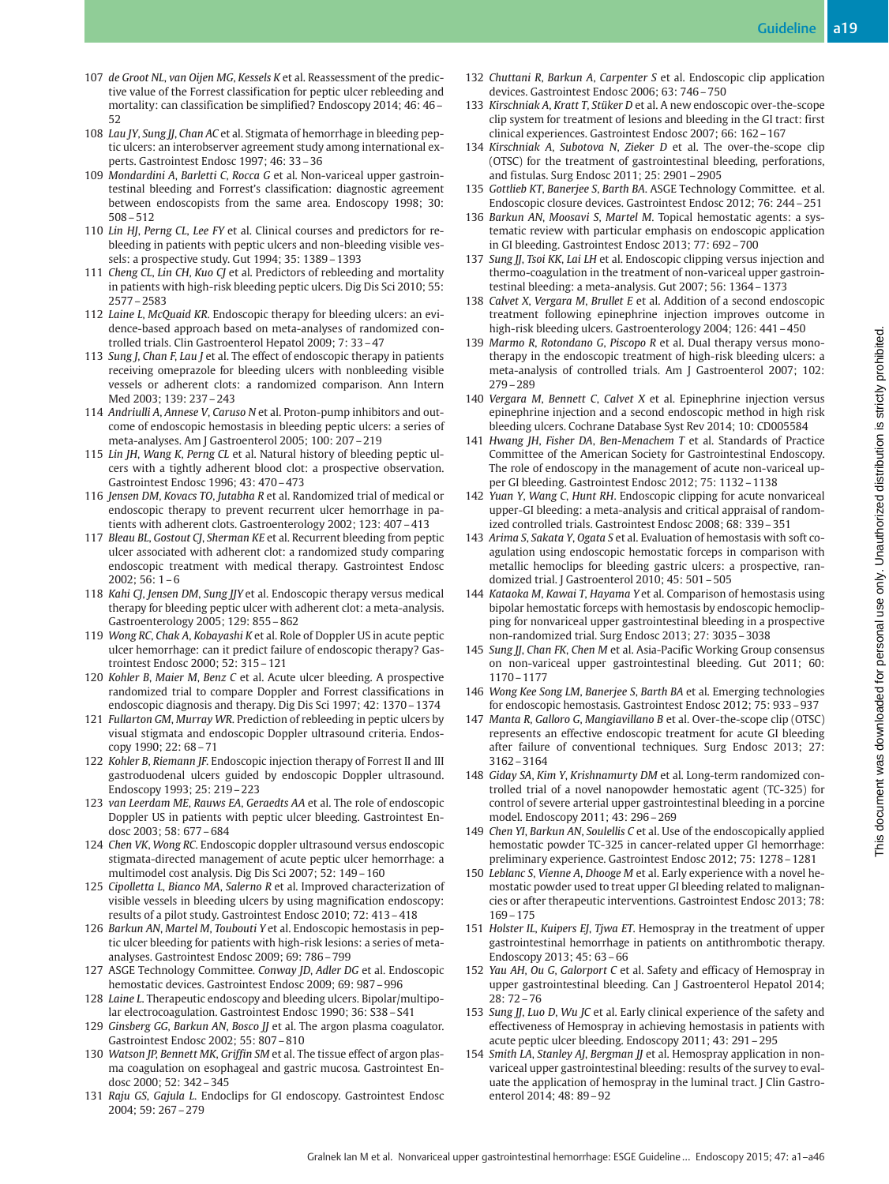- 107 de Groot NL, van Oijen MG, Kessels K et al. Reassessment of the predictive value of the Forrest classification for peptic ulcer rebleeding and mortality: can classification be simplified? Endoscopy 2014; 46: 46– 52
- 108 Lau JY, Sung JJ, Chan AC et al. Stigmata of hemorrhage in bleeding peptic ulcers: an interobserver agreement study among international experts. Gastrointest Endosc 1997; 46: 33–36
- 109 Mondardini A, Barletti C, Rocca G et al. Non-variceal upper gastrointestinal bleeding and Forrest's classification: diagnostic agreement between endoscopists from the same area. Endoscopy 1998; 30: 508–512
- 110 Lin HJ, Perng CL, Lee FY et al. Clinical courses and predictors for rebleeding in patients with peptic ulcers and non-bleeding visible vessels: a prospective study. Gut 1994; 35: 1389–1393
- 111 Cheng CL, Lin CH, Kuo CJ et al. Predictors of rebleeding and mortality in patients with high-risk bleeding peptic ulcers. Dig Dis Sci 2010; 55: 2577–2583
- 112 Laine L, McQuaid KR. Endoscopic therapy for bleeding ulcers: an evidence-based approach based on meta-analyses of randomized controlled trials. Clin Gastroenterol Hepatol 2009; 7: 33–47
- 113 Sung J, Chan F, Lau J et al. The effect of endoscopic therapy in patients receiving omeprazole for bleeding ulcers with nonbleeding visible vessels or adherent clots: a randomized comparison. Ann Intern Med 2003; 139: 237–243
- 114 Andriulli A, Annese V, Caruso N et al. Proton-pump inhibitors and outcome of endoscopic hemostasis in bleeding peptic ulcers: a series of meta-analyses. Am J Gastroenterol 2005; 100: 207–219
- 115 Lin JH, Wang K, Perng CL et al. Natural history of bleeding peptic ulcers with a tightly adherent blood clot: a prospective observation. Gastrointest Endosc 1996; 43: 470–473
- 116 Jensen DM, Kovacs TO, Jutabha R et al. Randomized trial of medical or endoscopic therapy to prevent recurrent ulcer hemorrhage in patients with adherent clots. Gastroenterology 2002; 123: 407–413
- 117 Bleau BL, Gostout CJ, Sherman KE et al. Recurrent bleeding from peptic ulcer associated with adherent clot: a randomized study comparing endoscopic treatment with medical therapy. Gastrointest Endosc 2002; 56: 1–6
- 118 Kahi CJ, Jensen DM, Sung JJY et al. Endoscopic therapy versus medical therapy for bleeding peptic ulcer with adherent clot: a meta-analysis. Gastroenterology 2005; 129: 855–862
- 119 Wong RC, Chak A, Kobayashi K et al. Role of Doppler US in acute peptic ulcer hemorrhage: can it predict failure of endoscopic therapy? Gastrointest Endosc 2000; 52: 315–121
- 120 Kohler B, Maier M, Benz C et al. Acute ulcer bleeding. A prospective randomized trial to compare Doppler and Forrest classifications in endoscopic diagnosis and therapy. Dig Dis Sci 1997; 42: 1370–1374
- 121 Fullarton GM, Murray WR. Prediction of rebleeding in peptic ulcers by visual stigmata and endoscopic Doppler ultrasound criteria. Endoscopy 1990; 22: 68–71
- 122 Kohler B, Riemann JF. Endoscopic injection therapy of Forrest II and III gastroduodenal ulcers guided by endoscopic Doppler ultrasound. Endoscopy 1993; 25: 219–223
- 123 van Leerdam ME, Rauws EA, Geraedts AA et al. The role of endoscopic Doppler US in patients with peptic ulcer bleeding. Gastrointest Endosc 2003; 58: 677–684
- 124 Chen VK, Wong RC. Endoscopic doppler ultrasound versus endoscopic stigmata-directed management of acute peptic ulcer hemorrhage: a multimodel cost analysis. Dig Dis Sci 2007; 52: 149–160
- 125 Cipolletta L, Bianco MA, Salerno R et al. Improved characterization of visible vessels in bleeding ulcers by using magnification endoscopy: results of a pilot study. Gastrointest Endosc 2010; 72: 413–418
- 126 Barkun AN, Martel M, Toubouti Y et al. Endoscopic hemostasis in peptic ulcer bleeding for patients with high-risk lesions: a series of metaanalyses. Gastrointest Endosc 2009; 69: 786–799
- 127 ASGE Technology Committee. Conway JD, Adler DG et al. Endoscopic hemostatic devices. Gastrointest Endosc 2009; 69: 987–996
- 128 Laine L. Therapeutic endoscopy and bleeding ulcers. Bipolar/multipolar electrocoagulation. Gastrointest Endosc 1990; 36: S38–S41
- 129 Ginsberg GG, Barkun AN, Bosco JJ et al. The argon plasma coagulator. Gastrointest Endosc 2002; 55: 807–810
- 130 Watson JP, Bennett MK, Griffin SM et al. The tissue effect of argon plasma coagulation on esophageal and gastric mucosa. Gastrointest Endosc 2000; 52: 342–345
- 131 Raju GS, Gajula L. Endoclips for GI endoscopy. Gastrointest Endosc 2004; 59: 267–279
- 132 Chuttani R, Barkun A, Carpenter S et al. Endoscopic clip application devices. Gastrointest Endosc 2006; 63: 746–750
- 133 Kirschniak A, Kratt T, Stüker D et al. A new endoscopic over-the-scope clip system for treatment of lesions and bleeding in the GI tract: first clinical experiences. Gastrointest Endosc 2007; 66: 162–167
- 134 Kirschniak A, Subotova N, Zieker D et al. The over-the-scope clip (OTSC) for the treatment of gastrointestinal bleeding, perforations, and fistulas. Surg Endosc 2011; 25: 2901–2905
- 135 Gottlieb KT, Banerjee S, Barth BA. ASGE Technology Committee. et al. Endoscopic closure devices. Gastrointest Endosc 2012; 76: 244–251
- 136 Barkun AN, Moosavi S, Martel M. Topical hemostatic agents: a systematic review with particular emphasis on endoscopic application in GI bleeding. Gastrointest Endosc 2013; 77: 692–700
- 137 Sung JJ, Tsoi KK, Lai LH et al. Endoscopic clipping versus injection and thermo-coagulation in the treatment of non-variceal upper gastrointestinal bleeding: a meta-analysis. Gut 2007; 56: 1364–1373
- 138 Calvet X, Vergara M, Brullet E et al. Addition of a second endoscopic treatment following epinephrine injection improves outcome in high-risk bleeding ulcers. Gastroenterology 2004; 126: 441–450
- 139 Marmo R, Rotondano G, Piscopo R et al. Dual therapy versus monotherapy in the endoscopic treatment of high-risk bleeding ulcers: a meta-analysis of controlled trials. Am J Gastroenterol 2007; 102: 279–289
- 140 Vergara M, Bennett C, Calvet X et al. Epinephrine injection versus epinephrine injection and a second endoscopic method in high risk bleeding ulcers. Cochrane Database Syst Rev 2014; 10: CD005584
- 141 Hwang JH, Fisher DA, Ben-Menachem T et al. Standards of Practice Committee of the American Society for Gastrointestinal Endoscopy. The role of endoscopy in the management of acute non-variceal upper GI bleeding. Gastrointest Endosc 2012; 75: 1132–1138
- 142 Yuan Y, Wang C, Hunt RH. Endoscopic clipping for acute nonvariceal upper-GI bleeding: a meta-analysis and critical appraisal of randomized controlled trials. Gastrointest Endosc 2008; 68: 339–351
- 143 Arima S, Sakata Y, Ogata S et al. Evaluation of hemostasis with soft coagulation using endoscopic hemostatic forceps in comparison with metallic hemoclips for bleeding gastric ulcers: a prospective, randomized trial. J Gastroenterol 2010; 45: 501–505
- 144 Kataoka M, Kawai T, Hayama Y et al. Comparison of hemostasis using bipolar hemostatic forceps with hemostasis by endoscopic hemoclipping for nonvariceal upper gastrointestinal bleeding in a prospective non-randomized trial. Surg Endosc 2013; 27: 3035–3038
- 145 Sung JJ, Chan FK, Chen M et al. Asia-Pacific Working Group consensus on non-variceal upper gastrointestinal bleeding. Gut 2011; 60: 1170–1177
- 146 Wong Kee Song LM, Banerjee S, Barth BA et al. Emerging technologies for endoscopic hemostasis. Gastrointest Endosc 2012; 75: 933–937
- 147 Manta R, Galloro G, Mangiavillano B et al. Over-the-scope clip (OTSC) represents an effective endoscopic treatment for acute GI bleeding after failure of conventional techniques. Surg Endosc 2013; 27: 3162–3164
- 148 Giday SA, Kim Y, Krishnamurty DM et al. Long-term randomized controlled trial of a novel nanopowder hemostatic agent (TC-325) for control of severe arterial upper gastrointestinal bleeding in a porcine model. Endoscopy 2011; 43: 296–269
- 149 Chen YI, Barkun AN, Soulellis C et al. Use of the endoscopically applied hemostatic powder TC-325 in cancer-related upper GI hemorrhage: preliminary experience. Gastrointest Endosc 2012; 75: 1278–1281
- 150 Leblanc S, Vienne A, Dhooge M et al. Early experience with a novel hemostatic powder used to treat upper GI bleeding related to malignancies or after therapeutic interventions. Gastrointest Endosc 2013; 78: 169–175
- 151 Holster IL, Kuipers EJ, Tjwa ET. Hemospray in the treatment of upper gastrointestinal hemorrhage in patients on antithrombotic therapy. Endoscopy 2013; 45: 63–66
- 152 Yau AH, Ou G, Galorport C et al. Safety and efficacy of Hemospray in upper gastrointestinal bleeding. Can J Gastroenterol Hepatol 2014; 28: 72–76
- 153 Sung JJ, Luo D, Wu JC et al. Early clinical experience of the safety and effectiveness of Hemospray in achieving hemostasis in patients with acute peptic ulcer bleeding. Endoscopy 2011; 43: 291–295
- 154 Smith LA, Stanley AJ, Bergman JJ et al. Hemospray application in nonvariceal upper gastrointestinal bleeding: results of the survey to evaluate the application of hemospray in the luminal tract. J Clin Gastroenterol 2014; 48: 89–92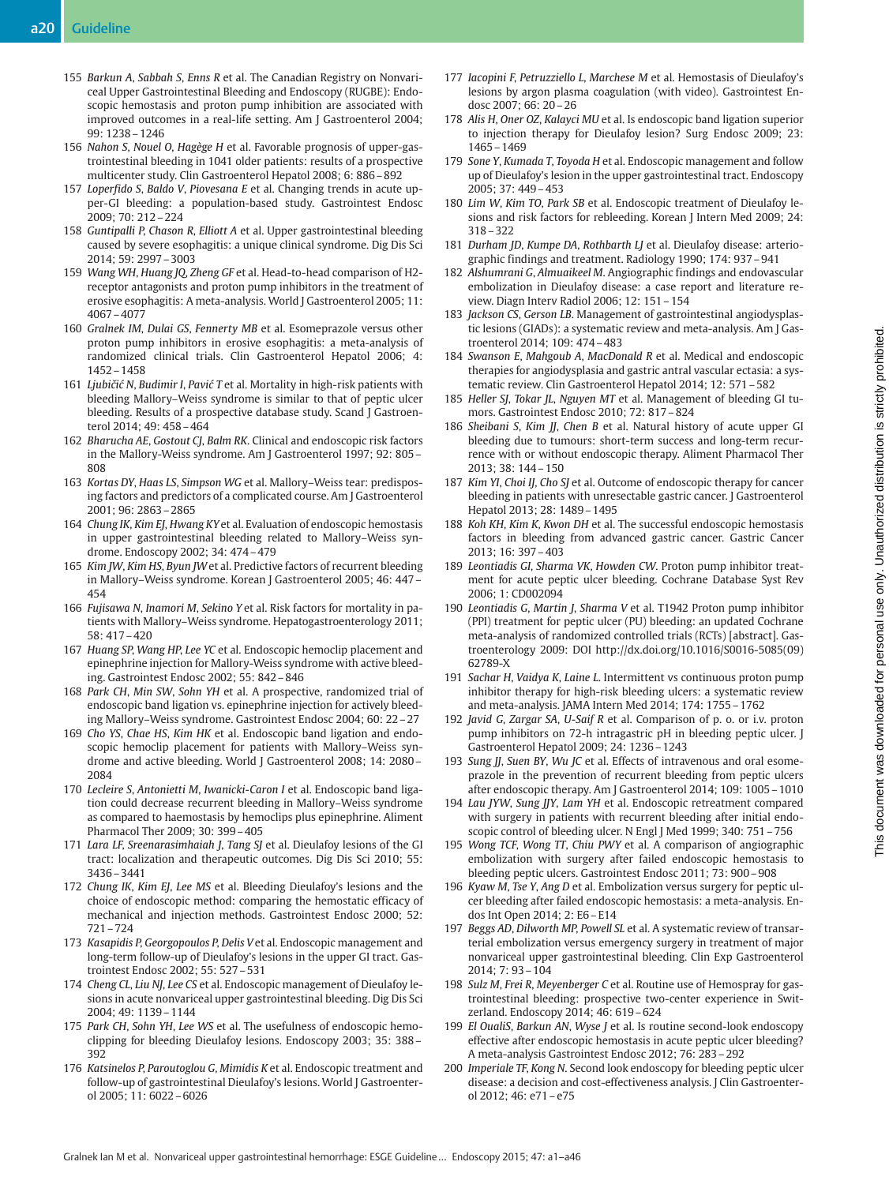- 155 Barkun A, Sabbah S, Enns R et al. The Canadian Registry on Nonvariceal Upper Gastrointestinal Bleeding and Endoscopy (RUGBE): Endoscopic hemostasis and proton pump inhibition are associated with improved outcomes in a real-life setting. Am J Gastroenterol 2004; 99: 1238–1246
- 156 Nahon S, Nouel O, Hagège H et al. Favorable prognosis of upper-gastrointestinal bleeding in 1041 older patients: results of a prospective multicenter study. Clin Gastroenterol Hepatol 2008; 6: 886–892
- 157 Loperfido S, Baldo V, Piovesana E et al. Changing trends in acute upper-GI bleeding: a population-based study. Gastrointest Endosc 2009; 70: 212–224
- 158 Guntipalli P, Chason R, Elliott A et al. Upper gastrointestinal bleeding caused by severe esophagitis: a unique clinical syndrome. Dig Dis Sci 2014; 59: 2997–3003
- 159 Wang WH, Huang JQ, Zheng GF et al. Head-to-head comparison of H2 receptor antagonists and proton pump inhibitors in the treatment of erosive esophagitis: A meta-analysis. World J Gastroenterol 2005; 11: 4067–4077
- 160 Gralnek IM, Dulai GS, Fennerty MB et al. Esomeprazole versus other proton pump inhibitors in erosive esophagitis: a meta-analysis of randomized clinical trials. Clin Gastroenterol Hepatol 2006; 4: 1452–1458
- 161 Ljubičić N, Budimir I, Pavić T et al. Mortality in high-risk patients with bleeding Mallory–Weiss syndrome is similar to that of peptic ulcer bleeding. Results of a prospective database study. Scand J Gastroenterol 2014; 49: 458–464
- 162 Bharucha AE, Gostout CJ, Balm RK. Clinical and endoscopic risk factors in the Mallory-Weiss syndrome. Am J Gastroenterol 1997; 92: 805– 808
- 163 Kortas DY, Haas LS, Simpson WG et al. Mallory–Weiss tear: predisposing factors and predictors of a complicated course. Am J Gastroenterol 2001; 96: 2863–2865
- 164 Chung IK, Kim EJ, Hwang KYet al. Evaluation of endoscopic hemostasis in upper gastrointestinal bleeding related to Mallory–Weiss syndrome. Endoscopy 2002; 34: 474–479
- 165 Kim JW, Kim HS, Byun JW et al. Predictive factors of recurrent bleeding in Mallory–Weiss syndrome. Korean J Gastroenterol 2005; 46: 447– 454
- 166 Fujisawa N, Inamori M, Sekino Y et al. Risk factors for mortality in patients with Mallory–Weiss syndrome. Hepatogastroenterology 2011; 58: 417–420
- 167 Huang SP, Wang HP, Lee YC et al. Endoscopic hemoclip placement and epinephrine injection for Mallory-Weiss syndrome with active bleeding. Gastrointest Endosc 2002; 55: 842–846
- 168 Park CH, Min SW, Sohn YH et al. A prospective, randomized trial of endoscopic band ligation vs. epinephrine injection for actively bleeding Mallory–Weiss syndrome. Gastrointest Endosc 2004; 60: 22–27
- 169 Cho YS, Chae HS, Kim HK et al. Endoscopic band ligation and endoscopic hemoclip placement for patients with Mallory–Weiss syndrome and active bleeding. World J Gastroenterol 2008; 14: 2080– 2084
- 170 Lecleire S, Antonietti M, Iwanicki-Caron I et al. Endoscopic band ligation could decrease recurrent bleeding in Mallory–Weiss syndrome as compared to haemostasis by hemoclips plus epinephrine. Aliment Pharmacol Ther 2009; 30: 399–405
- 171 Lara LF, Sreenarasimhaiah J, Tang SJ et al. Dieulafoy lesions of the GI tract: localization and therapeutic outcomes. Dig Dis Sci 2010; 55: 3436–3441
- 172 Chung IK, Kim EJ, Lee MS et al. Bleeding Dieulafoy's lesions and the choice of endoscopic method: comparing the hemostatic efficacy of mechanical and injection methods. Gastrointest Endosc 2000; 52: 721–724
- 173 Kasapidis P, Georgopoulos P, Delis V et al. Endoscopic management and long-term follow-up of Dieulafoy's lesions in the upper GI tract. Gastrointest Endosc 2002; 55: 527–531
- 174 Cheng CL, Liu NJ, Lee CS et al. Endoscopic management of Dieulafoy lesions in acute nonvariceal upper gastrointestinal bleeding. Dig Dis Sci 2004; 49: 1139–1144
- 175 Park CH, Sohn YH, Lee WS et al. The usefulness of endoscopic hemoclipping for bleeding Dieulafoy lesions. Endoscopy 2003; 35: 388– 392
- 176 Katsinelos P, Paroutoglou G, Mimidis K et al. Endoscopic treatment and follow-up of gastrointestinal Dieulafoy's lesions. World J Gastroenterol 2005; 11: 6022–6026
- 177 Iacopini F, Petruzziello L, Marchese M et al. Hemostasis of Dieulafoy's lesions by argon plasma coagulation (with video). Gastrointest Endosc 2007; 66: 20–26
- 178 Alis H, Oner OZ, Kalayci MU et al. Is endoscopic band ligation superior to injection therapy for Dieulafoy lesion? Surg Endosc 2009; 23: 1465–1469
- 179 Sone Y, Kumada T, Toyoda H et al. Endoscopic management and follow up of Dieulafoy's lesion in the upper gastrointestinal tract. Endoscopy 2005; 37: 449–453
- 180 Lim W, Kim TO, Park SB et al. Endoscopic treatment of Dieulafoy lesions and risk factors for rebleeding. Korean J Intern Med 2009; 24: 318–322
- 181 Durham JD, Kumpe DA, Rothbarth LJ et al. Dieulafoy disease: arteriographic findings and treatment. Radiology 1990; 174: 937–941
- 182 Alshumrani G, Almuaikeel M. Angiographic findings and endovascular embolization in Dieulafoy disease: a case report and literature review. Diagn Interv Radiol 2006; 12: 151–154
- 183 Jackson CS, Gerson LB. Management of gastrointestinal angiodysplastic lesions (GIADs): a systematic review and meta-analysis. Am J Gastroenterol 2014; 109: 474–483
- 184 Swanson E, Mahgoub A, MacDonald R et al. Medical and endoscopic therapies for angiodysplasia and gastric antral vascular ectasia: a systematic review. Clin Gastroenterol Hepatol 2014; 12: 571–582
- 185 Heller SJ, Tokar JL, Nguyen MT et al. Management of bleeding GI tumors. Gastrointest Endosc 2010; 72: 817–824
- 186 Sheibani S, Kim JJ, Chen B et al. Natural history of acute upper GI bleeding due to tumours: short-term success and long-term recurrence with or without endoscopic therapy. Aliment Pharmacol Ther 2013; 38: 144–150
- 187 Kim YI, Choi IJ, Cho SJ et al. Outcome of endoscopic therapy for cancer bleeding in patients with unresectable gastric cancer. J Gastroenterol Hepatol 2013; 28: 1489–1495
- 188 Koh KH, Kim K, Kwon DH et al. The successful endoscopic hemostasis factors in bleeding from advanced gastric cancer. Gastric Cancer 2013; 16: 397–403
- 189 Leontiadis GI, Sharma VK, Howden CW. Proton pump inhibitor treatment for acute peptic ulcer bleeding. Cochrane Database Syst Rev 2006; 1: CD002094
- 190 Leontiadis G, Martin J, Sharma V et al. T1942 Proton pump inhibitor (PPI) treatment for peptic ulcer (PU) bleeding: an updated Cochrane meta-analysis of randomized controlled trials (RCTs) [abstract]. Gastroenterology 2009: DOI http://dx.doi.org/10.1016/S0016-5085(09) 62789-X
- 191 Sachar H, Vaidya K, Laine L. Intermittent vs continuous proton pump inhibitor therapy for high-risk bleeding ulcers: a systematic review and meta-analysis. JAMA Intern Med 2014; 174: 1755–1762
- 192 Javid G, Zargar SA, U-Saif R et al. Comparison of p. o. or i.v. proton pump inhibitors on 72-h intragastric pH in bleeding peptic ulcer. J Gastroenterol Hepatol 2009; 24: 1236–1243
- 193 Sung JJ, Suen BY, Wu JC et al. Effects of intravenous and oral esomeprazole in the prevention of recurrent bleeding from peptic ulcers after endoscopic therapy. Am J Gastroenterol 2014; 109: 1005–1010
- 194 Lau JYW, Sung JJY, Lam YH et al. Endoscopic retreatment compared with surgery in patients with recurrent bleeding after initial endoscopic control of bleeding ulcer. N Engl J Med 1999; 340: 751–756
- 195 Wong TCF, Wong TT, Chiu PWY et al. A comparison of angiographic embolization with surgery after failed endoscopic hemostasis to bleeding peptic ulcers. Gastrointest Endosc 2011; 73: 900–908
- 196 Kyaw M, Tse Y, Ang D et al. Embolization versus surgery for peptic ulcer bleeding after failed endoscopic hemostasis: a meta-analysis. Endos Int Open 2014; 2: E6–E14
- 197 Beggs AD, Dilworth MP, Powell SL et al. A systematic review of transarterial embolization versus emergency surgery in treatment of major nonvariceal upper gastrointestinal bleeding. Clin Exp Gastroenterol 2014; 7: 93–104
- 198 Sulz M, Frei R, Meyenberger C et al. Routine use of Hemospray for gastrointestinal bleeding: prospective two-center experience in Switzerland. Endoscopy 2014; 46: 619–624
- 199 El OualiS, Barkun AN, Wyse J et al. Is routine second-look endoscopy effective after endoscopic hemostasis in acute peptic ulcer bleeding? A meta-analysis Gastrointest Endosc 2012; 76: 283–292
- 200 Imperiale TF, Kong N. Second look endoscopy for bleeding peptic ulcer disease: a decision and cost-effectiveness analysis. J Clin Gastroenterol 2012; 46: e71–e75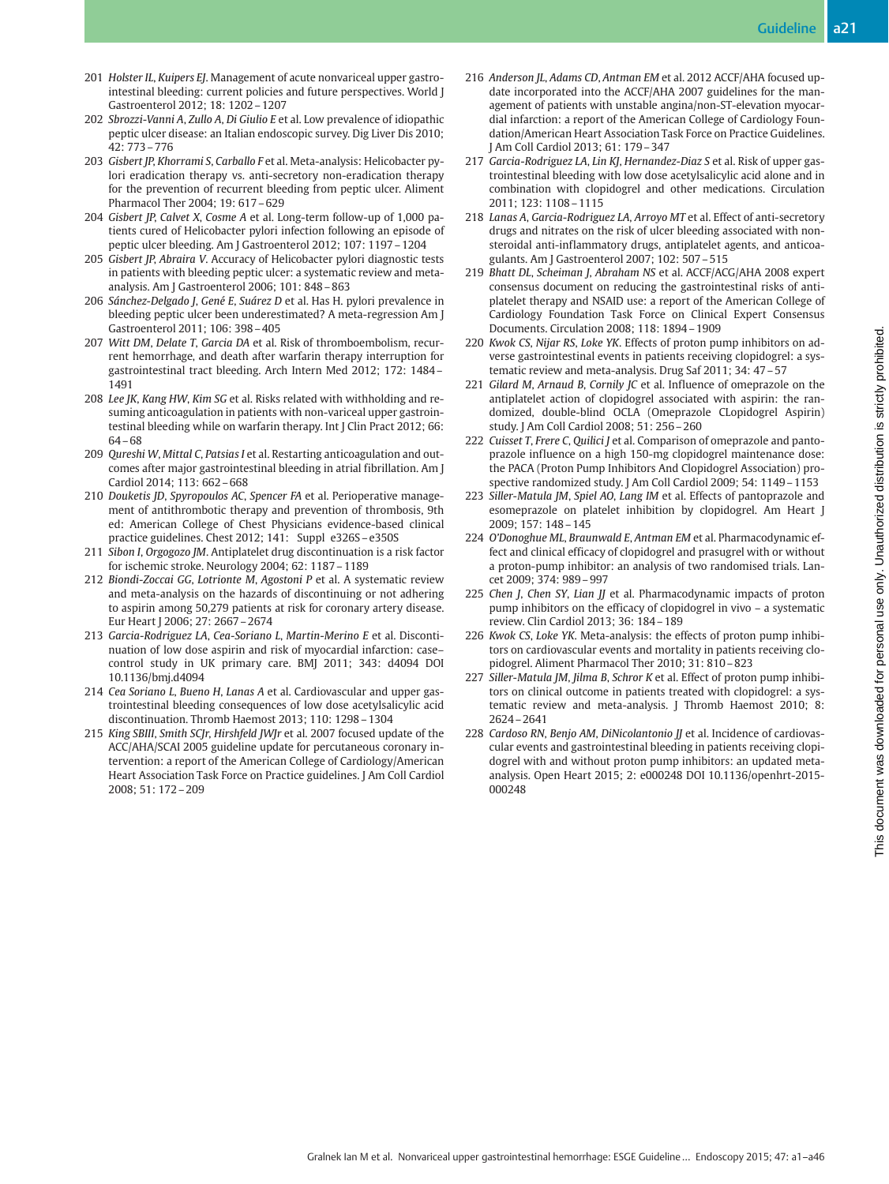- 201 Holster IL, Kuipers EJ. Management of acute nonvariceal upper gastrointestinal bleeding: current policies and future perspectives. World J Gastroenterol 2012; 18: 1202–1207
- 202 Sbrozzi-Vanni A, Zullo A, Di Giulio E et al. Low prevalence of idiopathic peptic ulcer disease: an Italian endoscopic survey. Dig Liver Dis 2010; 42: 773–776
- 203 Gisbert JP, Khorrami S, Carballo F et al. Meta-analysis: Helicobacter pylori eradication therapy vs. anti-secretory non-eradication therapy for the prevention of recurrent bleeding from peptic ulcer. Aliment Pharmacol Ther 2004; 19: 617–629
- 204 Gisbert JP, Calvet X, Cosme A et al. Long-term follow-up of 1,000 patients cured of Helicobacter pylori infection following an episode of peptic ulcer bleeding. Am J Gastroenterol 2012; 107: 1197–1204
- 205 Gisbert JP, Abraira V. Accuracy of Helicobacter pylori diagnostic tests in patients with bleeding peptic ulcer: a systematic review and metaanalysis. Am J Gastroenterol 2006; 101: 848–863
- 206 Sánchez-Delgado J, Gené E, Suárez D et al. Has H. pylori prevalence in bleeding peptic ulcer been underestimated? A meta-regression Am J Gastroenterol 2011; 106: 398–405
- 207 Witt DM, Delate T, Garcia DA et al. Risk of thromboembolism, recurrent hemorrhage, and death after warfarin therapy interruption for gastrointestinal tract bleeding. Arch Intern Med 2012; 172: 1484– 1491
- 208 Lee JK, Kang HW, Kim SG et al. Risks related with withholding and resuming anticoagulation in patients with non-variceal upper gastrointestinal bleeding while on warfarin therapy. Int J Clin Pract 2012; 66: 64–68
- 209 Qureshi W, Mittal C, Patsias I et al. Restarting anticoagulation and outcomes after major gastrointestinal bleeding in atrial fibrillation. Am J Cardiol 2014; 113: 662–668
- 210 Douketis JD, Spyropoulos AC, Spencer FA et al. Perioperative management of antithrombotic therapy and prevention of thrombosis, 9th ed: American College of Chest Physicians evidence-based clinical practice guidelines. Chest 2012; 141: Suppl e326S–e350S
- 211 Sibon I, Orgogozo JM. Antiplatelet drug discontinuation is a risk factor for ischemic stroke. Neurology 2004; 62: 1187–1189
- 212 Biondi-Zoccai GG, Lotrionte M, Agostoni P et al. A systematic review and meta-analysis on the hazards of discontinuing or not adhering to aspirin among 50,279 patients at risk for coronary artery disease. Eur Heart J 2006; 27: 2667–2674
- 213 Garcia-Rodriguez LA, Cea-Soriano L, Martin-Merino E et al. Discontinuation of low dose aspirin and risk of myocardial infarction: case– control study in UK primary care. BMJ 2011; 343: d4094 DOI 10.1136/bmj.d4094
- 214 Cea Soriano L, Bueno H, Lanas A et al. Cardiovascular and upper gastrointestinal bleeding consequences of low dose acetylsalicylic acid discontinuation. Thromb Haemost 2013; 110: 1298–1304
- 215 King SBIII, Smith SCJr, Hirshfeld JWJr et al. 2007 focused update of the ACC/AHA/SCAI 2005 guideline update for percutaneous coronary intervention: a report of the American College of Cardiology/American Heart Association Task Force on Practice guidelines. J Am Coll Cardiol 2008; 51: 172–209
- 216 Anderson JL, Adams CD, Antman EM et al. 2012 ACCF/AHA focused update incorporated into the ACCF/AHA 2007 guidelines for the management of patients with unstable angina/non-ST-elevation myocardial infarction: a report of the American College of Cardiology Foundation/American Heart Association Task Force on Practice Guidelines. J Am Coll Cardiol 2013; 61: 179–347
- 217 Garcia-Rodriguez LA, Lin KJ, Hernandez-Diaz S et al. Risk of upper gastrointestinal bleeding with low dose acetylsalicylic acid alone and in combination with clopidogrel and other medications. Circulation 2011; 123: 1108–1115
- 218 Lanas A, Garcia-Rodriguez LA, Arroyo MT et al. Effect of anti-secretory drugs and nitrates on the risk of ulcer bleeding associated with nonsteroidal anti-inflammatory drugs, antiplatelet agents, and anticoagulants. Am J Gastroenterol 2007; 102: 507–515
- 219 Bhatt DL, Scheiman J, Abraham NS et al. ACCF/ACG/AHA 2008 expert consensus document on reducing the gastrointestinal risks of antiplatelet therapy and NSAID use: a report of the American College of Cardiology Foundation Task Force on Clinical Expert Consensus Documents. Circulation 2008; 118: 1894–1909
- 220 Kwok CS, Nijar RS, Loke YK. Effects of proton pump inhibitors on adverse gastrointestinal events in patients receiving clopidogrel: a systematic review and meta-analysis. Drug Saf 2011; 34: 47–57
- 221 Gilard M, Arnaud B, Cornily JC et al. Influence of omeprazole on the antiplatelet action of clopidogrel associated with aspirin: the randomized, double-blind OCLA (Omeprazole CLopidogrel Aspirin) study. J Am Coll Cardiol 2008; 51: 256–260
- 222 Cuisset T, Frere C, Quilici J et al. Comparison of omeprazole and pantoprazole influence on a high 150-mg clopidogrel maintenance dose: the PACA (Proton Pump Inhibitors And Clopidogrel Association) prospective randomized study. J Am Coll Cardiol 2009; 54: 1149–1153
- 223 Siller-Matula JM, Spiel AO, Lang IM et al. Effects of pantoprazole and esomeprazole on platelet inhibition by clopidogrel. Am Heart J 2009; 157: 148–145
- 224 O'Donoghue ML, Braunwald E, Antman EM et al. Pharmacodynamic effect and clinical efficacy of clopidogrel and prasugrel with or without a proton-pump inhibitor: an analysis of two randomised trials. Lancet 2009; 374: 989–997
- 225 Chen J, Chen SY, Lian JJ et al. Pharmacodynamic impacts of proton pump inhibitors on the efficacy of clopidogrel in vivo – a systematic review. Clin Cardiol 2013; 36: 184–189
- 226 Kwok CS, Loke YK. Meta-analysis: the effects of proton pump inhibitors on cardiovascular events and mortality in patients receiving clopidogrel. Aliment Pharmacol Ther 2010; 31: 810–823
- 227 Siller-Matula JM, Jilma B, Schror K et al. Effect of proton pump inhibitors on clinical outcome in patients treated with clopidogrel: a systematic review and meta-analysis. J Thromb Haemost 2010; 8: 2624–2641
- 228 Cardoso RN, Benjo AM, DiNicolantonio JJ et al. Incidence of cardiovascular events and gastrointestinal bleeding in patients receiving clopidogrel with and without proton pump inhibitors: an updated metaanalysis. Open Heart 2015; 2: e000248 DOI 10.1136/openhrt-2015- 000248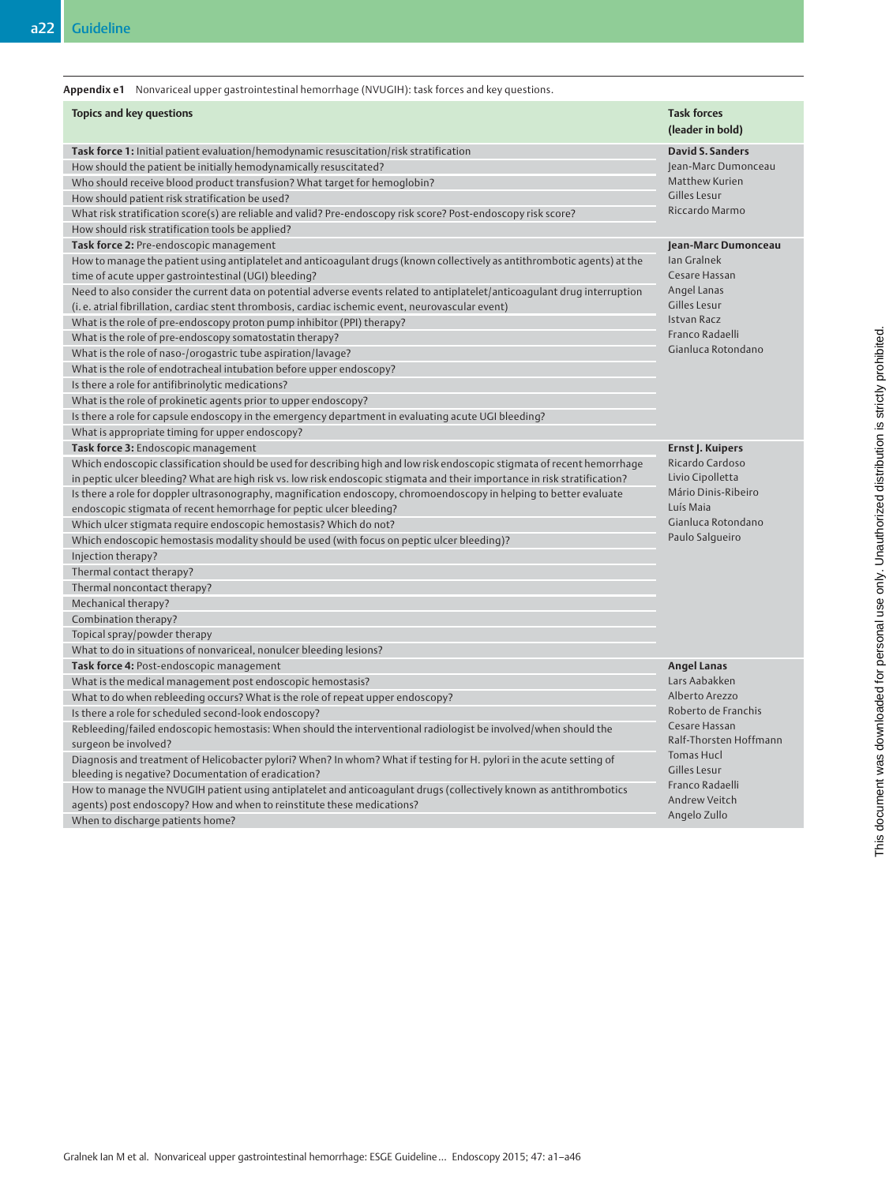| Appendix e1 Nonvariceal upper gastrointestinal hemorrhage (NVUGIH): task forces and key questions. |  |
|----------------------------------------------------------------------------------------------------|--|
|                                                                                                    |  |

| <b>Topics and key questions</b>                                                                                            | <b>Task forces</b><br>(leader in bold) |
|----------------------------------------------------------------------------------------------------------------------------|----------------------------------------|
| Task force 1: Initial patient evaluation/hemodynamic resuscitation/risk stratification                                     | <b>David S. Sanders</b>                |
| How should the patient be initially hemodynamically resuscitated?                                                          | Jean-Marc Dumonceau                    |
| Who should receive blood product transfusion? What target for hemoglobin?                                                  | Matthew Kurien                         |
| How should patient risk stratification be used?                                                                            | Gilles Lesur                           |
| What risk stratification score(s) are reliable and valid? Pre-endoscopy risk score? Post-endoscopy risk score?             | Riccardo Marmo                         |
| How should risk stratification tools be applied?                                                                           |                                        |
| Task force 2: Pre-endoscopic management                                                                                    | Jean-Marc Dumonceau                    |
| How to manage the patient using antiplatelet and anticoagulant drugs (known collectively as antithrombotic agents) at the  | <b>Ian Gralnek</b>                     |
| time of acute upper gastrointestinal (UGI) bleeding?                                                                       | Cesare Hassan                          |
| Need to also consider the current data on potential adverse events related to antiplatelet/anticoagulant drug interruption | Angel Lanas                            |
| (i.e. atrial fibrillation, cardiac stent thrombosis, cardiac ischemic event, neurovascular event)                          | Gilles Lesur                           |
| What is the role of pre-endoscopy proton pump inhibitor (PPI) therapy?                                                     | Istvan Racz                            |
| What is the role of pre-endoscopy somatostatin therapy?                                                                    | Franco Radaelli                        |
| What is the role of naso-/orogastric tube aspiration/lavage?                                                               | Gianluca Rotondano                     |
| What is the role of endotracheal intubation before upper endoscopy?                                                        |                                        |
| Is there a role for antifibrinolytic medications?                                                                          |                                        |
| What is the role of prokinetic agents prior to upper endoscopy?                                                            |                                        |
| Is there a role for capsule endoscopy in the emergency department in evaluating acute UGI bleeding?                        |                                        |
| What is appropriate timing for upper endoscopy?                                                                            |                                        |
| Task force 3: Endoscopic management                                                                                        | Ernst J. Kuipers                       |
| Which endoscopic classification should be used for describing high and low risk endoscopic stigmata of recent hemorrhage   | Ricardo Cardoso                        |
| in peptic ulcer bleeding? What are high risk vs. low risk endoscopic stigmata and their importance in risk stratification? | Livio Cipolletta                       |
| Is there a role for doppler ultrasonography, magnification endoscopy, chromoendoscopy in helping to better evaluate        | Mário Dinis-Ribeiro                    |
| endoscopic stigmata of recent hemorrhage for peptic ulcer bleeding?                                                        | Luís Maia                              |
| Which ulcer stigmata require endoscopic hemostasis? Which do not?                                                          | Gianluca Rotondano                     |
| Which endoscopic hemostasis modality should be used (with focus on peptic ulcer bleeding)?                                 | Paulo Salgueiro                        |
| Injection therapy?                                                                                                         |                                        |
| Thermal contact therapy?                                                                                                   |                                        |
| Thermal noncontact therapy?                                                                                                |                                        |
| Mechanical therapy?                                                                                                        |                                        |
| Combination therapy?                                                                                                       |                                        |
| Topical spray/powder therapy                                                                                               |                                        |
| What to do in situations of nonvariceal, nonulcer bleeding lesions?                                                        |                                        |
| Task force 4: Post-endoscopic management                                                                                   | <b>Angel Lanas</b>                     |
| What is the medical management post endoscopic hemostasis?                                                                 | Lars Aabakken                          |
| What to do when rebleeding occurs? What is the role of repeat upper endoscopy?                                             | Alberto Arezzo                         |
| Is there a role for scheduled second-look endoscopy?                                                                       | Roberto de Franchis                    |
| Rebleeding/failed endoscopic hemostasis: When should the interventional radiologist be involved/when should the            | Cesare Hassan                          |
| surgeon be involved?                                                                                                       | Ralf-Thorsten Hoffmanr                 |
| Diagnosis and treatment of Helicobacter pylori? When? In whom? What if testing for H. pylori in the acute setting of       | Tomas Hucl                             |
| bleeding is negative? Documentation of eradication?                                                                        | Gilles Lesur                           |
| How to manage the NVUGIH patient using antiplatelet and anticoagulant drugs (collectively known as antithrombotics         | Franco Radaelli                        |
| agents) post endoscopy? How and when to reinstitute these medications?                                                     | <b>Andrew Veitch</b>                   |
| When to discharge patients home?                                                                                           | Angelo Zullo                           |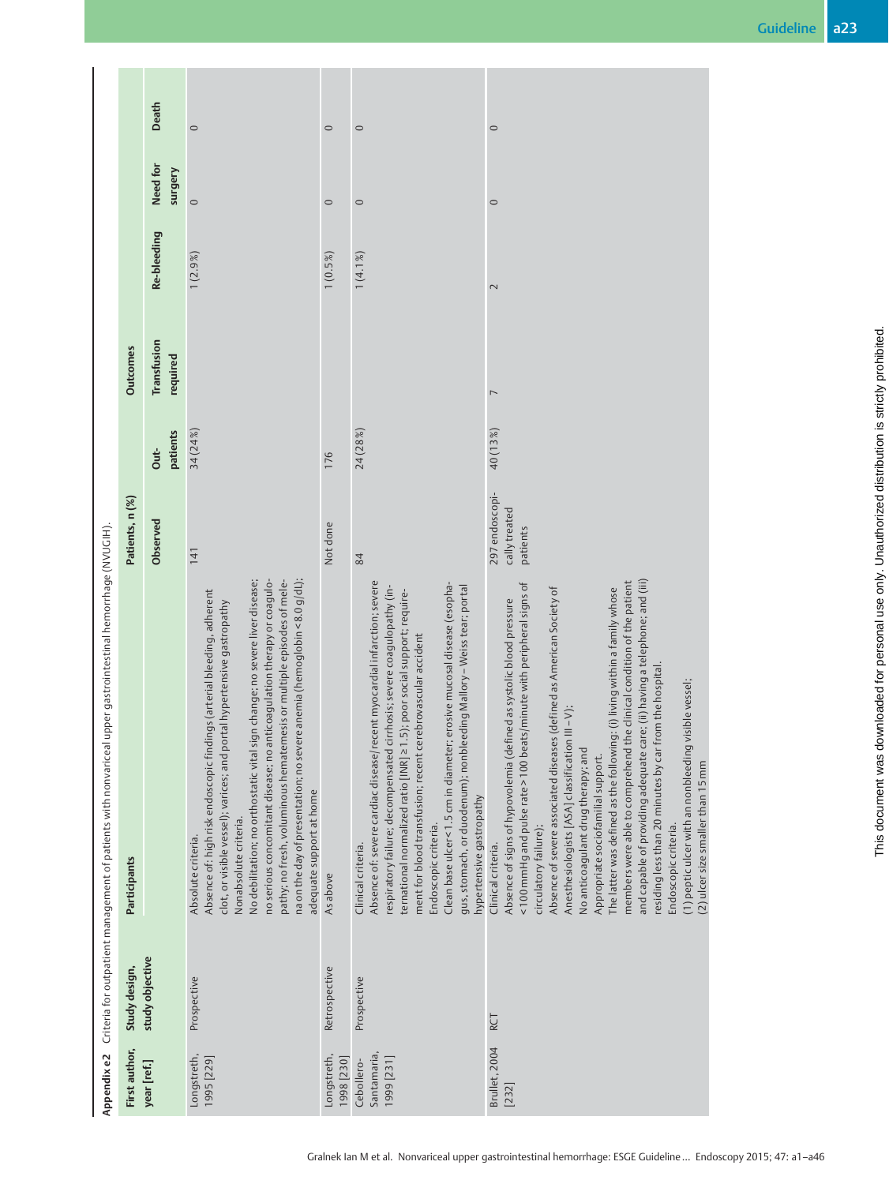| First author,                           | Study design,   | Participants                                                                                                                                                                                                                                                                                                                                                                                                                                                                                                                                                                                                                                                                                                                                                                                                                | Patients, n (%)                             |                  | <b>Outcomes</b>         |             |                     |              |
|-----------------------------------------|-----------------|-----------------------------------------------------------------------------------------------------------------------------------------------------------------------------------------------------------------------------------------------------------------------------------------------------------------------------------------------------------------------------------------------------------------------------------------------------------------------------------------------------------------------------------------------------------------------------------------------------------------------------------------------------------------------------------------------------------------------------------------------------------------------------------------------------------------------------|---------------------------------------------|------------------|-------------------------|-------------|---------------------|--------------|
| year [ref.]                             | study objective |                                                                                                                                                                                                                                                                                                                                                                                                                                                                                                                                                                                                                                                                                                                                                                                                                             | Observed                                    | patients<br>Out- | Transfusion<br>required | Re-bleeding | Need for<br>Surgery | <b>Death</b> |
| Longstreth,<br>1995 [229]               | Prospective     | No debilitation; no orthostatic vital sign change; no severe liver disease;<br>no serious concomitant disease; no anticoagulation therapy or coagulo-<br>pathy; no fresh, voluminous hematemesis or multiple episodes of mele-<br>na on the day of presentation; no severe anemia (hemoglobin < 8.0 g/dL);<br>Absence of: high risk endoscopic findings (arterial bleeding, adherent<br>clot, or visible vessel); varices; and portal hypertensive gastropathy<br>adequate support at home<br>Nonabsolute criteria.<br>Absolute criteria.                                                                                                                                                                                                                                                                                   | 141                                         | 34 (24%)         |                         | $1(2.9\%)$  | $\circ$             | $\circ$      |
| Longstreth,<br>1998 [230]               | Retrospective   | As above                                                                                                                                                                                                                                                                                                                                                                                                                                                                                                                                                                                                                                                                                                                                                                                                                    | Not done                                    | 176              |                         | $1(0.5\%)$  | $\circ$             | $\circ$      |
| Santamaria,<br>1999 [231]<br>Cebollero- | Prospective     | Absence of: severe cardiac disease/recent myocardial infarction; severe<br>Clean base ulcer<1.5 cm in diameter; erosive mucosal disease (esopha-<br>cirrhosis; severe coagulopathy (in-<br>gus, stomach, or duodenum); nonbleeding Mallory – Weiss tear; portal<br>1.5); poor social support; require-<br>ment for blood transfusion; recent cerebrovascular accident<br>ternational normalized ratio [INR] ≥<br>respiratory failure; decompensated<br>hypertensive gastropathy<br>Endoscopic criteria.<br>Clinical criteria.                                                                                                                                                                                                                                                                                               | 84                                          | 24 (28%)         |                         | 1(4.1%      | $\circ$             | $\circ$      |
| Brullet, 2004<br>[232]                  | RCT             | and capable of providing adequate care; (ii) having a telephone; and (iii)<br>members were able to comprehend the clinical condition of the patient<br><100 mmHg and pulse rate > 100 beats/minute with peripheral signs of<br>The latter was defined as the following: (i) living within a family whose<br>Absence of severe associated diseases (defined as American Society of<br>Absence of signs of hypovolemia (defined as systolic blood pressure<br>from the hospital.<br>visible vessel;<br>Anesthesiologists [ASA] classification III-V);<br>No anticoagulant drug therapy; and<br>(1) peptic ulcer with an nonbleeding<br>residing less than 20 minutes by car<br>Appropriate sociofamilial support.<br>(2) ulcer size smaller than 15 mm<br>Endoscopic criteria.<br>circulatory failure);<br>Clinical criteria. | 297 endoscopi-<br>cally treated<br>patients | 40 (13%)         | $\overline{ }$          | $\sim$      | $\circ$             | $\circ$      |

г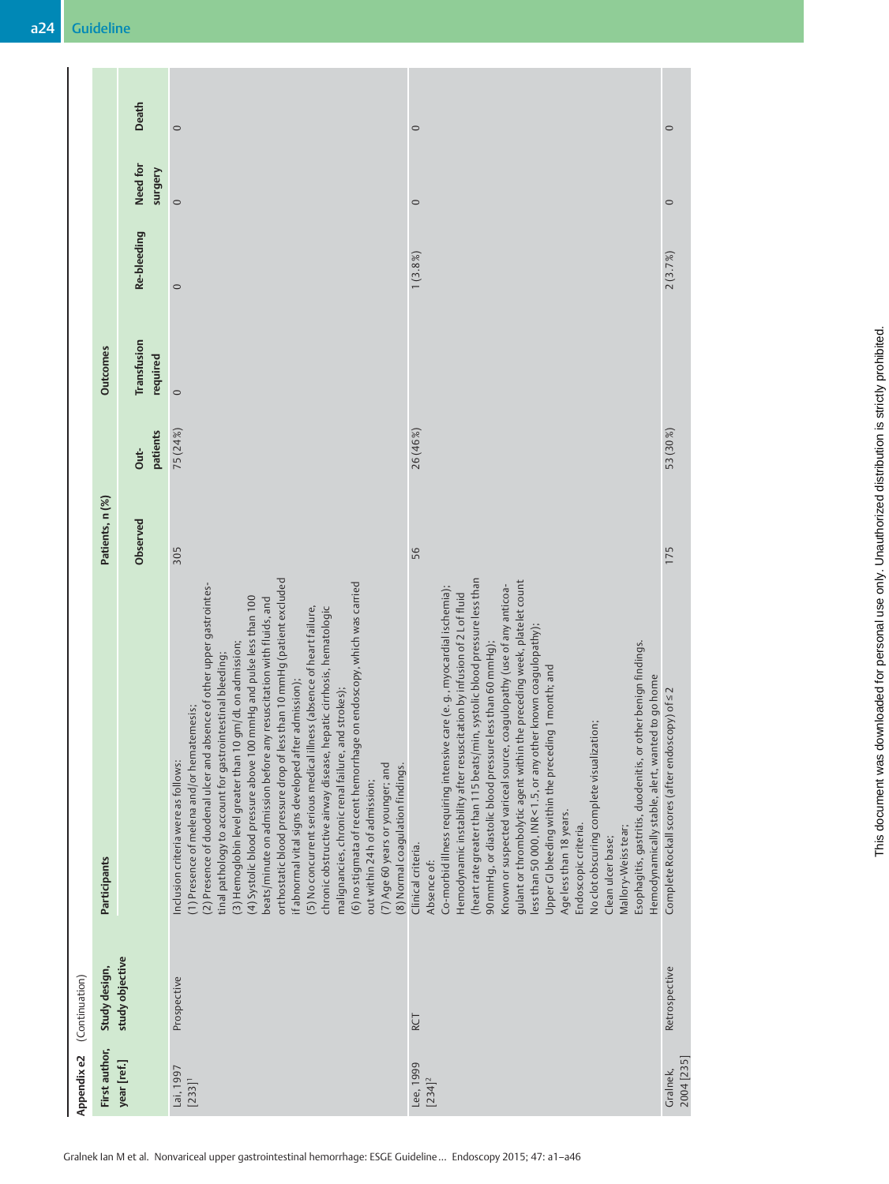| $\circ$<br>2(3.7%)<br>53 (30%)<br>175<br>Esophagitis, gastritis, duodenitis, or other benign findings.<br>Hemodynamically stable, alert, wanted to go home<br>Complete Rockall scores (after endoscopy) of s2<br>No clot obscuring complete visualization;<br>Age less than 18 years.<br>Endoscopic criteria.<br>Mallory-Weiss tear;<br>Clean ulcer base;<br>Retrospective<br>2004 [235]<br>Gralnek, |
|------------------------------------------------------------------------------------------------------------------------------------------------------------------------------------------------------------------------------------------------------------------------------------------------------------------------------------------------------------------------------------------------------|
|                                                                                                                                                                                                                                                                                                                                                                                                      |
|                                                                                                                                                                                                                                                                                                                                                                                                      |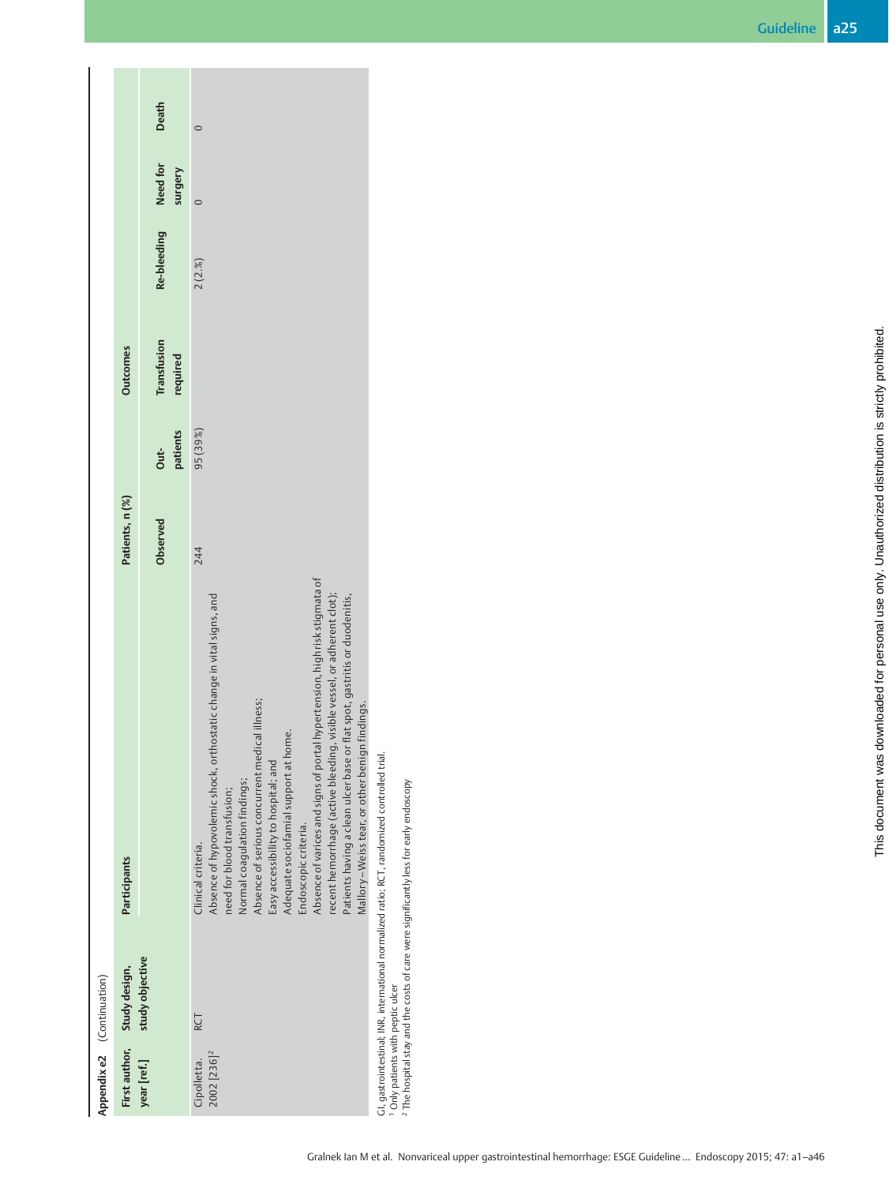| Appendix e2 (Continuation)                   |                 |                                                                                                                                                                                                                                                                                                                                                                                                                                                                                                                                                          |                 |          |                 |             |          |       |
|----------------------------------------------|-----------------|----------------------------------------------------------------------------------------------------------------------------------------------------------------------------------------------------------------------------------------------------------------------------------------------------------------------------------------------------------------------------------------------------------------------------------------------------------------------------------------------------------------------------------------------------------|-----------------|----------|-----------------|-------------|----------|-------|
| First author,                                | Study design,   | Participants                                                                                                                                                                                                                                                                                                                                                                                                                                                                                                                                             | Patients, n (%) |          | <b>Outcomes</b> |             |          |       |
| year [ref.]                                  | study objective |                                                                                                                                                                                                                                                                                                                                                                                                                                                                                                                                                          |                 |          |                 |             |          |       |
|                                              |                 |                                                                                                                                                                                                                                                                                                                                                                                                                                                                                                                                                          | Observed        | Out-     | Transfusion     | Re-bleeding | Need for | Death |
|                                              |                 |                                                                                                                                                                                                                                                                                                                                                                                                                                                                                                                                                          |                 | patients | required        |             | surgery  |       |
| 2002 [236] <sup>2</sup><br>Cipolletta.       | <b>RCT</b>      | Absence of varices and signs of portal hypertension, high risk stigmata of<br>recent hemorrhage (active bleeding, visible vessel, or adherent clot);<br>Absence of hypovolemic shock, orthostatic change in vital signs, and<br>Patients having a clean ulcer base or flat spot, gastritis or duodenitis,<br>Absence of serious concurrent medical illness;<br>Adequate sociofamial support at home.<br>Easy accessibility to hospital; and<br>Normal coagulation findings;<br>need for blood transfusion;<br>Endoscopic criteria.<br>Clinical criteria. | 244             | 95 (39%) |                 | 2(2.%)      | $\circ$  |       |
|                                              |                 | Mallory-Weiss tear, or other benign findings.                                                                                                                                                                                                                                                                                                                                                                                                                                                                                                            |                 |          |                 |             |          |       |
| <sup>1</sup> Only patients with peptic ulcer |                 | GI, gastrointestinal; INR, international normalized ratio; RCT, randomized controlled trial.<br><sup>2</sup> The hospital stay and the costs of care were significantly less for early endoscopy                                                                                                                                                                                                                                                                                                                                                         |                 |          |                 |             |          |       |

Gralnek Ian M et al. Nonvariceal upper gastrointestinal hemorrhage: ESGE Guideline… Endoscopy 2015; 47: a1–a46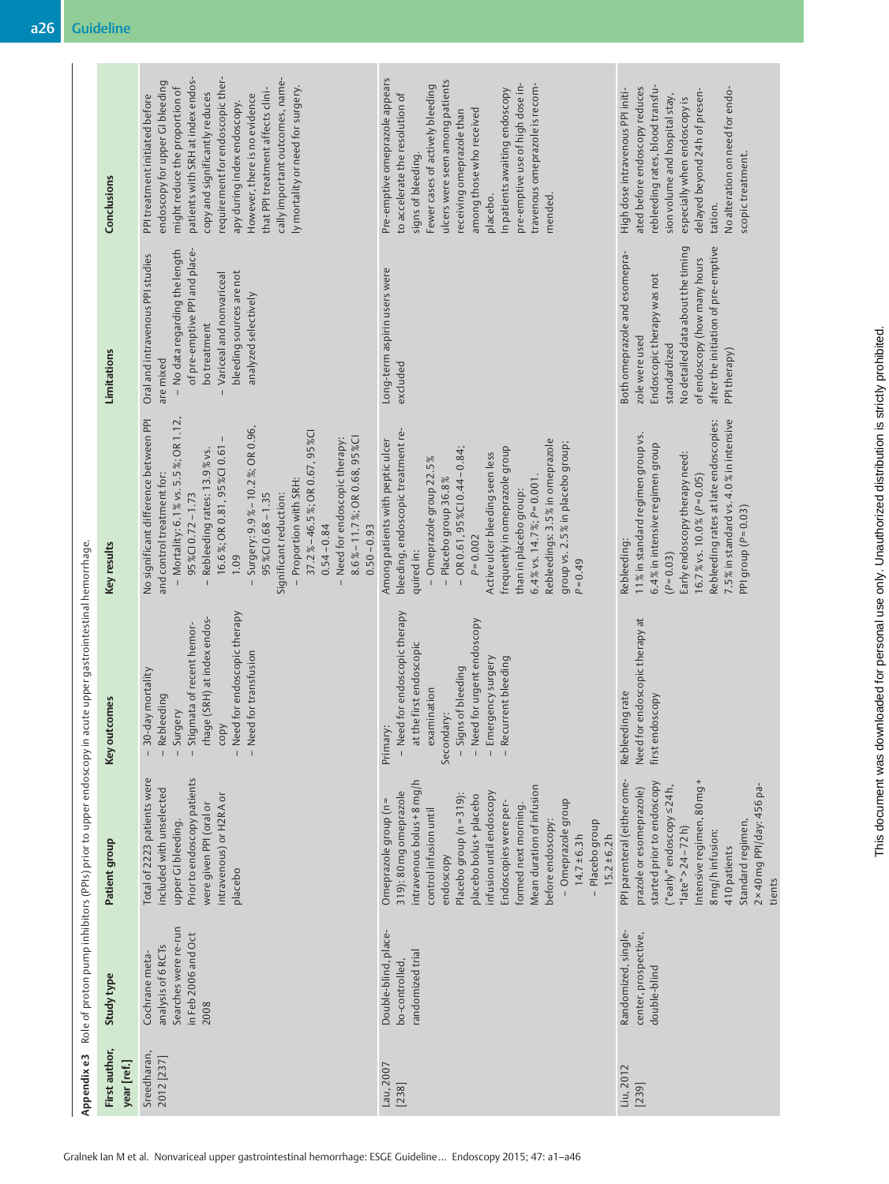| Appendixe3                                                                                                 | Study type<br>First author,<br>year [ref.] | Searches were re-run<br>in Feb 2006 and Oct<br>analysis of 6 RCTs<br>Cochrane meta-<br>2008<br>Sreedharan,<br>2012 [237]                                                                                                                                                                                                                                                                                                                                | Double-blind, place-<br>randomized trial<br>bo-controlled<br>Lau, 2007<br>[238]                                                                                                                                                                                                                                                                                                                               | Randomized, single-<br>center, prospective,<br>double-blind<br>Liu, 2012<br>[239]                                                                                                                                                                                                                |
|------------------------------------------------------------------------------------------------------------|--------------------------------------------|---------------------------------------------------------------------------------------------------------------------------------------------------------------------------------------------------------------------------------------------------------------------------------------------------------------------------------------------------------------------------------------------------------------------------------------------------------|---------------------------------------------------------------------------------------------------------------------------------------------------------------------------------------------------------------------------------------------------------------------------------------------------------------------------------------------------------------------------------------------------------------|--------------------------------------------------------------------------------------------------------------------------------------------------------------------------------------------------------------------------------------------------------------------------------------------------|
|                                                                                                            | Patient group                              | Total of 2223 patients were<br>Prior to endoscopy patients<br>included with unselected<br>intravenous) or H2RA or<br>were given PPI (oral or<br>upper GI bleeding.<br>placebo                                                                                                                                                                                                                                                                           | intravenous bolus + 8 mg/h<br>Mean duration of infusion<br>319): 80 mg omeprazole<br>infusion until endoscopy<br>Placebo group (n = 319):<br>placebo bolus + placebo<br>Omeprazole group (n =<br>- Omeprazole group<br>Endoscopies were per-<br>formed next morning.<br>control infusion until<br>before endoscopy:<br>- Placebo group<br>$15.2 \pm 6.2 h$<br>$14.7 \pm 6.3 h$<br>endoscopy                   | PPI parenteral (either ome-<br>Intensive regimen, 80 mg+<br>started prior to endoscopy<br>("early" endoscopy $\leq$ 24h,<br>2 × 40 mg PPI/day: 456 pa-<br>prazole or esomeprazole)<br>Standard regimen,<br>" $\lceil \text{ate}^n > 24 - 72 \text{h} \rceil$<br>8 mg/h infusion:<br>410 patients |
| Role of proton pump inhibitors (PPIs) prior to upper endoscopy in acute upper gastrointestinal hemorrhage. | Key outcomes                               | - Need for endoscopic therapy<br>rhage (SRH) at index endos-<br>copy<br>- Stigmata of recent hemor-<br>- Need for transfusion<br>- 30-day mortality<br>- Rebleeding<br>- Surgery                                                                                                                                                                                                                                                                        | - Need for endoscopic therapy<br>- Need for urgent endoscopy<br>at the first endoscopic<br>- Emergency surgery<br>- Recurrent bleeding<br>- Signs of bleeding<br>examination<br>Secondary:<br>Primary:                                                                                                                                                                                                        | for endoscopic therapy at<br>Rebleeding rate<br>first endoscopy<br>Need                                                                                                                                                                                                                          |
|                                                                                                            | Key results                                | No significant difference between PPI<br>- Mortality: 6.1 % vs. 5.5%; OR 1.12,<br>Surgery: 9.9% - 10.2%; OR 0.96,<br>37.2%-46.5%; OR 0.67, 95%CI<br>8.6%-11.7%; OR 0.68, 95%CI<br>Need for endoscopic therapy:<br>16.6%; OR 0.81, 95%CI 0.61<br>Rebleeding rates: 13.9% vs.<br>and control treatment for:<br>Proportion with SRH:<br>$95\%$ CI 0.68 - 1.35<br>$95\%$ CI 0.72 - 1.73<br>Significant reduction:<br>$0.54 - 0.84$<br>$0.50 - 0.93$<br>1.09 | bleeding, endoscopic treatment re-<br>Among patients with peptic ulcer<br>Rebleedings: 3.5% in omeprazole<br>group vs. 2.5% in placebo group;<br>frequently in omeprazole group<br>$-$ OR 0.61, 95%CI 0.44 - 0.84;<br>Active ulcer bleeding seen less<br>- Omeprazole group 22.5%<br>Placebo group 36.8%<br>$6.4 %$ vs. 14.7%; $P=0.001$<br>than in placebo group:<br>$P = 0.002$<br>quired in:<br>$P = 0.49$ | 7.5% in standard vs. 4.0% in intensive<br>Rebleeding rates at late endoscopies:<br>11% in standard regimen group vs.<br>6.4% in intensive regimen group<br>Early endoscopy therapy need:<br>16.7% vs. 10.0% ( $P = 0.05$ )<br>PPI group $(P=0.03)$<br>Rebleeding:<br>$(P = 0.03)$                |
|                                                                                                            | Limitations                                | of pre-emptive PPI and place-<br>- No data regarding the length<br>Oral and intravenous PPI studies<br>bleeding sources are not<br>Variceal and nonvariceal<br>analyzed selectively<br>bo treatment<br>are mixed<br>$\overline{1}$                                                                                                                                                                                                                      | Long-term aspirin users were<br>excluded                                                                                                                                                                                                                                                                                                                                                                      | No detailed data about the timing<br>after the initiation of pre-emptive<br>Both omeprazole and esomepra-<br>of endoscopy (how many hours<br>Endoscopic therapy was not<br>zole were used<br>standardized<br>PPI therapy)                                                                        |
|                                                                                                            | Conclusions                                | patients with SRH at index endos-<br>requirement for endoscopic ther-<br>cally important outcomes, name-<br>endoscopy for upper GI bleeding<br>might reduce the proportion of<br>ly mortality or need for surgery.<br>that PPI treatment affects clini-<br>copy and significantly reduces<br>PPI treatment initiated before<br>However, there is no evidence<br>apy during index endoscopy.                                                             | Pre-emptive omeprazole appears<br>ulcers were seen among patients<br>pre-emptive use of high dose in-<br>Fewer cases of actively bleeding<br>travenous omeprazole is recom-<br>In patients awaiting endoscopy<br>to accelerate the resolution of<br>among those who received<br>receiving omeprazole than<br>signs of bleeding.<br>mended.<br>placebo.                                                        | rebleeding rates, blood transfu-<br>ated before endoscopy reduces<br>High dose intravenous PPI initi-<br>No alteration on need for endo-<br>delayed beyond 24h of presen-<br>sion volume and hospital stay,<br>especially when endoscopy is<br>scopic treatment.<br>tation.                      |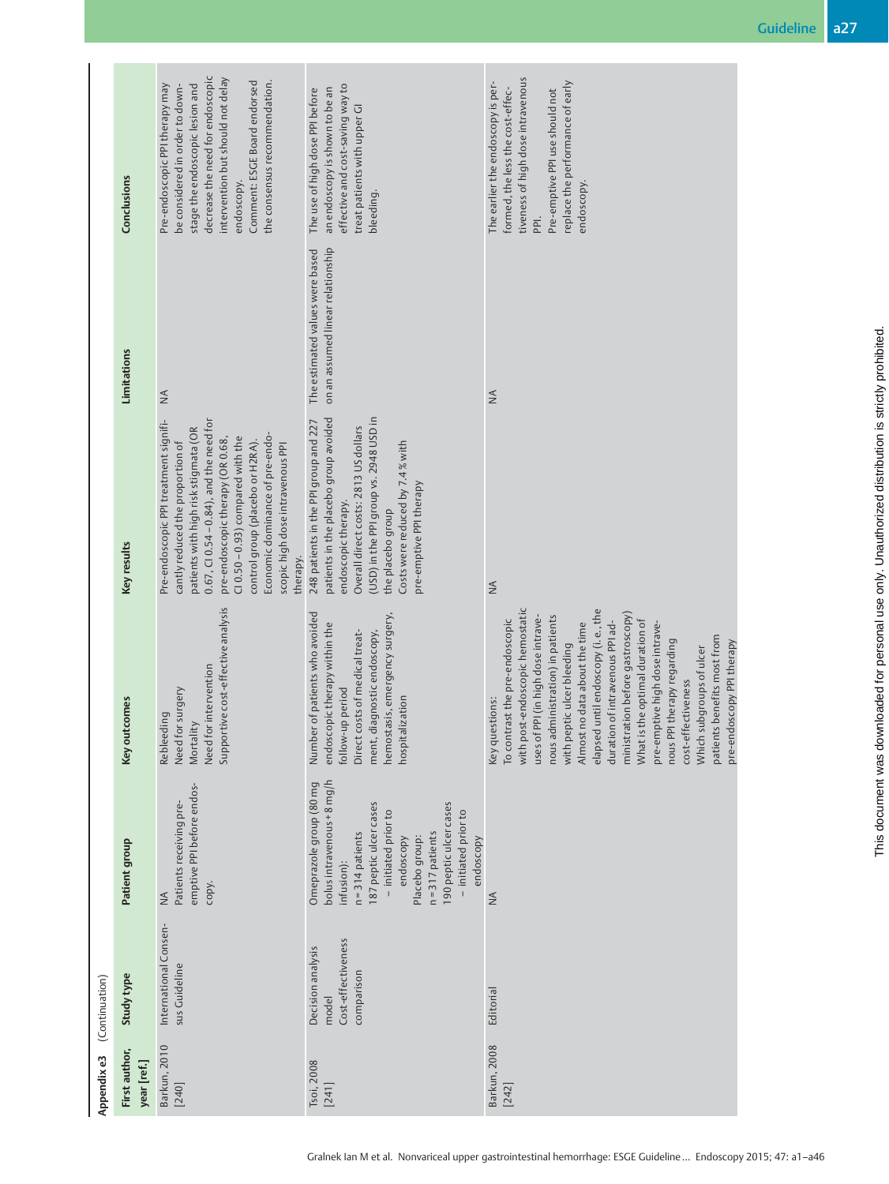|                | Conclusions                  | decrease the need for endoscopic<br>intervention but should not delay<br>Comment: ESGE Board endorsed<br>the consensus recommendation.<br>Pre-endoscopic PPI therapy may<br>be considered in order to down-<br>stage the endoscopic lesion and<br>endoscopy.                                                                                                         | effective and cost-saving way to<br>an endoscopy is shown to be an<br>The use of high dose PPI before<br>treat patients with upper GI<br>bleeding.                                                                                                                          | tiveness of high dose intravenous<br>The earlier the endoscopy is per-<br>replace the performance of early<br>formed, the less the cost-effec-<br>Pre-emptive PPI use should not<br>endoscopy.<br>PPI.                                                                                                                                                                                                                                                                                                                                                     |
|----------------|------------------------------|----------------------------------------------------------------------------------------------------------------------------------------------------------------------------------------------------------------------------------------------------------------------------------------------------------------------------------------------------------------------|-----------------------------------------------------------------------------------------------------------------------------------------------------------------------------------------------------------------------------------------------------------------------------|------------------------------------------------------------------------------------------------------------------------------------------------------------------------------------------------------------------------------------------------------------------------------------------------------------------------------------------------------------------------------------------------------------------------------------------------------------------------------------------------------------------------------------------------------------|
|                | Limitations                  | $\leq$                                                                                                                                                                                                                                                                                                                                                               | on an assumed linear relationship<br>The estimated values were based                                                                                                                                                                                                        | $\leq$                                                                                                                                                                                                                                                                                                                                                                                                                                                                                                                                                     |
|                | Key results                  | Pre-endoscopic PPI treatment signifi-<br>$0.67$ , CI $0.54 - 0.84$ ), and the need for<br>patients with high risk stigmata (OR<br>Economic dominance of pre-endo-<br>$Cl$ 0.50 - 0.93) compared with the<br>pre-endoscopic therapy (OR 0.68,<br>control group (placebo or H2RA).<br>cantly reduced the proportion of<br>scopic high dose intravenous PPI<br>therapy. | (USD) in the PPI group vs. 2948 USD in<br>patients in the placebo group avoided<br>248 patients in the PPI group and 227<br>Overall direct costs: 2813 US dollars<br>Costs were reduced by 7.4% with<br>pre-emptive PPI therapy<br>endoscopic therapy.<br>the placebo group | $\stackrel{\triangle}{\geq}$                                                                                                                                                                                                                                                                                                                                                                                                                                                                                                                               |
|                | Key outcomes                 | Supportive cost-effective analysis<br>Need for intervention<br>Need for surgery<br>Rebleeding<br>Mortality                                                                                                                                                                                                                                                           | Number of patients who avoided<br>hemostasis, emergency surgery,<br>endoscopic therapy within the<br>Direct costs of medical treat-<br>ment, diagnostic endoscopy,<br>follow-up period<br>alization<br>hospit                                                               | with post-endoscopic hemostatic<br>elapsed until endoscopy (i.e., the<br>ministration before gastroscopy)<br>nous administration) in patients<br>uses of PPI (in high dose intrave-<br>What is the optimal duration of<br>To contrast the pre-endoscopic<br>duration of intravenous PPI ad-<br>pre-emptive high dose intrave-<br>Almost no data about the time<br>patients benefits most from<br>nous PPI therapy regarding<br>pre-endoscopy PPI therapy<br>with peptic ulcer bleeding<br>Which subgroups of ulcer<br>cost-effectiveness<br>Key questions: |
|                | Patient group                | emptive PPI before endos-<br>Patients receiving pre-<br>copy.<br>$\leq$                                                                                                                                                                                                                                                                                              | bolus intravenous + 8 mg/h<br>Omeprazole group (80 mg<br>187 peptic ulcer cases<br>190 peptic ulcer cases<br>- initiated prior to<br>- initiated prior to<br>$n = 317$ patients<br>$n = 314$ patients<br>endoscopy<br>Placebo group:<br>endoscopy<br>infusion):             | $\stackrel{\triangle}{\geq}$                                                                                                                                                                                                                                                                                                                                                                                                                                                                                                                               |
| (Continuation) | Study type                   | International Consen-<br>sus Guideline                                                                                                                                                                                                                                                                                                                               | Cost-effectiveness<br>Decision analysis<br>comparison<br>model                                                                                                                                                                                                              | Editorial                                                                                                                                                                                                                                                                                                                                                                                                                                                                                                                                                  |
| Appendix e3    | First author,<br>year [ref.] | Barkun, 2010<br>[240]                                                                                                                                                                                                                                                                                                                                                | Tsoi, 2008<br>[241]                                                                                                                                                                                                                                                         | Barkun, 2008<br>$[242]$                                                                                                                                                                                                                                                                                                                                                                                                                                                                                                                                    |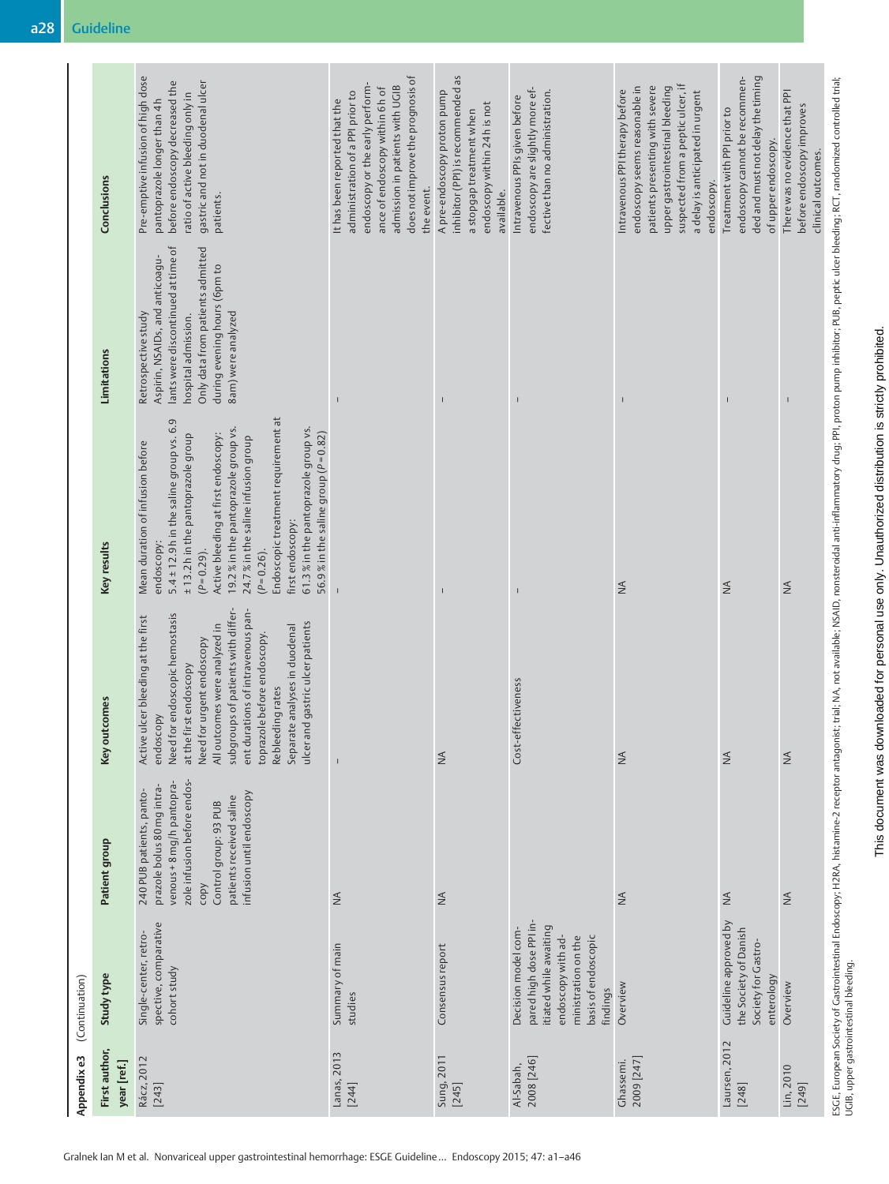| Appendix e3                  | (Continuation)                                                                                                                                           |                                                                                                                                                                                                             |                                                                                                                                                                                                                                                                                                                                                                              |                                                                                                                                                                                                                                                                                                                                                                                                                                          |                                                                                                                                                                                                               |                                                                                                                                                                                                                              |
|------------------------------|----------------------------------------------------------------------------------------------------------------------------------------------------------|-------------------------------------------------------------------------------------------------------------------------------------------------------------------------------------------------------------|------------------------------------------------------------------------------------------------------------------------------------------------------------------------------------------------------------------------------------------------------------------------------------------------------------------------------------------------------------------------------|------------------------------------------------------------------------------------------------------------------------------------------------------------------------------------------------------------------------------------------------------------------------------------------------------------------------------------------------------------------------------------------------------------------------------------------|---------------------------------------------------------------------------------------------------------------------------------------------------------------------------------------------------------------|------------------------------------------------------------------------------------------------------------------------------------------------------------------------------------------------------------------------------|
| First author,<br>year [ref.] | Study type                                                                                                                                               | Patient group                                                                                                                                                                                               | tcomes<br>Key out                                                                                                                                                                                                                                                                                                                                                            | Key results                                                                                                                                                                                                                                                                                                                                                                                                                              | Limitations                                                                                                                                                                                                   | Conclusions                                                                                                                                                                                                                  |
| Rácz, 2012<br>$[243]$        | spective, comparative<br>Single-center, retro-<br>cohort study                                                                                           | zole infusion before endos-<br>venous + 8 mg/h pantopra-<br>prazole bolus 80 mg intra-<br>240 PUB patients, panto-<br>infusion until endoscopy<br>patients received saline<br>Control group: 93 PUB<br>copy | subgroups of patients with differ-<br>ent durations of intravenous pan-<br>Need for endoscopic hemostasis<br>Active ulcer bleeding at the first<br>ulcer and gastric ulcer patients<br>All outcomes were analyzed in<br>Separate analyses in duodenal<br>toprazole before endoscopy.<br>Need for urgent endoscopy<br>at the first endoscopy<br>Rebleeding rates<br>endoscopy | Endoscopic treatment requirement at<br>$5.4 \pm 12.9$ h in the saline group vs. 6.9<br>61.3% in the pantoprazole group vs.<br>19.2% in the pantoprazole group vs.<br>56.9% in the saline group ( $P = 0.82$ )<br>Active bleeding at first endoscopy:<br>±13.2h in the pantoprazole group<br>24.7% in the saline infusion group<br>Mean duration of infusion before<br>first endoscopy:<br>endoscopy:<br>$(P = 0.29)$ .<br>$(P = 0.26)$ . | lants were discontinued at time of<br>Only data from patients admitted<br>Aspirin, NSAIDs, and anticoagu-<br>during evening hours (6pm to<br>8am) were analyzed<br>Retrospective study<br>hospital admission. | Pre-emptive infusion of high dose<br>gastric and not in duodenal ulcer<br>before endoscopy decreased the<br>ratio of active bleeding only in<br>pantoprazole longer than 4h<br>patients.                                     |
| Lanas, 2013<br>[244]         | Summary of main<br>studies                                                                                                                               | $\leq$                                                                                                                                                                                                      |                                                                                                                                                                                                                                                                                                                                                                              |                                                                                                                                                                                                                                                                                                                                                                                                                                          | $\mathbf{I}$                                                                                                                                                                                                  | does not improve the prognosis of<br>endoscopy or the early perform-<br>admission in patients with UGIB<br>ance of endoscopy within 6h of<br>administration of a PPI prior to<br>It has been reported that the<br>the event. |
| Sung, 2011<br>[245]          | Consensus report                                                                                                                                         | $\lessgtr$                                                                                                                                                                                                  | $\lessgtr$                                                                                                                                                                                                                                                                                                                                                                   |                                                                                                                                                                                                                                                                                                                                                                                                                                          |                                                                                                                                                                                                               | inhibitor (PPI) is recommended as<br>A pre-endoscopy proton pump<br>endoscopy within 24 h is not<br>a stopgap treatment when<br>available.                                                                                   |
| 2008 [246]<br>Al-Sabah,      | pared high dose PPI in-<br>itiated while awaiting<br>Decision model com-<br>endoscopy with ad-<br>basis of endoscopic<br>ministration on the<br>findings |                                                                                                                                                                                                             | ffectiveness<br>Cost-ef                                                                                                                                                                                                                                                                                                                                                      | $\overline{\phantom{a}}$                                                                                                                                                                                                                                                                                                                                                                                                                 | $\overline{\phantom{a}}$                                                                                                                                                                                      | endoscopy are slightly more ef-<br>fective than no administration.<br>Intravenous PPIs given before                                                                                                                          |
| 2009 [247]<br>Ghassemi.      | Overview                                                                                                                                                 | $\stackrel{\triangle}{\geq}$                                                                                                                                                                                | $\stackrel{\triangle}{\geq}$                                                                                                                                                                                                                                                                                                                                                 | $\frac{4}{2}$                                                                                                                                                                                                                                                                                                                                                                                                                            |                                                                                                                                                                                                               | suspected from a peptic ulcer, if<br>upper gastrointestinal bleeding<br>endoscopy seems reasonable in<br>patients presenting with severe<br>Intravenous PPI therapy before<br>a delay is anticipated in urgent<br>endoscopy. |
| Laursen, 2012<br>$[248]$     | Guideline approved by<br>the Society of Danish<br>Society for Gastro-<br>enterology                                                                      | $\stackrel{\triangle}{\geq}$                                                                                                                                                                                | $\lessapprox$                                                                                                                                                                                                                                                                                                                                                                | $\stackrel{\triangle}{\geq}$                                                                                                                                                                                                                                                                                                                                                                                                             | $\overline{\phantom{a}}$                                                                                                                                                                                      | endoscopy cannot be recommen-<br>ded and must not delay the timing<br>Treatment with PPI prior to<br>of upper endoscopy.                                                                                                     |
| Lin, 2010<br>[249]           | Overview                                                                                                                                                 | $\stackrel{\triangle}{\geq}$                                                                                                                                                                                | $\stackrel{\triangle}{\geq}$                                                                                                                                                                                                                                                                                                                                                 | $\leq$                                                                                                                                                                                                                                                                                                                                                                                                                                   | $\overline{\phantom{a}}$                                                                                                                                                                                      | There was no evidence that PPI<br>before endoscopy improves<br>clinical outcomes.                                                                                                                                            |
|                              | UGIB, upper gastrointestinal bleeding.                                                                                                                   |                                                                                                                                                                                                             |                                                                                                                                                                                                                                                                                                                                                                              | ESGE, European Society of Gastrointestinal Endoscopy; H2RA, histamine-2 receptor antagonist; trial; MA, not available; NSAID, nonsteroidal anti-inflammatory drug; PPI, proton pump inhibitor; PUB, peptic ulcer bleeding; RCT                                                                                                                                                                                                           |                                                                                                                                                                                                               |                                                                                                                                                                                                                              |

Gralnek Ian M et al. Nonvariceal upper gastrointestinal hemorrhage: ESGE Guideline… Endoscopy 2015; 47: a1–a46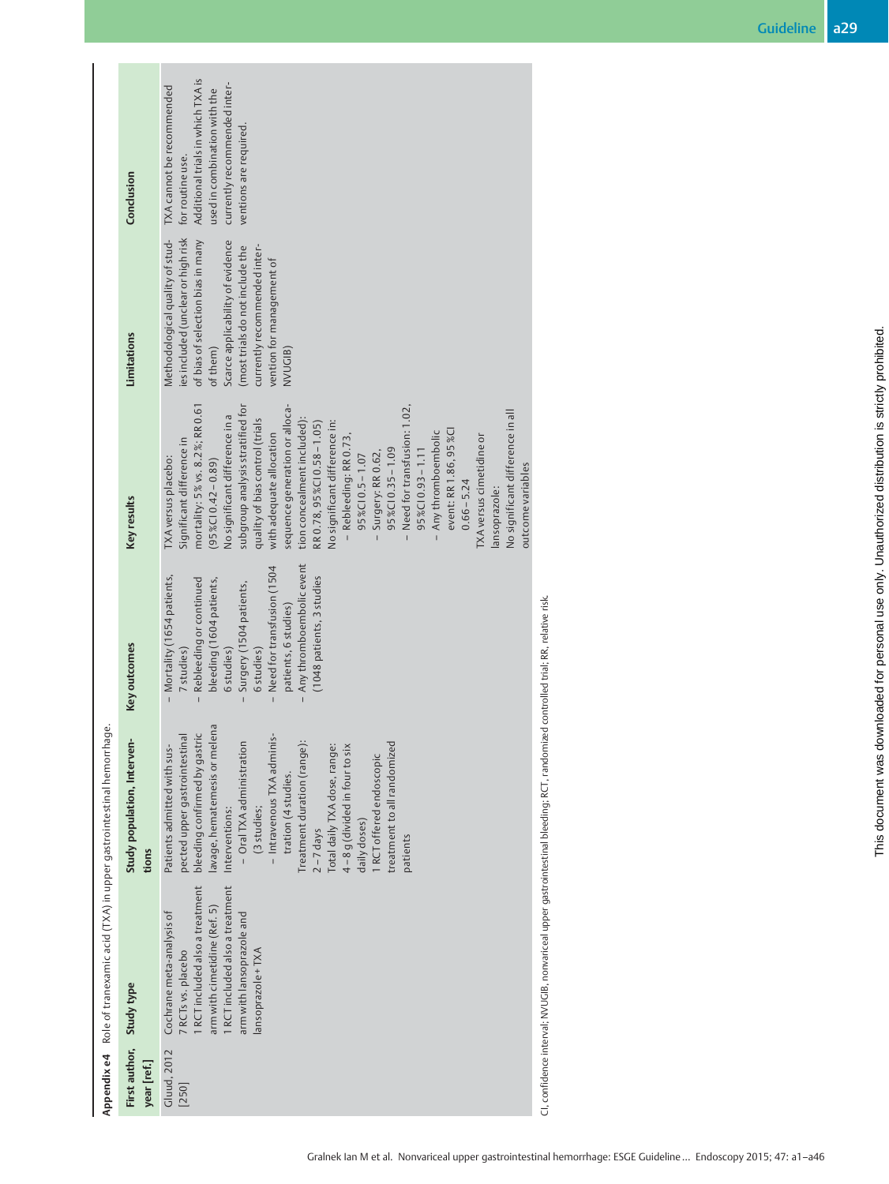|                                                                                 | <b>Limitations</b>                                   | es included (unclear or high risk<br>of bias of selection bias in many<br>Methodological quality of stud-<br>Scarce applicability of evidence<br>(most trials do not include the<br>currently recommended inter-<br>vention for management of<br>of them)<br>NVUGIB)<br>subgroup analysis stratified for<br>mortality: 5% vs. 8.2%; RR 0.61<br>sequence generation or alloca-<br>- Need for transfusion: 1.02,<br>No significant difference in all<br>No significant difference in a<br>quality of bias control (trials<br>tion concealment included):<br>No significant difference in:<br>RR 0.78, 95% CI 0.58 - 1.05)<br>event: RR 1.86, 95%CI<br>- Any thromboembolic<br>with adequate allocation<br>TXA versus cimetidine or<br>Rebleeding: RR 0.73,<br>Significant difference in<br>$95\%$ CI 0.35 - 1.09<br>$95\%$ CI 0.93 - 1.11<br>- Surgery: RR 0.62,<br>95%CI 0.5-1.07<br>TXA versus placebo:<br>$(95\%C10.42-0.89)$ |
|---------------------------------------------------------------------------------|------------------------------------------------------|--------------------------------------------------------------------------------------------------------------------------------------------------------------------------------------------------------------------------------------------------------------------------------------------------------------------------------------------------------------------------------------------------------------------------------------------------------------------------------------------------------------------------------------------------------------------------------------------------------------------------------------------------------------------------------------------------------------------------------------------------------------------------------------------------------------------------------------------------------------------------------------------------------------------------------|
|                                                                                 | Key results                                          | outcome variables<br>$0.66 - 5.24$<br>lansoprazole:<br>Any thromboembolic event<br>Need for transfusion (1504<br>- Mortality (1654 patients,<br>(1048 patients, 3 studies<br>Rebleeding or continued<br>bleeding (1604 patients,<br>Surgery (1504 patients,<br>patients, 6 studies)                                                                                                                                                                                                                                                                                                                                                                                                                                                                                                                                                                                                                                            |
|                                                                                 | Key outcomes<br>Study population, Interven-<br>tions | 6 studies)<br>7 studies)<br>6 studies)<br>lavage, hematemesis or melena<br>bleeding confirmed by gastric<br>pected upper gastrointestinal<br>- Intravenous TXA adminis-<br>Treatment duration (range):<br>- Oral TXA administration<br>Patients admitted with sus-<br>Total daily TXA dose, range:<br>4-8 g (divided in four to six<br>treatment to all randomized<br>1 RCT offered endoscopic<br>tration (4 studies.<br>(3 studies;<br>Interventions:<br>daily doses)<br>$2 - 7$ days<br>patients                                                                                                                                                                                                                                                                                                                                                                                                                             |
| Appendix e4 Role of tranexamic acid (TXA) in upper gastrointestinal hemorrhage. |                                                      | 1 RCT included also a treatment<br>1 RCT included also a treatment<br>arm with cimetidine (Ref. 5)<br>Cochrane meta-analysis of<br>arm with lansoprazole and<br>lansoprazole + TXA<br>7 RCTs vs. placebo                                                                                                                                                                                                                                                                                                                                                                                                                                                                                                                                                                                                                                                                                                                       |
|                                                                                 | First author, Study type<br>year [ref.]              | Gluud, 2012<br>[250]                                                                                                                                                                                                                                                                                                                                                                                                                                                                                                                                                                                                                                                                                                                                                                                                                                                                                                           |

CI, confidence interval; NVUGIB, nonvariceal upper gastrointestinal bleeding; RCT, randomized controlled trial; RR, relative risk. CI, confidence interval; NVUGIB, nonvariceal upper gastrointestinal bleeding; RCT, randomized controlled trial; RR, relative risk.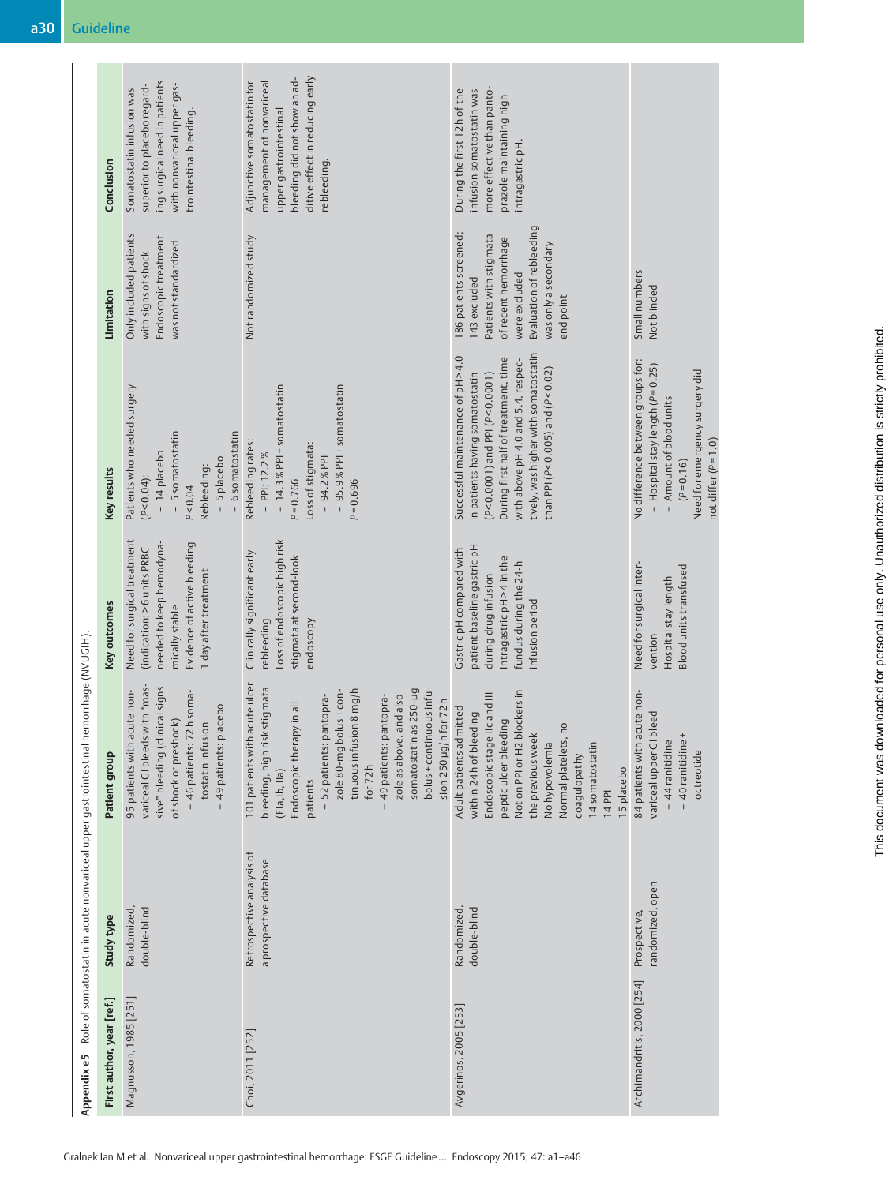|                                                                                      | Key results               | Patients who needed surgery<br>- 5 somatostatin<br>- 6 somatostatin<br>- 14 placebo<br>- 5 placebo<br>Rebleeding:<br>$(P < 0.04)$ :<br>P < 0.04                                                  | - 95.9% PPI + somatostatin<br>- 14.3% PPI + somatostatin<br>Rebleeding rates:<br>Loss of stigmata:<br>$-$ PPI: 12.2%<br>$-94.2%$ PPI<br>$P = 0.766$<br>$P = 0.696$                                                                                                                                                                                          | tively, was higher with somatostatin<br>Successful maintenance of pH>4.0<br>During first half of treatment, time<br>with above pH 4.0 and 5.4, respec-<br>than PPI (P<0.005) and (P<0.02)<br>in patients having somatostatin<br>$(P < 0.0001)$ and PPI ( $P < 0.0001$ )               | No difference between groups for:<br>$-$ Hospital stay length ( $P = 0.25$ )<br>Need for emergency surgery did<br>- Amount of blood units<br>not differ $(P = 1.0)$<br>$(P = 0.16)$ |
|--------------------------------------------------------------------------------------|---------------------------|--------------------------------------------------------------------------------------------------------------------------------------------------------------------------------------------------|-------------------------------------------------------------------------------------------------------------------------------------------------------------------------------------------------------------------------------------------------------------------------------------------------------------------------------------------------------------|---------------------------------------------------------------------------------------------------------------------------------------------------------------------------------------------------------------------------------------------------------------------------------------|-------------------------------------------------------------------------------------------------------------------------------------------------------------------------------------|
|                                                                                      | Key outcomes              | Need for surgical treatment<br>Evidence of active bleeding<br>needed to keep hemodyna-<br>(indication: > 6 units PRBC<br>1 day after treatment<br>mically stable                                 | Loss of endoscopic high risk<br>Clinically significant early<br>stigmata at second-look<br>rebleeding<br>endoscopy                                                                                                                                                                                                                                          | patient baseline gastric pH<br>Gastric pH compared with<br>Intragastric pH > 4 in the<br>fundus during the 24-h<br>during drug infusion<br>infusion period                                                                                                                            | Need for surgical inter-<br><b>Blood units transfused</b><br>Hospital stay length<br>vention                                                                                        |
| Role of somatostatin in acute nonvariceal upper gastrointestinal hemorrhage (NVUGIH) | Patient group             | variceal GI bleeds with "mas-<br>sive" bleeding (clinical signs<br>95 patients with acute non-<br>- 46 patients: 72h soma-<br>49 patients: placebo<br>of shock or preshock)<br>tostatin infusion | 101 patients with acute ulcer<br>bleeding, high risk stigmata<br>bolus + continuous infu-<br>somatostatin as 250-µg<br>tinuous infusion 8 mg/h<br>zole 80-mg bolus+con-<br>zole as above, and also<br>- 49 patients: pantopra-<br>- 52 patients: pantopra-<br>sion 250 µg/h for 72h<br>Endoscopic therapy in all<br>for $72h$<br>(FIa, Ib, IIa)<br>patients | Not on PPI or H2 blockers in<br>Endoscopic stage IIc and III<br>Adult patients admitted<br>within 24 h of bleeding<br>peptic ulcer bleeding<br>$\overline{10}$<br>the previous week<br>Normal platelets,<br>No hypovolemia<br>14 somatostatin<br>coagulopathy<br>15 placebo<br>14 PPI | 84 patients with acute non-<br>bleed<br>- 40 ranitidine<br>- 44 ranitidine<br>variceal upper GI<br>octreotide                                                                       |
|                                                                                      | Study type                | double-blind<br>Randomized                                                                                                                                                                       | Retrospective analysis of<br>a prospective database                                                                                                                                                                                                                                                                                                         | double-blind<br>Randomized                                                                                                                                                                                                                                                            | andomized, open<br>Prospective,                                                                                                                                                     |
| Appendixe5                                                                           | First author, year [ref.] | Magnusson, 1985 [251]                                                                                                                                                                            | Choi, 2011 [252]                                                                                                                                                                                                                                                                                                                                            | Avgerinos, 2005 [253]                                                                                                                                                                                                                                                                 | Archimandritis, 2000 [254]                                                                                                                                                          |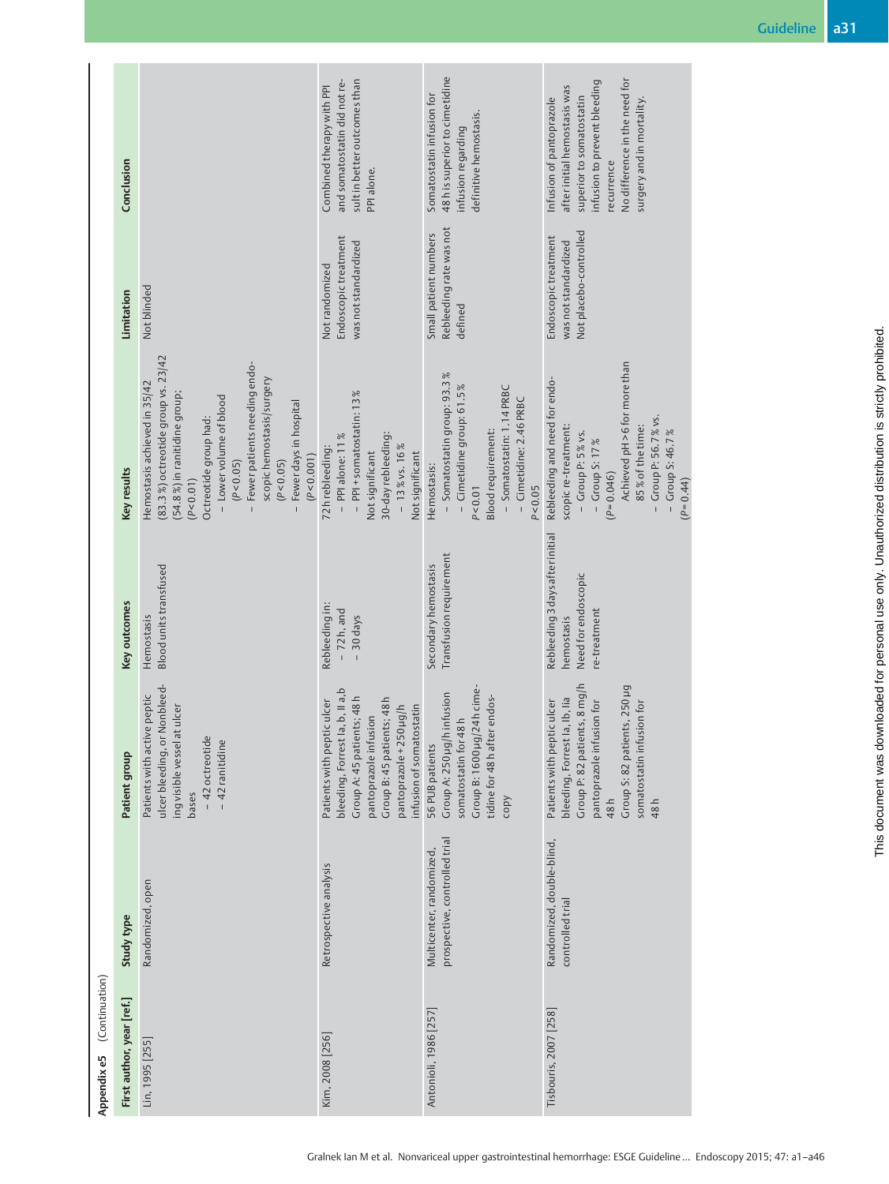|                               | Conclusion                |                                                                                                                                                                                                                                                                                                             | and somatostatin did not re-<br>sult in better outcomes than<br>Combined therapy with PPI<br>PPI alone.                                                                                                 | 48h is superior to cimetidine<br>Somatostatin infusion for<br>definitive hemostasis.<br>infusion regarding                                                                    | No difference in the need for<br>infusion to prevent bleeding<br>after initial hemostasis was<br>superior to somatostatin<br>Infusion of pantoprazole<br>surgery and in mortality.<br>recurrence                                |
|-------------------------------|---------------------------|-------------------------------------------------------------------------------------------------------------------------------------------------------------------------------------------------------------------------------------------------------------------------------------------------------------|---------------------------------------------------------------------------------------------------------------------------------------------------------------------------------------------------------|-------------------------------------------------------------------------------------------------------------------------------------------------------------------------------|---------------------------------------------------------------------------------------------------------------------------------------------------------------------------------------------------------------------------------|
|                               | Limitation                | Not blinded                                                                                                                                                                                                                                                                                                 | Endoscopic treatment<br>was not standardized<br>Not randomized                                                                                                                                          | Rebleeding rate was not<br>Small patient numbers<br>defined                                                                                                                   | Not placebo-controlled<br>Endoscopic treatment<br>was not standardized                                                                                                                                                          |
|                               | Key results               | (83.3%) octreotide group vs. 23/42<br>- Fewer patients needing endo-<br>scopic hemostasis/surgery<br>Hemostasis achieved in 35/42<br>(54.8 %) in ranitidine group;<br>- Lower volume of blood<br>- Fewer days in hospital<br>Octreotide group had:<br>(P < 0.001)<br>(P < 0.05)<br>(P < 0.05)<br>(P < 0.01) | - PPI + somatostatin: 13%<br>30-day rebleeding:<br>- PPI alone: 11%<br>72h rebleeding:<br>$-13\%$ vs. 16%<br>Not significant<br>Not significant                                                         | - Somatostatin group: 93.3%<br>- Cimetidine group: 61.5%<br>- Somatostatin: 1.14 PRBC<br>- Cimetidine: 2.46 PRBC<br>Blood requirement:<br>Hemostasis:<br>P < 0.05<br>P < 0.01 | Achieved pH > 6 for more than<br>Rebleeding and need for endo-<br>- Group P: 56.7% vs.<br>85% of the time:<br>scopic re-treatment:<br>- Group S: 46.7%<br>$-$ Group P: 5 % vs.<br>$-$ Group S: 17%<br>$(P=0.046)$<br>$(P=0.44)$ |
|                               | Key outcomes              | Blood units transfused<br>Hemostasis                                                                                                                                                                                                                                                                        | Rebleeding in:<br>$-72h$ , and<br>- 30 days                                                                                                                                                             | Transfusion requirement<br>Secondary hemostasis                                                                                                                               | Rebleeding 3 days after initial<br>Need for endoscopic<br>re-treatment<br>hemostasis                                                                                                                                            |
|                               | Patient group             | ulcer bleeding, or Nonbleed-<br>Patients with active peptic<br>at ulcer<br>- 42 octreotide<br>- 42 ranitidine<br>ing visible vessel<br>bases                                                                                                                                                                | bleeding, Forrest la, b, II a, b<br>Group A: 45 patients; 48h<br>Group B: 45 patients; 48h<br>Patients with peptic ulcer<br>infusion of somatostatin<br>pantoprazole +250 µg/h<br>pantoprazole infusion | Group B: 1600 µg/24h cime-<br>Group A: 250 µg/h infusion<br>tidine for 48h after endos-<br>somatostatin for 48h<br>56 PUB patients<br>copy                                    | Group P: 82 patients, 8 mg/h<br>Group S: 82 patients, 250 µg<br>bleeding, Forrest la, lb, lia<br>Patients with peptic ulcer<br>pantoprazole infusion for<br>somatostatin infusion for<br>48h<br>48h                             |
|                               | Study type                | Randomized, open                                                                                                                                                                                                                                                                                            | Retrospective analysis                                                                                                                                                                                  | prospective, controlled trial<br>Multicenter, randomized,                                                                                                                     | Randomized, double-blind,<br>controlled trial                                                                                                                                                                                   |
| (Continuation)<br>Appendix e5 | First author, year [ref.] | Lin, 1995 [255]                                                                                                                                                                                                                                                                                             | Kim, 2008 [256]                                                                                                                                                                                         | Antonioli, 1986 [257]                                                                                                                                                         | Tisbouris, 2007 [258]                                                                                                                                                                                                           |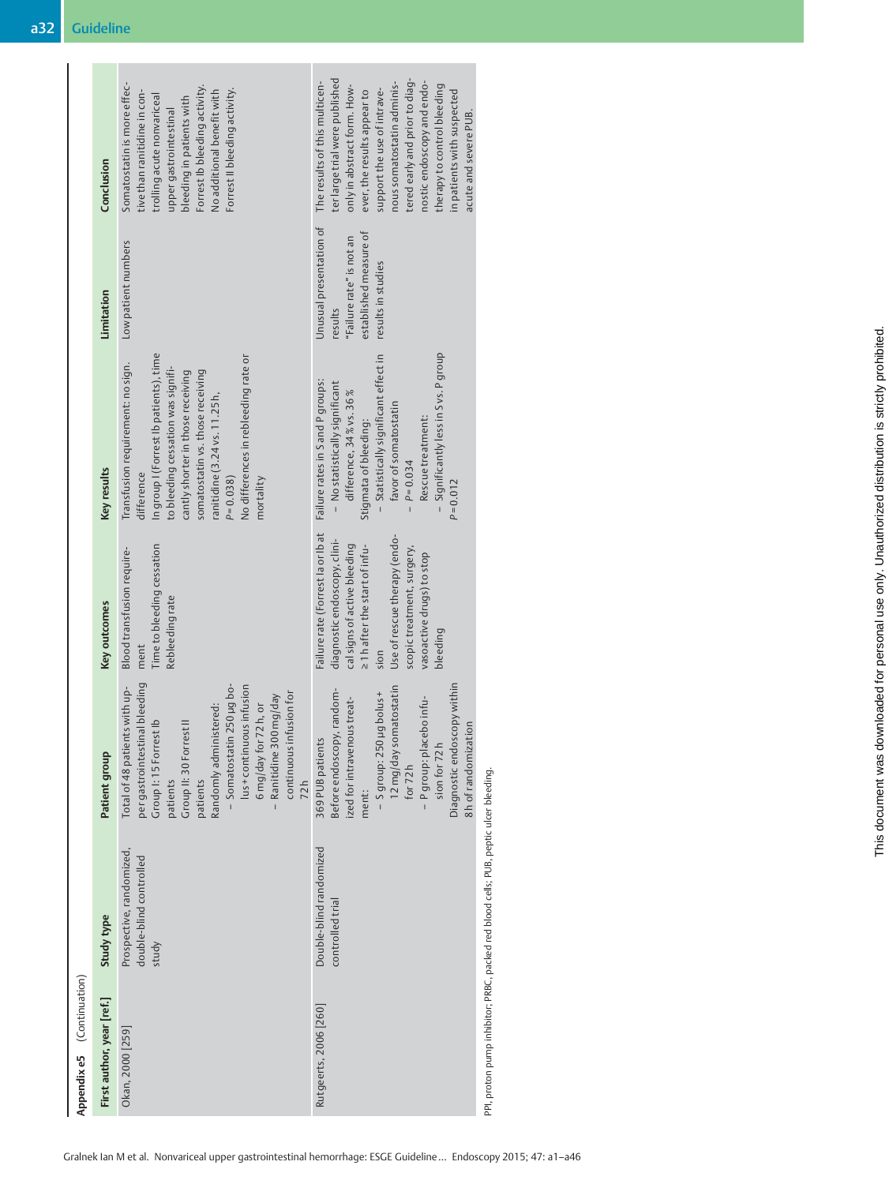| Appendix e5 (Continuation) |                                                                                       |                                                                                                                                                                                                                                                                                                                    |                                                                                                                                                                                                                                                   |                                                                                                                                                                                                                                                                                                              |                                                                                                                |                                                                                                                                                                                                                                                                                                                                                  |
|----------------------------|---------------------------------------------------------------------------------------|--------------------------------------------------------------------------------------------------------------------------------------------------------------------------------------------------------------------------------------------------------------------------------------------------------------------|---------------------------------------------------------------------------------------------------------------------------------------------------------------------------------------------------------------------------------------------------|--------------------------------------------------------------------------------------------------------------------------------------------------------------------------------------------------------------------------------------------------------------------------------------------------------------|----------------------------------------------------------------------------------------------------------------|--------------------------------------------------------------------------------------------------------------------------------------------------------------------------------------------------------------------------------------------------------------------------------------------------------------------------------------------------|
| First author, year [ref.]  | Study type                                                                            | Patient group                                                                                                                                                                                                                                                                                                      | Key outcomes                                                                                                                                                                                                                                      | Key results                                                                                                                                                                                                                                                                                                  | Limitation                                                                                                     | Conclusion                                                                                                                                                                                                                                                                                                                                       |
| Okan, 2000 [259]           | Prospective, randomized,<br>double-blind controlled<br>study                          | per gastrointestinal bleeding<br>- Somatostatin 250 µg bo-<br>lus + continuous infusion<br>Total of 48 patients with up-<br>continuous infusion for<br>Ranitidine 300 mg/day<br>6 mg/day for 72h, or<br>Randomly administered:<br>Group I: 15 Forrest Ib<br>Group II: 30 Forrest II<br>72h<br>patients<br>patients | Time to bleeding cessation<br>Blood transfusion require-<br>Rebleeding rate<br>ment                                                                                                                                                               | In group I (Forrest Ib patients), time<br>No differences in rebleeding rate or<br>Transfusion requirement: no sign.<br>to bleeding cessation was signifi-<br>somatostatin vs. those receiving<br>cantly shorter in those receiving<br>ranitidine (3.24 vs. 11.25h,<br>difference<br>$P = 0.038$<br>mortality | Low patient numbers                                                                                            | Somatostatin is more effec-<br>Forrest Ib bleeding activity.<br>Forrest II bleeding activity.<br>No additional benefit with<br>tive than ranitidine in con-<br>trolling acute nonvariceal<br>bleeding in patients with<br>upper gastrointestinal                                                                                                 |
| Rutgeerts, 2006 [260]      | Double-blind randomized<br>controlled trial                                           | Diagnostic endoscopy within<br>12 mg/day somatostatin<br>Before endoscopy, random-<br>- S group: 250 µg bolus +<br>ized for intravenous treat-<br>- P group: placebo infu-<br>8h of randomization<br>369 PUB patients<br>sion for 72h<br>for $72h$<br>ment:                                                        | Failure rate (Forrest la or lb at<br>Use of rescue therapy (endo-<br>diagnostic endoscopy, clini-<br>cal signs of active bleeding<br>21 h after the start of infu-<br>scopic treatment, surgery,<br>vasoactive drugs) to stop<br>bleeding<br>sion | - Significantly less in S vs. P group<br>- Statistically significant effect in<br>Failure rates in S and P groups:<br>- No statistically significant<br>difference, 34% vs. 36%<br>favor of somatostatin<br>Rescue treatment:<br>Stigmata of bleeding:<br>$P = 0.034$<br>$P = 0.012$                         | Unusual presentation of<br>established measure of<br>"Failure rate" is not an<br>results in studies<br>results | ter large trial were published<br>tered early and prior to diag-<br>nostic endoscopy and endo-<br>The results of this multicen-<br>nous somatostatin adminis-<br>only in abstract form. How-<br>therapy to control bleeding<br>support the use of intrave-<br>ever, the results appear to<br>in patients with suspected<br>acute and severe PUB. |
|                            | PPI, proton pump inhibitor; PRBC, packed red blood cells; PUB, peptic ulcer bleeding. |                                                                                                                                                                                                                                                                                                                    |                                                                                                                                                                                                                                                   |                                                                                                                                                                                                                                                                                                              |                                                                                                                |                                                                                                                                                                                                                                                                                                                                                  |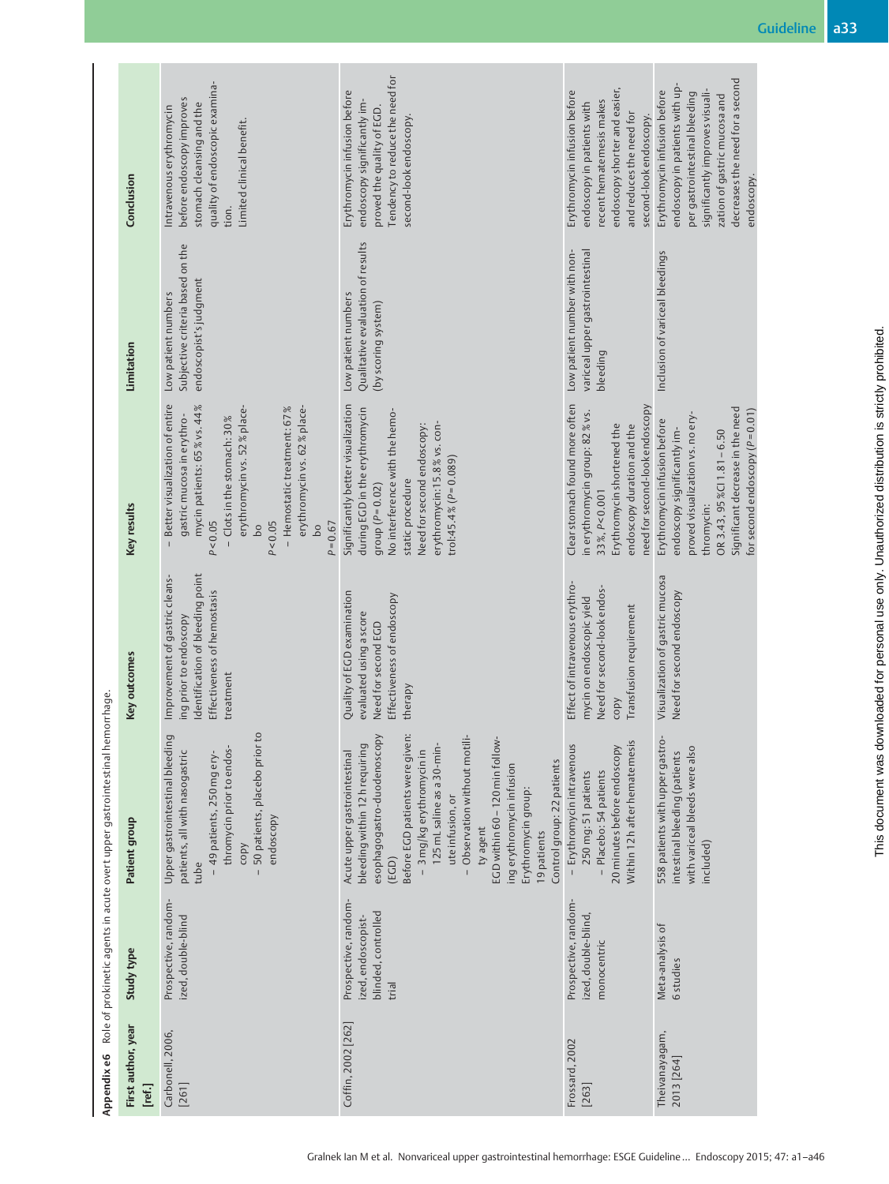|                                                                             | Conclusion<br>Limitation     | quality of endoscopic examina-<br>before endoscopy improves<br>stomach cleansing and the<br>ntravenous erythromycin<br>Limited clinical benefit.<br>tion.<br>Subjective criteria based on the<br>endoscopist's judgment<br>Low patient numbers                                                       | Tendency to reduce the need for<br>Erythromycin infusion before<br>endoscopy significantly im-<br>proved the quality of EGD.<br>second-look endoscopy.<br>Qualitative evaluation of results<br>Low patient numbers<br>(by scoring system)                                                                                                                                                                | endoscopy shorter and easier,<br>Erythromycin infusion before<br>ecent hematemesis makes<br>endoscopy in patients with<br>and reduces the need for<br>second-look endoscopy.<br>Low patient number with non-<br>variceal upper gastrointestinal<br>bleeding | decreases the need for a second<br>endoscopy in patients with up-<br>Erythromycin infusion before<br>significantly improves visuali-<br>per gastrointestinal bleeding<br>zation of gastric mucosa and<br>endoscopy.<br>Inclusion of variceal bleedings |
|-----------------------------------------------------------------------------|------------------------------|------------------------------------------------------------------------------------------------------------------------------------------------------------------------------------------------------------------------------------------------------------------------------------------------------|----------------------------------------------------------------------------------------------------------------------------------------------------------------------------------------------------------------------------------------------------------------------------------------------------------------------------------------------------------------------------------------------------------|-------------------------------------------------------------------------------------------------------------------------------------------------------------------------------------------------------------------------------------------------------------|--------------------------------------------------------------------------------------------------------------------------------------------------------------------------------------------------------------------------------------------------------|
|                                                                             | Key results                  | Better visualization of entire<br>mycin patients: 65% vs. 44%<br>erythromycin vs. 62 % place-<br>- Hemostatic treatment: 67 %<br>erythromycin vs. 52 % place-<br>gastric mucosa in erythro-<br>- Clots in the stomach: 30%<br>P < 0.05<br>P < 0.05<br>$P = 0.67$<br>$\overline{b}$<br>$\overline{b}$ | Significantly better visualization<br>during EGD in the erythromycin<br>No interference with the hemo-<br>erythromycin:15.8% vs. con-<br>Need for second endoscopy:<br>trol:45.4% ( $P = 0.089$ )<br>static procedure<br>group ( $P = 0.02$ )                                                                                                                                                            | Clear stomach found more often<br>need for second-look endoscopy<br>in erythromycin group: 82 % vs.<br>endoscopy duration and the<br>Erythromycin shortened the<br>33%, P<0.001                                                                             | Significant decrease in the need<br>for second endoscopy ( $P = 0.01$ )<br>proved visualization vs. no ery-<br>Erythromycin infusion before<br>endoscopy significantly im-<br>OR 3.43, $95\%$ CI 1.81 - 6.50<br>thromycin:                             |
|                                                                             | Key outcomes                 | Identification of bleeding point<br>Improvement of gastric cleans-<br>Effectiveness of hemostasis<br>ing prior to endoscopy<br>treatment                                                                                                                                                             | Quality of EGD examination<br>Effectiveness of endoscopy<br>evaluated using a score<br>Need for second EGD<br>therapy                                                                                                                                                                                                                                                                                    | Effect of intravenous erythro-<br>Need for second-look endos-<br>mycin on endoscopic yield<br>Transfusion requirement<br>copy                                                                                                                               | Visualization of gastric mucosa<br>Need for second endoscopy                                                                                                                                                                                           |
| Role of prokinetic agents in acute overt upper gastrointestinal hemorrhage. | Patient group                | 50 patients, placebo prior to<br>Upper gastrointestinal bleeding<br>thromycin prior to endos-<br>patients, all with nasogastric<br>- 49 patients, 250 mg ery-<br>endoscopy<br>copy<br>tube                                                                                                           | Before EGD patients were given:<br>esophagogastro-duodenoscopy<br>- Observation without motili-<br>EGD within 60 - 120 min follow-<br>125 mL saline as a 30-min-<br>bleeding within 12 h requiring<br>- 3 mg/kg erythromycinin<br>Acute upper gastrointestinal<br>Control group: 22 patients<br>ing erythromycin infusion<br>Erythromycin group:<br>ute infusion, or<br>ty agent<br>19 patients<br>(EGD) | Within 12 h after hematemesis<br>- Erythromycin intravenous<br>20 minutes before endoscopy<br>- Placebo: 54 patients<br>250 mg: 51 patients                                                                                                                 | 558 patients with upper gastro<br>with variceal bleeds were also<br>intestinal bleeding (patients<br>included)                                                                                                                                         |
|                                                                             | <b>Study type</b>            | Prospective, random-<br>ized, double-blind                                                                                                                                                                                                                                                           | Prospective, random-<br>blinded, controlled<br>ized, endoscopist-<br>trial                                                                                                                                                                                                                                                                                                                               | Prospective, random-<br>ized, double-blind,<br>monocentric                                                                                                                                                                                                  | Meta-analysis of<br>6 studies                                                                                                                                                                                                                          |
| Appendixe6                                                                  | First author, year<br>[ref.] | Carbonell, 2006,<br>$[261]$                                                                                                                                                                                                                                                                          | Coffin, 2002 [262]                                                                                                                                                                                                                                                                                                                                                                                       | Frossard, 2002<br>$[263]$                                                                                                                                                                                                                                   | Theivanayagam,<br>2013 [264]                                                                                                                                                                                                                           |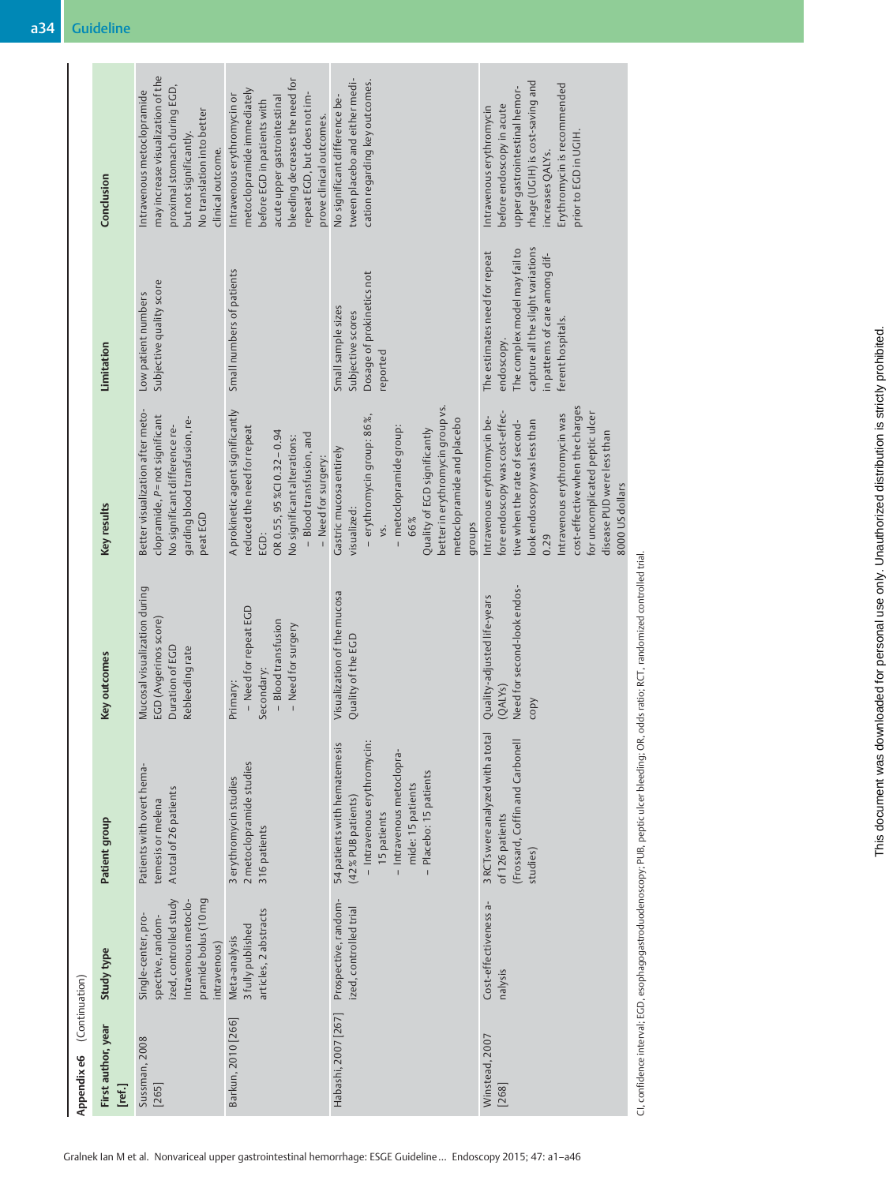| (Continuation)<br>Appendix e6 |                                                                                                                                    |                                                                                                                                                                             |                                                                                              |                                                                                                                                                                                                                                                                                              |                                                                                                                                                                          |                                                                                                                                                                                                                         |
|-------------------------------|------------------------------------------------------------------------------------------------------------------------------------|-----------------------------------------------------------------------------------------------------------------------------------------------------------------------------|----------------------------------------------------------------------------------------------|----------------------------------------------------------------------------------------------------------------------------------------------------------------------------------------------------------------------------------------------------------------------------------------------|--------------------------------------------------------------------------------------------------------------------------------------------------------------------------|-------------------------------------------------------------------------------------------------------------------------------------------------------------------------------------------------------------------------|
| First author, year<br>[ref.]  | Study type                                                                                                                         | Patient group                                                                                                                                                               | Key outcomes                                                                                 | Key results                                                                                                                                                                                                                                                                                  | Limitation                                                                                                                                                               | Conclusion                                                                                                                                                                                                              |
| Sussman, 2008<br>[265]        | ized, controlled study<br>pramide bolus (10 mg<br>Intravenous metoclo-<br>Single-center, pro-<br>spective, random-<br>intravenous) | Patients with overt hema-<br>A total of 26 patients<br>temesis or melena                                                                                                    | Mucosal visualization during<br>EGD (Avgerinos score)<br>Duration of EGD<br>Rebleeding rate  | Better visualization after meto-<br>clopramide, P=not significant<br>garding blood transfusion, re-<br>No significant difference re-<br>peatEGD                                                                                                                                              | Subjective quality score<br>Low patient numbers                                                                                                                          | may increase visualization of the<br>proximal stomach during EGD,<br>ntravenous metoclopramide<br>No translation into better<br>but not significantly.<br>clinical outcome.                                             |
| Barkun, 2010 [266]            | articles, 2 abstracts<br>3 fully published<br>Meta-analysis                                                                        | 2 metoclopramide studies<br>3 erythromycin studies<br>316 patients                                                                                                          | - Need for repeat EGD<br>- Blood transfusion<br>- Need for surgery<br>Secondary:<br>Primary: | A prokinetic agent significantly<br>reduced the need for repeat<br>OR 0.55, 95%CI0.32-0.94<br>- Blood transfusion, and<br>No significant alterations:<br>- Need for surgery:<br>EGD:                                                                                                         | Small numbers of patients                                                                                                                                                | bleeding decreases the need for<br>metoclopramide immediately<br>repeat EGD, but does not im-<br>Intravenous erythromycin or<br>acute upper gastrointestinal<br>before EGD in patients with<br>prove clinical outcomes. |
| Habashi, 2007 [267]           | Prospective, random-<br>ized, controlled trial                                                                                     | - Intravenous erythromycin:<br>54 patients with hematemesis<br>- Intravenous metoclopra-<br>Placebo: 15 patients<br>mide: 15 patients<br>(42 % PUB patients)<br>15 patients | Visualization of the mucosa<br>Quality of the EGD                                            | better in erythromycin group vs.<br>– erythromycin group: 86 %,<br>metoclopramide and placebo<br>- metoclopramide group:<br>Quality of EGD significantly<br>Gastric mucosa entirely<br>visualized:<br>66%<br>groups<br>vs.                                                                   | Dosage of prokinetics not<br>Small sample sizes<br>Subjective scores<br>reported                                                                                         | tween placebo and either medi-<br>cation regarding key outcomes.<br>No significant difference be-                                                                                                                       |
| Winstead, 2007<br>[268]       | Cost-effectiveness a-<br>nalysis                                                                                                   | 3 RCTs were analyzed with a total<br>(Frossard, Coffin and Carbonell<br>of 126 patients<br>studies)                                                                         | Need for second-look endos-<br>Quality-adjusted life-years<br>(QALYs)<br>copy                | cost-effective when the charges<br>fore endoscopy was cost-effec-<br>for uncomplicated peptic ulcer<br>Intravenous erythromycin was<br>Intravenous erythromycin be-<br>ook endoscopy was less than<br>tive when the rate of second-<br>disease PUD were less than<br>8000 US dollars<br>0.29 | capture all the slight variations<br>The complex model may fail to<br>The estimates need for repeat<br>in patterns of care among dif-<br>ferent hospitals.<br>endoscopy. | rhage (UGIH) is cost-saving and<br>Erythromycin is recommended<br>upper gastrointestinal hemor-<br>before endoscopy in acute<br>Intravenous erythromycin<br>prior to EGD in UGIH<br>increases QALYs.                    |
|                               |                                                                                                                                    | C1, confidence interval; EGD, esophagogastroduodenoscopy; PUB, peptic ulcer bleeding; OR, odds ratio; RCT, randomized controlled trial.                                     |                                                                                              |                                                                                                                                                                                                                                                                                              |                                                                                                                                                                          |                                                                                                                                                                                                                         |

п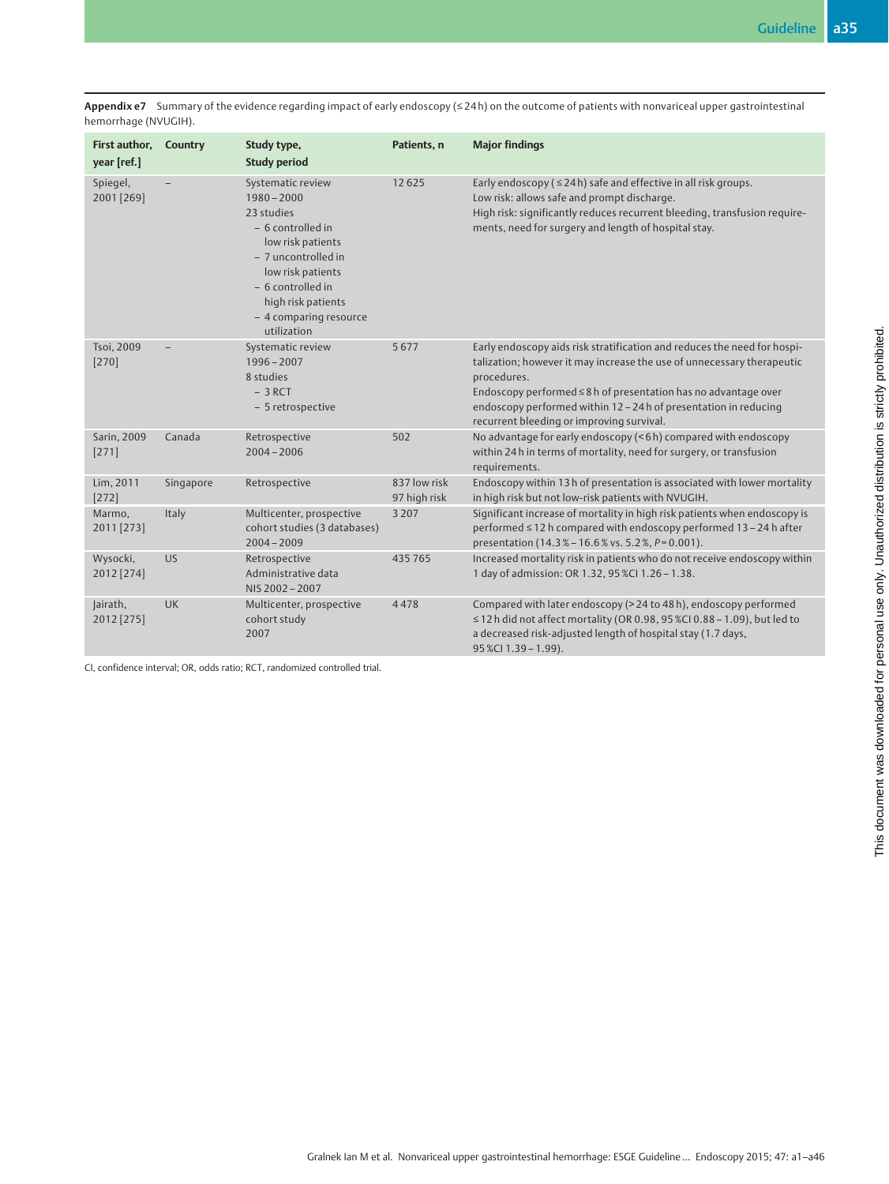Appendix e7 Summary of the evidence regarding impact of early endoscopy (≤24h) on the outcome of patients with nonvariceal upper gastrointestinal hemorrhage (NVUGIH).

| First author,<br>year [ref.] | Country   | Study type,<br><b>Study period</b>                                                                                                                                                                                          | Patients, n                  | <b>Major findings</b>                                                                                                                                                                                                                                                                                                                                 |
|------------------------------|-----------|-----------------------------------------------------------------------------------------------------------------------------------------------------------------------------------------------------------------------------|------------------------------|-------------------------------------------------------------------------------------------------------------------------------------------------------------------------------------------------------------------------------------------------------------------------------------------------------------------------------------------------------|
| Spiegel,<br>2001 [269]       |           | Systematic review<br>$1980 - 2000$<br>23 studies<br>- 6 controlled in<br>low risk patients<br>- 7 uncontrolled in<br>low risk patients<br>$-6$ controlled in<br>high risk patients<br>- 4 comparing resource<br>utilization | 12625                        | Early endoscopy ( $\leq$ 24h) safe and effective in all risk groups.<br>Low risk: allows safe and prompt discharge.<br>High risk: significantly reduces recurrent bleeding, transfusion require-<br>ments, need for surgery and length of hospital stay.                                                                                              |
| Tsoi, 2009<br>$[270]$        |           | Systematic review<br>$1996 - 2007$<br>8 studies<br>$-3$ RCT<br>- 5 retrospective                                                                                                                                            | 5677                         | Early endoscopy aids risk stratification and reduces the need for hospi-<br>talization; however it may increase the use of unnecessary therapeutic<br>procedures.<br>Endoscopy performed ≤ 8 h of presentation has no advantage over<br>endoscopy performed within 12 - 24 h of presentation in reducing<br>recurrent bleeding or improving survival. |
| Sarin, 2009<br>[271]         | Canada    | Retrospective<br>$2004 - 2006$                                                                                                                                                                                              | 502                          | No advantage for early endoscopy (<6h) compared with endoscopy<br>within 24h in terms of mortality, need for surgery, or transfusion<br>requirements.                                                                                                                                                                                                 |
| Lim, 2011<br>[272]           | Singapore | Retrospective                                                                                                                                                                                                               | 837 low risk<br>97 high risk | Endoscopy within 13h of presentation is associated with lower mortality<br>in high risk but not low-risk patients with NVUGIH.                                                                                                                                                                                                                        |
| Marmo,<br>2011 [273]         | Italy     | Multicenter, prospective<br>cohort studies (3 databases)<br>$2004 - 2009$                                                                                                                                                   | 3 2 0 7                      | Significant increase of mortality in high risk patients when endoscopy is<br>performed ≤12 h compared with endoscopy performed 13 - 24 h after<br>presentation (14.3% - 16.6% vs. 5.2%, P=0.001).                                                                                                                                                     |
| Wysocki,<br>2012 [274]       | <b>US</b> | Retrospective<br>Administrative data<br>NIS 2002-2007                                                                                                                                                                       | 435765                       | Increased mortality risk in patients who do not receive endoscopy within<br>1 day of admission: OR 1.32, 95 %CI 1.26 - 1.38.                                                                                                                                                                                                                          |
| Jairath,<br>2012 [275]       | UK        | Multicenter, prospective<br>cohort study<br>2007                                                                                                                                                                            | 4478                         | Compared with later endoscopy (> 24 to 48 h), endoscopy performed<br>$\leq$ 12 h did not affect mortality (OR 0.98, 95 %CI 0.88 - 1.09), but led to<br>a decreased risk-adjusted length of hospital stay (1.7 days,<br>95 %Cl 1.39 - 1.99).                                                                                                           |

CI, confidence interval; OR, odds ratio; RCT, randomized controlled trial.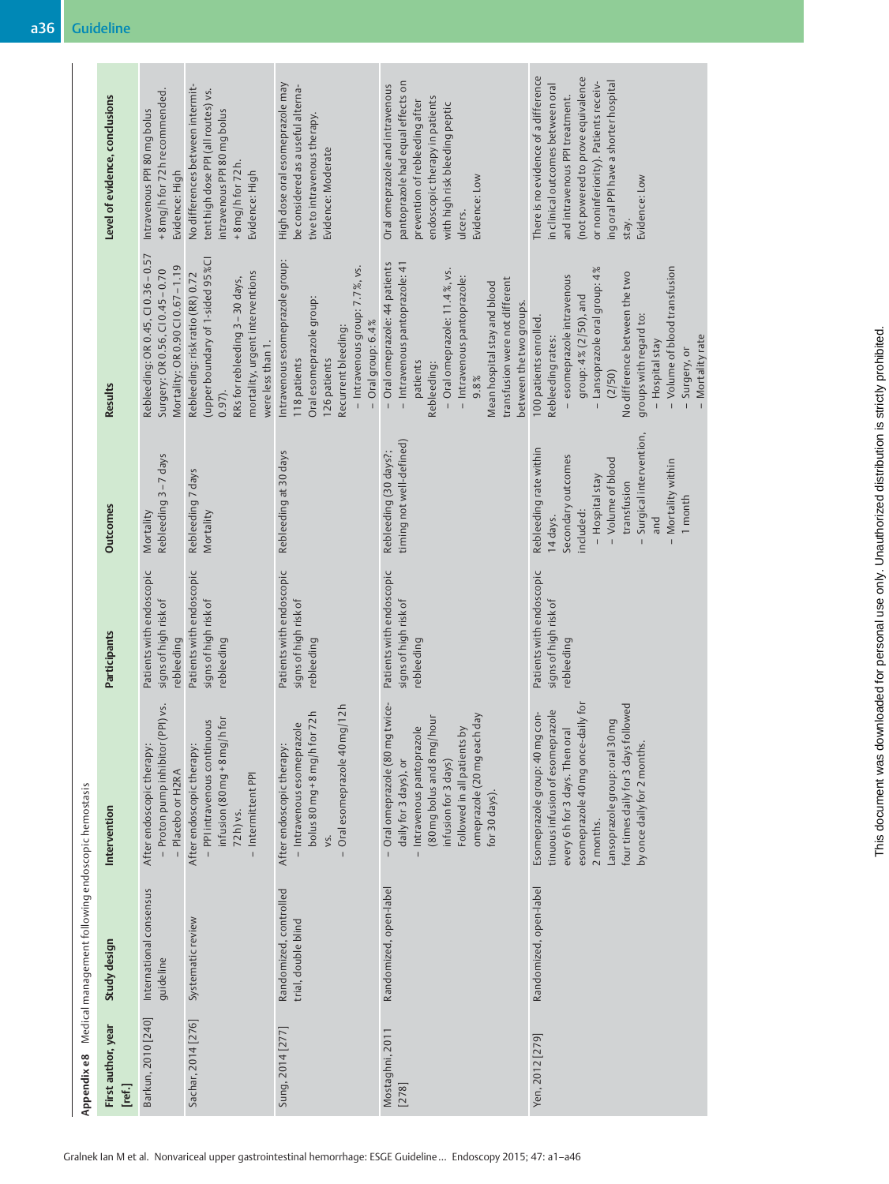|                                                    | Level of evidence, conclusions | +8 mg/h for 72 h recommended.<br>Intravenous PPI 80 mg bolus<br>Evidence: High                           | No differences between intermit-<br>tent high dose PPI (all routes) vs.<br>ntravenous PPI 80 mg bolus<br>$+8$ mg/h for 72 h.<br>Evidence: High                                | High dose oral esomeprazole may<br>be considered as a useful alterna-<br>tive to intravenous therapy.<br>Evidence: Moderate                                                     | pantoprazole had equal effects on<br>Oral omeprazole and intravenous<br>endoscopic therapy in patients<br>prevention of rebleeding after<br>with high risk bleeding peptic<br>Evidence: Low<br>ulcers.                                                           | There is no evidence of a difference<br>(not powered to prove equivalence<br>ing oral PPI have a shorter hospital<br>or noninferiority). Patients receiv-<br>in clinical outcomes between oral<br>and intravenous PPI treatment.<br>Evidence: Low<br>stay.                                      |
|----------------------------------------------------|--------------------------------|----------------------------------------------------------------------------------------------------------|-------------------------------------------------------------------------------------------------------------------------------------------------------------------------------|---------------------------------------------------------------------------------------------------------------------------------------------------------------------------------|------------------------------------------------------------------------------------------------------------------------------------------------------------------------------------------------------------------------------------------------------------------|-------------------------------------------------------------------------------------------------------------------------------------------------------------------------------------------------------------------------------------------------------------------------------------------------|
|                                                    | <b>Results</b>                 | Rebleeding: OR 0.45, CI 0.36-0.57<br>Mortality: OR 0.90 CI 0.67-1.19<br>Surgery: OR 0.56, CI 0.45 - 0.70 | (upper boundary of 1-sided 95 %CI<br>mortality, urgent interventions<br>Rebleeding: risk ratio (RR) 0.72<br>RRs for rebleeding 3 - 30 days,<br>were less than 1.<br>$0.97$ ). | Intravenous esomeprazole group:<br>- Intravenous group: 7.7%, vs.<br>Oral esomeprazole group:<br>$-$ Oral group: $6.4\%$<br>Recurrent bleeding:<br>126 patients<br>118 patients | - Oral omeprazole: 44 patients<br>- Intravenous pantoprazole: 41<br>- Oral omeprazole: 11.4%, vs.<br>- Intravenous pantoprazole:<br>transfusion were not different<br>Mean hospital stay and blood<br>between the two groups.<br>patients<br>Rebleeding:<br>9.8% | - Volume of blood transfusion<br>- Lansoprazole oral group: 4%<br>No difference between the two<br>- esomeprazole intravenous<br>group: 4% (2/50), and<br>groups with regard to:<br>100 patients enrolled.<br>Mortality rate<br>Rebleeding rates:<br>- Hospital stay<br>- Surgery, or<br>(2/50) |
|                                                    | <b>Outcomes</b>                | Rebleeding 3-7 days<br>Mortality                                                                         | Rebleeding 7 days<br>Mortality                                                                                                                                                | Rebleeding at 30 days                                                                                                                                                           | timing not well-defined)<br>Rebleeding (30 days?;                                                                                                                                                                                                                | Surgical intervention,<br>Rebleeding rate within<br>Secondary outcomes<br>- Volume of blood<br>- Mortality within<br>- Hospital stay<br>transfusion<br>1 month<br>included:<br>14 days.<br>and                                                                                                  |
|                                                    | Participants                   | Patients with endoscopic<br>signs of high risk of<br>rebleeding                                          | Patients with endoscopic<br>signs of high risk of<br>rebleeding                                                                                                               | Patients with endoscopic<br>signs of high risk of<br>rebleeding                                                                                                                 | Patients with endoscopic<br>signs of high risk of<br>rebleeding                                                                                                                                                                                                  | Patients with endoscopic<br>signs of high risk of<br>ebleeding                                                                                                                                                                                                                                  |
|                                                    | Intervention                   | PPI) vs.<br>- Proton pump inhibitor<br>After endoscopic therapy:<br>- Placebo or H2RA                    | $intusion (80mg + 8mg/h for$<br>- PPI intravenous continuous<br>After endoscopic therapy:<br>- Intermittent PPI<br>72h) vs.                                                   | Oral esomeprazole 40 mg/12 h<br>bolus $80$ mg + $8$ mg/h for 72 h<br>- Intravenous esomeprazole<br>After endoscopic therapy:<br>vs.                                             | g twice-<br>omeprazole (20 mg each day<br>(80 mg bolus and 8 mg/hour<br>Intravenous pantoprazole<br>Followed in all patients by<br>- Oral omeprazole (80 m<br>infusion for 3 days)<br>daily for 3 days), or<br>for 30 days).                                     | four times daily for 3 days followed<br>esomeprazole 40 mg once-daily for<br>tinuous infusion of esomeprazole<br>Esomeprazole group: 40 mg con-<br>Lansoprazole group: oral 30 mg<br>every 6h for 3 days. Then oral<br>by once daily for 2 months.<br>2 months.                                 |
| Medical management following endoscopic hemostasis | Study design                   | International consensus<br>guideline                                                                     | Systematic review                                                                                                                                                             | Randomized, controlled<br>trial, double blind                                                                                                                                   | Randomized, open-label                                                                                                                                                                                                                                           | Randomized, open-label                                                                                                                                                                                                                                                                          |
| Appendixe8                                         | First author, year<br>[ref.]   | Barkun, 2010 [240]                                                                                       | Sachar, 2014 [276]                                                                                                                                                            | Sung, 2014 [277]                                                                                                                                                                | Mostaghni, 2011<br>[278]                                                                                                                                                                                                                                         | Yen, 2012 [279]                                                                                                                                                                                                                                                                                 |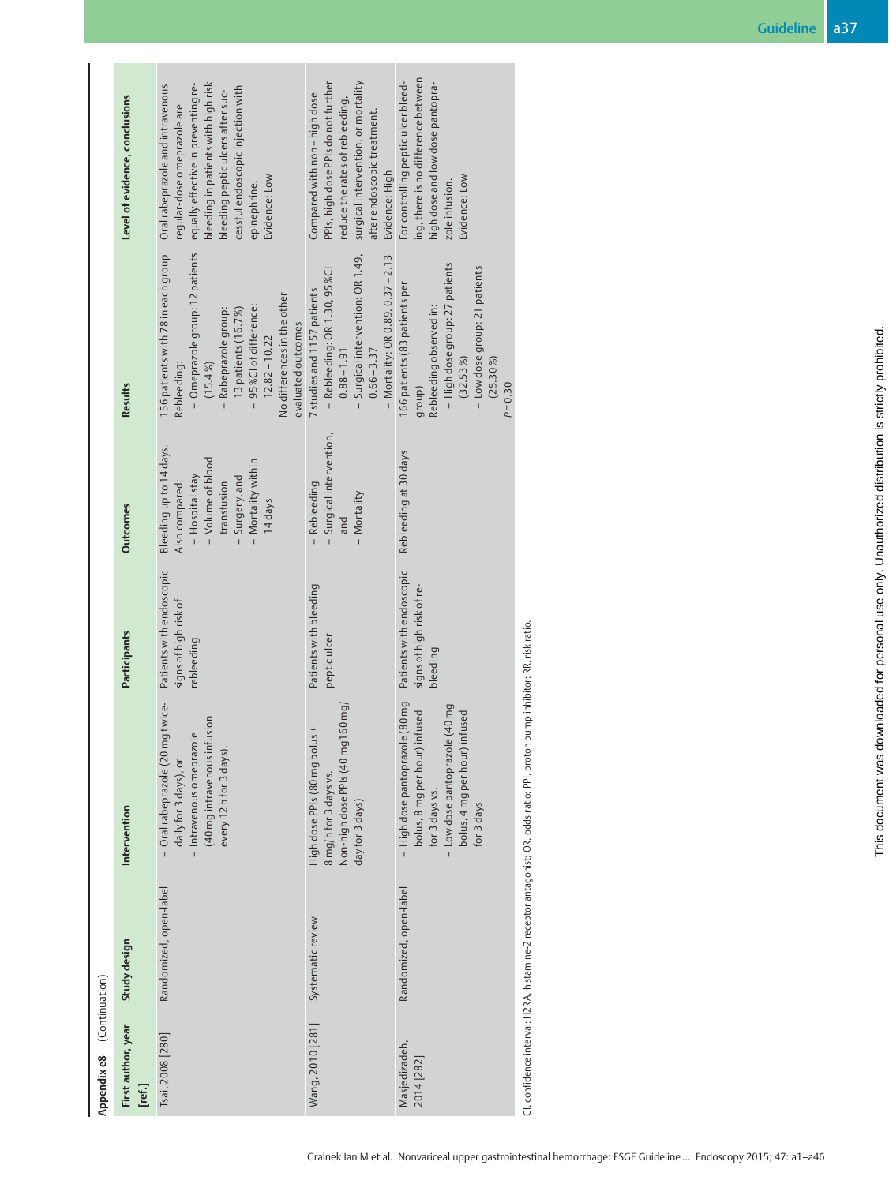| Appendix e8 (Continuation)   |                        |                                                                                                                                                                     |                                                                   |                                                                                                                                                   |                                                                                                                                                                                                                                                      |                                                                                                                                                                                                                                                         |
|------------------------------|------------------------|---------------------------------------------------------------------------------------------------------------------------------------------------------------------|-------------------------------------------------------------------|---------------------------------------------------------------------------------------------------------------------------------------------------|------------------------------------------------------------------------------------------------------------------------------------------------------------------------------------------------------------------------------------------------------|---------------------------------------------------------------------------------------------------------------------------------------------------------------------------------------------------------------------------------------------------------|
| First author, year<br>[ref.] | Study design           | Intervention                                                                                                                                                        | <b>Participants</b>                                               | <b>Outcomes</b>                                                                                                                                   | <b>Results</b>                                                                                                                                                                                                                                       | Level of evidence, conclusions                                                                                                                                                                                                                          |
| Tsai, 2008 [280]             | Randomized, open-label | twice-<br>(40 mg intravenous infusion<br>- Oral rabeprazole (20 mg<br>- Intravenous omeprazole<br>every 12h for 3 days).<br>daily for 3 days), or                   | Patients with endoscopic<br>signs of high risk of<br>rebleeding   | Bleeding up to 14 days.<br>- Volume of blood<br>- Mortality within<br>- Hospital stay<br>Surgery, and<br>Also compared:<br>transfusion<br>14 days | - Omeprazole group: 12 patients<br>156 patients with 78 in each group<br>No differences in the other<br>- 95 %Cl of difference:<br>- Rabeprazole group:<br>13 patients (16.7%)<br>evaluated outcomes<br>$12.82 - 10.22$<br>Rebleeding:<br>$(15.4\%)$ | bleeding in patients with high risk<br>Oral rabeprazole and intravenous<br>equally effective in preventing re-<br>cessful endoscopic injection with<br>bleeding peptic ulcers after suc-<br>egular-dose omeprazole are<br>Evidence: Low<br>epinephrine. |
| Wang, 2010 [281]             | Systematic review      | Non-high dose PPIs (40 mg 160 mg)<br>High dose PPIs (80 mg bolus<br>8 mg/h for 3 days vs.<br>day for 3 days)                                                        | Patients with bleeding<br>peptic ulcer                            | Surgical intervention,<br>Rebleeding<br>- Mortality<br>and                                                                                        | - Surgical intervention: OR 1.49,<br>- Mortality: OR 0.89, 0.37-2.13<br>- Rebleeding: OR 1.30, 95 %Cl<br>7 studies and 1157 patients<br>$0.66 - 3.37$<br>$0.88 - 1.91$                                                                               | PPIs, high dose PPIs do not further<br>surgical intervention, or mortality<br>Compared with non-high dose<br>educe the rates of rebleeding,<br>after endoscopic treatment.<br>Evidence: High                                                            |
| Masjedizadeh,<br>2014 [282]  | Randomized, open-label | - High dose pantoprazole (80 mg<br>- Low dose pantoprazole (40 mg<br>bolus, 8 mg per hour) infused<br>bolus, 4 mg per hour) infused<br>for 3 days vs.<br>for 3 days | Patients with endoscopic<br>signs of high risk of re-<br>bleeding | Rebleeding at 30 days                                                                                                                             | - High dose group: 27 patients<br>- Low dose group: 21 patients<br>166 patients (83 patients per<br>Rebleeding observed in:<br>$(32.53\%)$<br>$(25.30\%)$<br>$P = 0.30$<br>group)                                                                    | ing, there is no difference between<br>For controlling peptic ulcer bleed-<br>high dose and low dose pantopra-<br>Evidence: Low<br>zole infusion.                                                                                                       |
|                              |                        | CL confidence interval: H2RA, histamine-2 recentor antagonist: OR, odds ratio: DDL proton purmo inhibitor: RR, risk ratio                                           |                                                                   |                                                                                                                                                   |                                                                                                                                                                                                                                                      |                                                                                                                                                                                                                                                         |

CI, confidence interval; H2RA, histamine-2 receptor antagonist; OR, odds ratio; PPI, proton pump inhibitor; RR, risk ratio.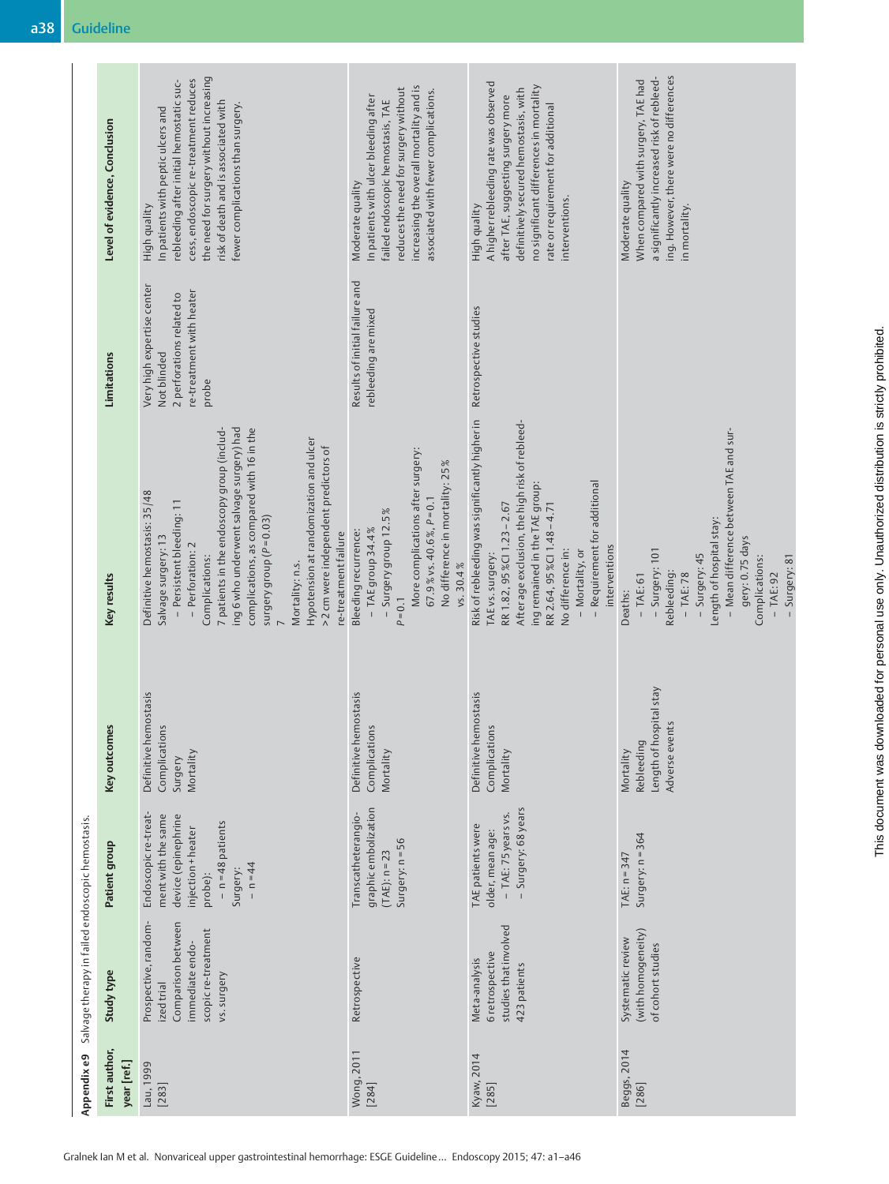|                                                                           | Salvage therapy in failed endoscopic hemostasis<br>Prospective, random-<br>Comparison between<br>Study type<br>ized trial | Endoscopic re-treat-<br>device (epinephrine<br>ment with the same<br>Patient group  | emostasis<br>es<br>Complications<br>Key outcom<br>Definitive h<br>Surgery   | Definitive hemostasis: 35/48<br>- Persistent bleeding: 11<br>Salvage surgery: 13<br>Key results                                                                                                                                                                                                                                        | Very high expertise center<br>2 perforations related to<br>Not blinded<br>Limitations | rebleeding after initial hemostatic suc-<br>In patients with peptic ulcers and<br>Level of evidence, Conclusion<br>High quality                                                                                                         |
|---------------------------------------------------------------------------|---------------------------------------------------------------------------------------------------------------------------|-------------------------------------------------------------------------------------|-----------------------------------------------------------------------------|----------------------------------------------------------------------------------------------------------------------------------------------------------------------------------------------------------------------------------------------------------------------------------------------------------------------------------------|---------------------------------------------------------------------------------------|-----------------------------------------------------------------------------------------------------------------------------------------------------------------------------------------------------------------------------------------|
| scopic re-treatment<br>immediate endo-<br>vs. surgery                     |                                                                                                                           | $- n = 48$ patients<br>injection + heater<br>$- n = 44$<br>Surgery:<br>probe):      | Mortality                                                                   | ing 6 who underwent salvage surgery) had<br>7 patients in the endoscopy group (includ-<br>complications, as compared with 16 in the<br>Hypotension at randomization and ulcer<br>>2 cm were independent predictors of<br>surgery group ( $P = 0.03$ )<br>re-treatment failure<br>- Perforation: 2<br>Complications:<br>Mortality: n.s. | re-treatment with heater<br>probe                                                     | the need for surgery without increasing<br>cess, endoscopic re-treatment reduces<br>risk of death and is associated with<br>fewer complications than surgery.                                                                           |
| Retrospective                                                             |                                                                                                                           | graphic embolization<br>Transcatheterangio-<br>Surgery: n = 56<br>$(TAE): n = 23$   | Definitive hemostasis<br>Complications<br>Mortality                         | More complications after surgery:<br>No difference in mortality: 25%<br>$67.9$ % vs. 40.6%, $P=0.1$<br>$-$ Surgery group 12.5%<br>- TAE group 34.4%<br>Bleeding recurrence:<br>vs. 30.4%<br>$P = 0.1$                                                                                                                                  | Results of initial failure and<br>rebleeding are mixed                                | increasing the overall mortality and is<br>reduces the need for surgery without<br>associated with fewer complications.<br>In patients with ulcer bleeding after<br>failed endoscopic hemostasis, TAE<br>Moderate quality               |
| studies that involved<br>6 retrospective<br>Meta-analysis<br>423 patients |                                                                                                                           | - Surgery: 68 years<br>- TAE: 75 years vs.<br>TAE patients were<br>older, mean age: | Definitive hemostasis<br>Complications<br>Mortality                         | Risk of rebleeding was significantly higher in<br>After age exclusion, the high risk of rebleed-<br>- Requirement for additional<br>ing remained in the TAE group:<br>RR 2.64, 95 %Cl 1.48-4.71<br>RR 1.82, 95 %Cl 1.23 - 2.67<br>interventions<br>No difference in:<br>- Mortality, or<br>TAE vs. surgery:                            | Retrospective studies                                                                 | A higher rebleeding rate was observed<br>no significant differences in mortality<br>definitively secured hemostasis, with<br>after TAE, suggesting surgery more<br>rate or requirement for additional<br>interventions.<br>High quality |
| (with homogeneity)<br>Systematic review<br>of cohort studies              |                                                                                                                           | Surgery: n = 364<br>TAE: $n = 347$                                                  | Length of hospital stay<br>Adverse events<br><b>Rebleeding</b><br>Mortality | - Mean difference between TAE and sur-<br>Length of hospital stay:<br>gery: 0.75 days<br>- Surgery: 101<br>- Surgery: 45<br>Complications:<br>- Surgery: 81<br>Rebleeding:<br>$-TAE:78$<br>$-$ TAE: 92<br>$-$ TAE: 61<br>Deaths:                                                                                                       |                                                                                       | ing. However, there were no differences<br>a significantly increased risk of rebleed-<br>When compared with surgery, TAE had<br>Moderate quality<br>in mortality.                                                                       |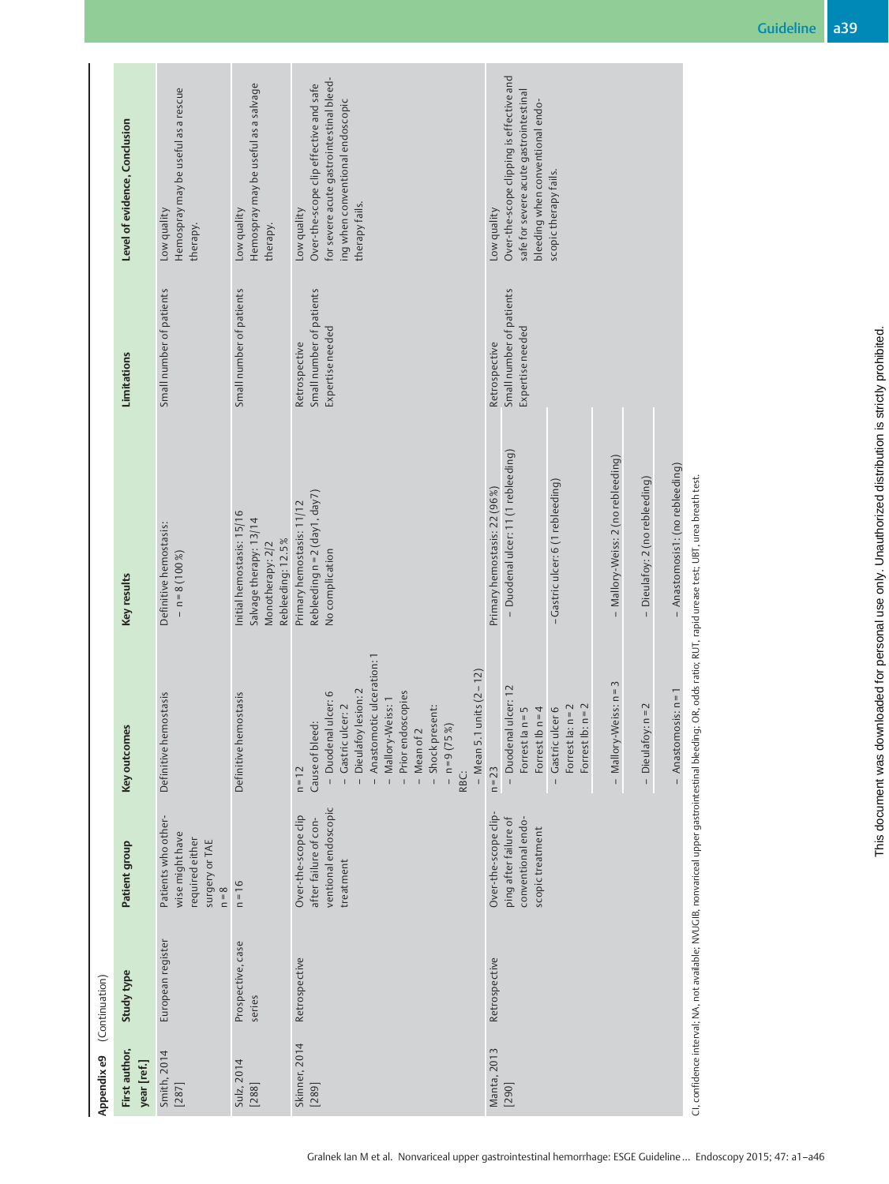|                | Level of evidence, Conclusion | Hemospray may be useful as a rescue<br>Low quality<br>therapy.                         | Hemospray may be useful as a salvage<br>Low quality<br>therapy.                              | for severe acute gastrointestinal bleed-<br>Over-the-scope clip effective and safe<br>ing when conventional endoscopic<br>therapy fails.<br>Low quality                                                                                                                            | Over-the-scope clipping is effective and<br>safe for severe acute gastrointestinal<br>bleeding when conventional endo-<br>scopic therapy fails.<br>Low quality                                                             |                                                                                                                                                                 |
|----------------|-------------------------------|----------------------------------------------------------------------------------------|----------------------------------------------------------------------------------------------|------------------------------------------------------------------------------------------------------------------------------------------------------------------------------------------------------------------------------------------------------------------------------------|----------------------------------------------------------------------------------------------------------------------------------------------------------------------------------------------------------------------------|-----------------------------------------------------------------------------------------------------------------------------------------------------------------|
|                | Limitations                   | Small number of patients                                                               | Small number of patients                                                                     | Small number of patients<br>Expertise needed<br>Retrospective                                                                                                                                                                                                                      | Small number of patients<br>Expertise needed<br>Retrospective                                                                                                                                                              |                                                                                                                                                                 |
|                | Key results                   | Definitive hemostasis:<br>$- n = 8(100%)$                                              | Initial hemostasis: 15/16<br>Salvage therapy: 13/14<br>Rebleeding: 12.5%<br>Monotherapy: 2/2 | Rebleeding n = 2 (day1, day7)<br>Primary hemostasis: 11/12<br>No complication                                                                                                                                                                                                      | Duodenal ulcer: 11 (1 rebleeding)<br>Mallory-Weiss: 2 (no rebleeding)<br>- Anastomosis1: (no rebleeding)<br>Dieulafoy: 2 (no rebleeding)<br>- Gastric ulcer: 6 (1 rebleeding)<br>Primary hemostasis: 22 (96 %)             | CI, confidence interval; NA, not available; NVUGIB, nonvariceal upper gastrointestinal bleeding; OR, odds ratio; RUT, rapid urease test; UBT, urea breath test. |
|                | Key outcomes                  | Definitive hemostasis                                                                  | Definitive hemostasis                                                                        | - Anastomotic ulceration: 1<br>1 units $(2 - 12)$<br>- Dieulafoy lesion: 2<br>- Duodenal ulcer: 6<br>- Prior endoscopies<br>- Mallory-Weiss: 1<br>- Gastric ulcer: 2<br>- Shock present:<br>Cause of bleed:<br>$- n = 9 (75%)$<br>$-$ Mean of $2$<br>- Mean 5.<br>$n = 12$<br>RBC: | $-Mallory-Weiss:n=3$<br>- Duodenal ulcer: 12<br>$-A$ nastomosis: $n = 1$<br>$16: n = 2$<br>- Dieulafoy: n = 2<br>Forrest la: $n = 2$<br>Forrest Ib $n = 4$<br>Gastric ulcer 6<br>Forrest la n = 5<br>Forrest I<br>$n = 23$ |                                                                                                                                                                 |
|                | Patient group                 | Patients who other-<br>wise might have<br>required either<br>surgery or TAE<br>$n = 8$ | $n = 16$                                                                                     | ventional endoscopic<br>Over-the-scope clip<br>after failure of con-<br>treatment                                                                                                                                                                                                  | Over-the-scope clip-<br>conventional endo-<br>ping after failure of<br>scopic treatment                                                                                                                                    |                                                                                                                                                                 |
| (Continuation) | Study type                    | European register                                                                      | Prospective, case<br>series                                                                  | Retrospective                                                                                                                                                                                                                                                                      | Retrospective                                                                                                                                                                                                              |                                                                                                                                                                 |
| Appendix e9    | First author,<br>year [ref.]  | Smith, 2014<br>$[287]$                                                                 | Sulz, 2014<br>[288]                                                                          | Skinner, 2014<br>$[289]$                                                                                                                                                                                                                                                           | Manta, 2013<br>[290]                                                                                                                                                                                                       |                                                                                                                                                                 |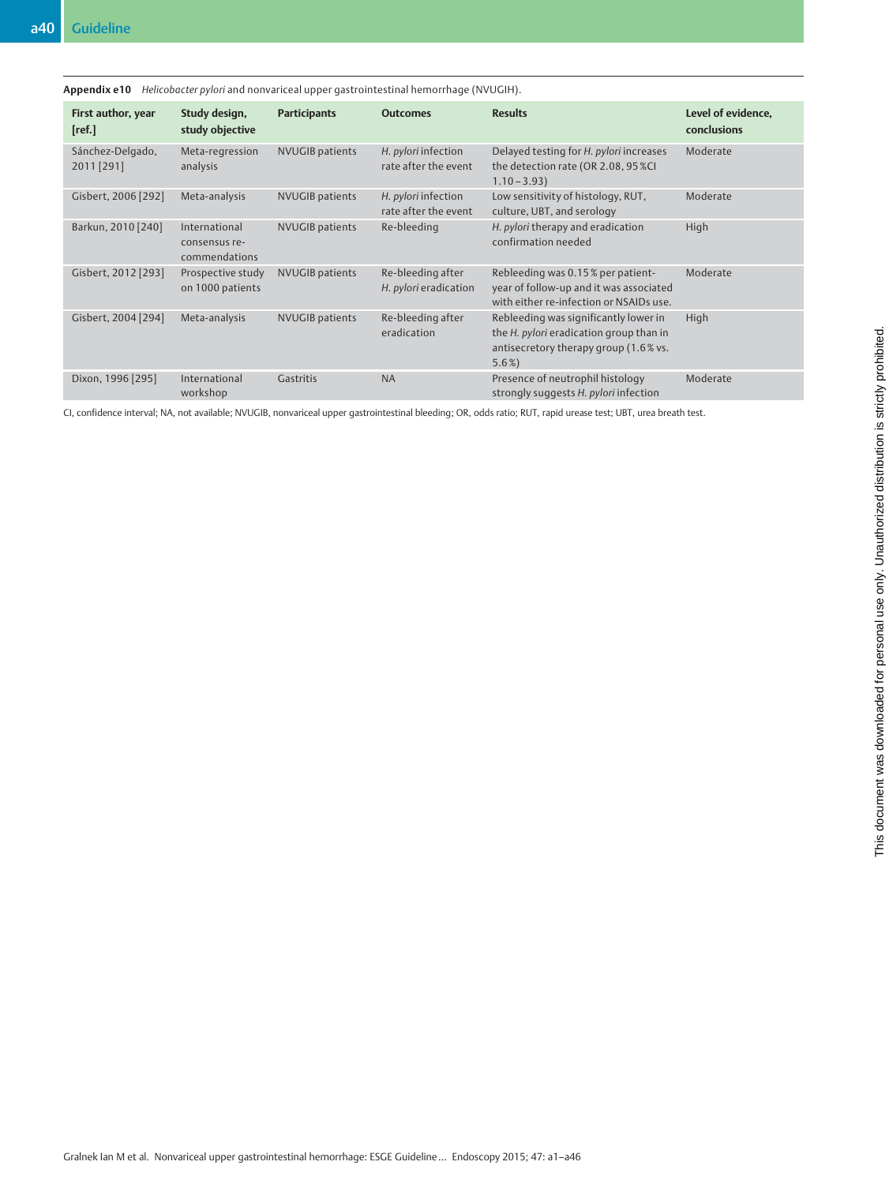| Appendix e 10                  |                                                 |                        | Helicobacter pylori and nonvariceal upper gastrointestinal hemorrhage (NVUGIH). |                                                                                                                                      |                                   |
|--------------------------------|-------------------------------------------------|------------------------|---------------------------------------------------------------------------------|--------------------------------------------------------------------------------------------------------------------------------------|-----------------------------------|
| First author, year<br>[ref.]   | Study design,<br>study objective                | <b>Participants</b>    | <b>Outcomes</b>                                                                 | <b>Results</b>                                                                                                                       | Level of evidence,<br>conclusions |
| Sánchez-Delgado,<br>2011 [291] | Meta-regression<br>analysis                     | <b>NVUGIB</b> patients | H. pylori infection<br>rate after the event                                     | Delayed testing for H. pylori increases<br>the detection rate (OR 2.08, 95 %CI<br>$1.10 - 3.93$                                      | Moderate                          |
| Gisbert, 2006 [292]            | Meta-analysis                                   | <b>NVUGIB</b> patients | H. pylori infection<br>rate after the event                                     | Low sensitivity of histology, RUT,<br>culture, UBT, and serology                                                                     | Moderate                          |
| Barkun, 2010 [240]             | International<br>consensus re-<br>commendations | <b>NVUGIB</b> patients | Re-bleeding                                                                     | H. pylori therapy and eradication<br>confirmation needed                                                                             | High                              |
| Gisbert, 2012 [293]            | Prospective study<br>on 1000 patients           | <b>NVUGIB</b> patients | Re-bleeding after<br>H. pylori eradication                                      | Rebleeding was 0.15% per patient-<br>year of follow-up and it was associated<br>with either re-infection or NSAIDs use.              | Moderate                          |
| Gisbert, 2004 [294]            | Meta-analysis                                   | <b>NVUGIB</b> patients | Re-bleeding after<br>eradication                                                | Rebleeding was significantly lower in<br>the H. pylori eradication group than in<br>antisecretory therapy group (1.6% vs.<br>$5.6\%$ | High                              |
| Dixon, 1996 [295]              | International<br>workshop                       | Gastritis              | <b>NA</b>                                                                       | Presence of neutrophil histology<br>strongly suggests H. pylori infection                                                            | Moderate                          |

CI, confidence interval; NA, not available; NVUGIB, nonvariceal upper gastrointestinal bleeding; OR, odds ratio; RUT, rapid urease test; UBT, urea breath test.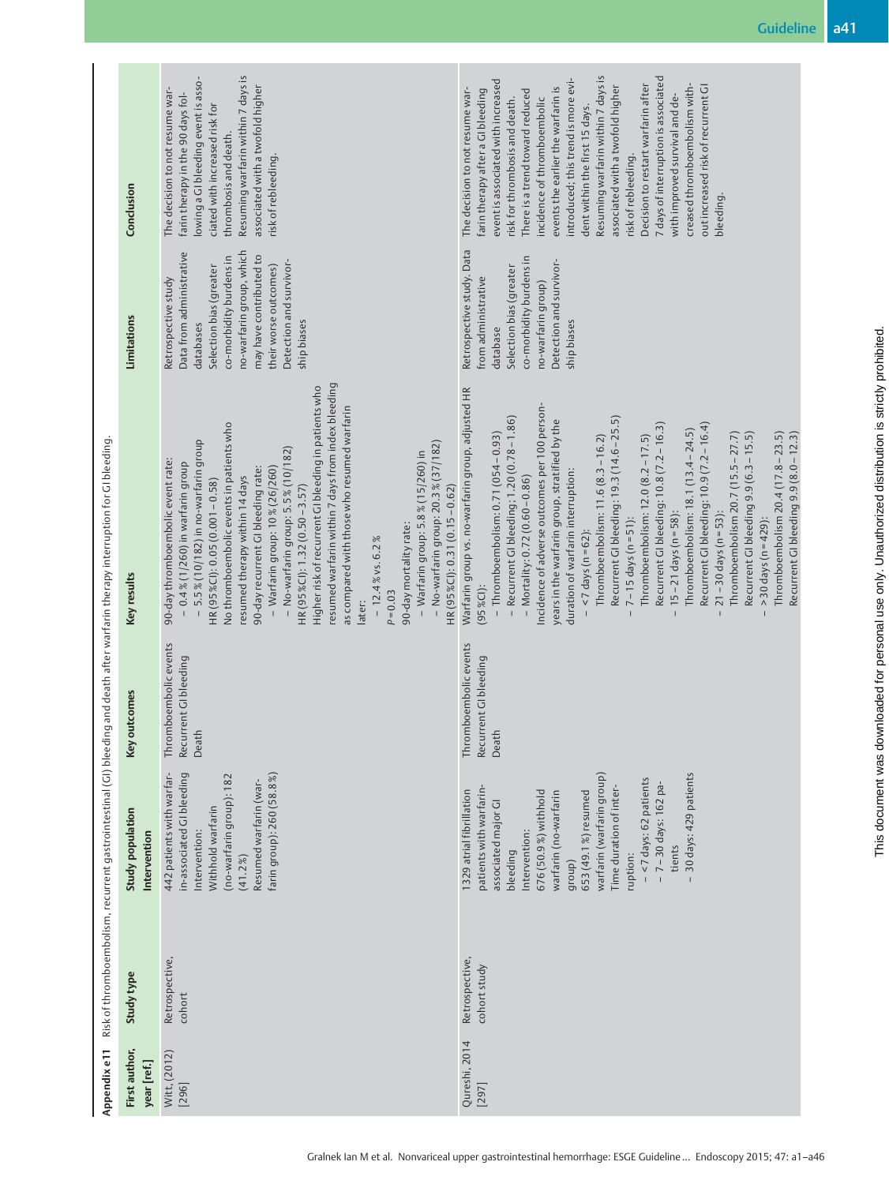|                                                                    | Conclusion<br><b>Limitations</b> | Resuming warfarin within 7 days is<br>lowing a GI bleeding event is asso-<br>associated with a twofold higher<br>The decision to not resume war-<br>farin therapy in the 90 days fol-<br>ciated with increased risk for<br>thrombosis and death.<br>risk of rebleeding.<br>no-warfarin group, which<br>Data from administrative<br>may have contributed to<br>co-morbidity burdens in<br>Detection and survivor-<br>their worse outcomes)<br>Selection bias (greater<br>Retrospective study<br>ship biases<br>databases                                                                                                                                                                                                                      | Resuming warfarin within 7 days is<br>7 days of interruption is associated<br>introduced; this trend is more evi-<br>event is associated with increased<br>Decision to restart warfarin after<br>creased thromboembolism with-<br>associated with a twofold higher<br>out increased risk of recurrent GI<br>events the earlier the warfarin is<br>The decision to not resume war-<br>farin therapy after a GI bleeding<br>There is a trend toward reduced<br>with improved survival and de-<br>incidence of thromboembolic<br>risk for thrombosis and death.<br>dent within the first 15 days.<br>risk of rebleeding.<br>bleeding.<br>Retrospective study. Data<br>co-morbidity burdens in<br>Detection and survivor-<br>Selection bias (greater<br>from administrative<br>no-warfarin group)<br>ship biases<br>database                          |
|--------------------------------------------------------------------|----------------------------------|----------------------------------------------------------------------------------------------------------------------------------------------------------------------------------------------------------------------------------------------------------------------------------------------------------------------------------------------------------------------------------------------------------------------------------------------------------------------------------------------------------------------------------------------------------------------------------------------------------------------------------------------------------------------------------------------------------------------------------------------|---------------------------------------------------------------------------------------------------------------------------------------------------------------------------------------------------------------------------------------------------------------------------------------------------------------------------------------------------------------------------------------------------------------------------------------------------------------------------------------------------------------------------------------------------------------------------------------------------------------------------------------------------------------------------------------------------------------------------------------------------------------------------------------------------------------------------------------------------|
| ing and death after warfarin therapy interruption for GI bleeding. | Key results                      | resumed warfarin within 7 days from index bleeding<br>Higher risk of recurrent GI bleeding in patients who<br>as compared with those who resumed warfarin<br>No thromboembolic events in patients who<br>5.5% (10/182) in no-warfarin group<br>- No-warfarin group: $20.3\%$ $(37/182)$<br>$-$ No-warfarin group: $5.5\%$ (10/182)<br>- Warfarin group: 5.8% (15/260) in<br>90-day thromboembolic event rate:<br>$-0.4$ % (1/260) in warfarin group<br>$-$ Warfarin group: 10% (26/260)<br>90-day recurrent GI bleeding rate:<br>resumed therapy within 14 days<br>HR (95%Cl): 0.05 (0.001-0.58)<br>HR (95%Cl): 0.31 (0.15 - 0.62)<br>HR (95%Cl): 1.32 (0.50 - 3.57)<br>90-day mortality rate:<br>$-12.4\%$ vs. 6.2%<br>$P = 0.03$<br>later: | Warfarin group vs. no-warfarin group, adjusted HR<br>Incidence of adverse outcomes per 100 person-<br>- Recurrent GI bleeding; 1.20 (0.78 - 1.86)<br>Recurrent GI bleeding: 19.3 (14.6-25.5)<br>years in the warfarin group, stratified by the<br>Recurrent GI bleeding: 10.9 (7.2-16.4)<br>Recurrent GI bleeding: 10.8 (7.2-16.3)<br>Thromboembolism: 18.1 (13.4 – 24.5)<br>$-$ Thromboembolism: 0.71 (054 - 0.93)<br>Recurrent GI bleeding 9.9 (6.3 - 15.5)<br>Thromboembolism 20.4 (17.8 – 23.5)<br>Thromboembolism 20.7 (15.5 – 27.7)<br>Thromboembolism: 11.6 (8.3 - 16.2)<br>Thromboembolism: 12.0 (8.2 - 17.5)<br>duration of warfarin interruption:<br>Mortality: 0.72 (0.60-0.86)<br>$-15-21$ days (n = 58):<br>$21 - 30$ days (n = 53):<br>$7 - 15$ days (n = $51$ ):<br>$>$ 30 days (n = 429):<br>$<$ 7 days (n = 62):<br>$(95\%$ CI): |
|                                                                    | outcomes<br>Key                  | Thromboembolic events<br>Recurrent GIbleeding<br>Death                                                                                                                                                                                                                                                                                                                                                                                                                                                                                                                                                                                                                                                                                       | Thromboembolic events<br>Recurrent GIbleeding<br>Death                                                                                                                                                                                                                                                                                                                                                                                                                                                                                                                                                                                                                                                                                                                                                                                            |
| Risk of thromboembolism, recurrent gastrointestinal (GI) bleedi    | Study population<br>Intervention | 442 patients with warfar-<br>in-associated GI bleeding<br>farin group): 260 (58.8%)<br>(no-warfarin group): 182<br>Resumed warfarin (war-<br>Withhold warfarin<br>Intervention:<br>(41.2%                                                                                                                                                                                                                                                                                                                                                                                                                                                                                                                                                    | 30 days: 429 patients<br>warfarin (warfarin group)<br>$-$ <7 days: 62 patients<br>- 7 - 30 days: 162 pa-<br>patients with warfarin-<br>Time duration of inter-<br>1329 atrial fibrillation<br>676 (50.9%) withhold<br>653 (49.1%) resumed<br>warfarin (no-warfarin<br>associated major Gl<br>Intervention:<br>tients<br>bleeding<br>ruption:<br>group)                                                                                                                                                                                                                                                                                                                                                                                                                                                                                            |
|                                                                    | Study type                       | Retrospective,<br>cohort                                                                                                                                                                                                                                                                                                                                                                                                                                                                                                                                                                                                                                                                                                                     | Retrospective,<br>cohort study                                                                                                                                                                                                                                                                                                                                                                                                                                                                                                                                                                                                                                                                                                                                                                                                                    |
| Appendix e11                                                       | First author,<br>year [ref.]     | Witt, (2012)<br>$[296]$                                                                                                                                                                                                                                                                                                                                                                                                                                                                                                                                                                                                                                                                                                                      | Qureshi, 2014<br>[297]                                                                                                                                                                                                                                                                                                                                                                                                                                                                                                                                                                                                                                                                                                                                                                                                                            |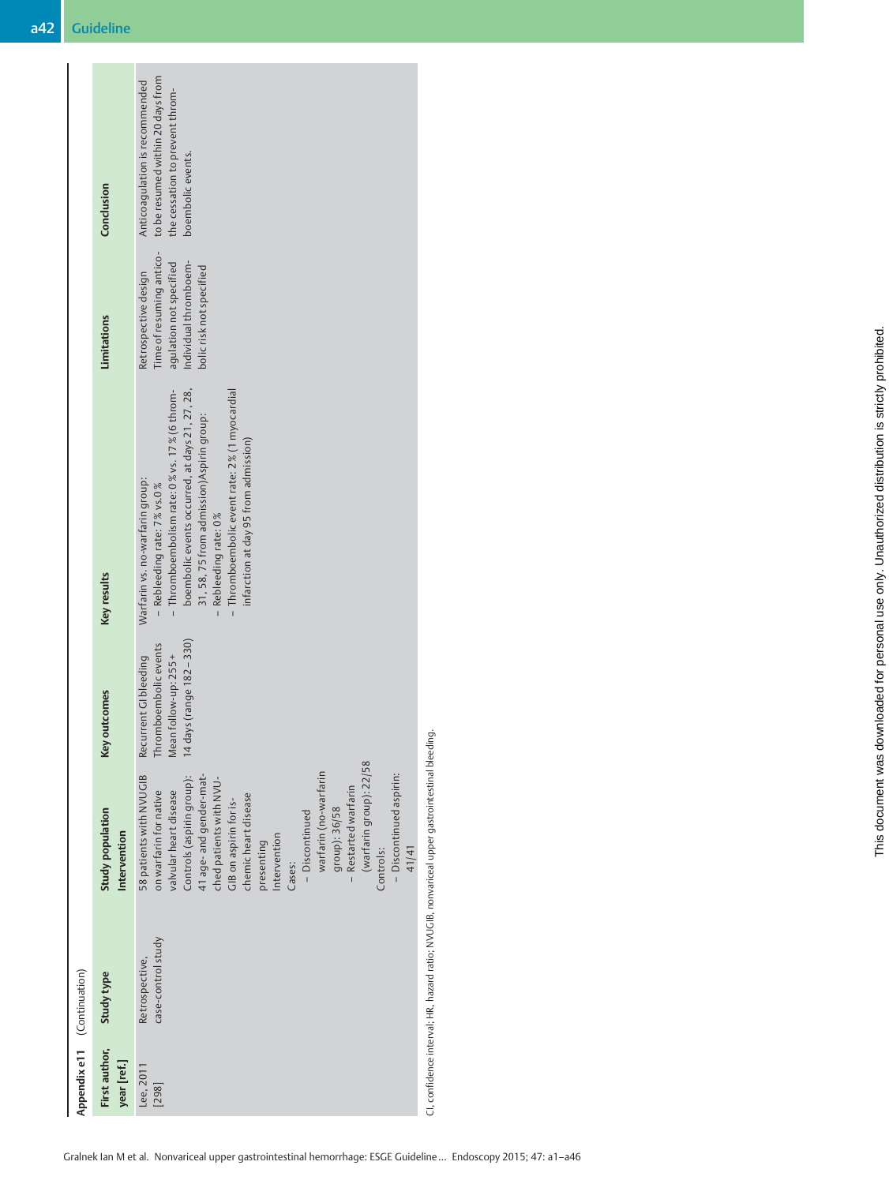|                             | Conclusion                       | to be resumed within 20 days from<br>Anticoagulation is recommended<br>the cessation to prevent throm-<br>boembolic events.                                                                                                                                                                                                                                                                                              |
|-----------------------------|----------------------------------|--------------------------------------------------------------------------------------------------------------------------------------------------------------------------------------------------------------------------------------------------------------------------------------------------------------------------------------------------------------------------------------------------------------------------|
|                             | <b>Limitations</b>               | Time of resuming antico-<br>Individual thromboem-<br>agulation not specified<br>bolic risk not specified<br>Retrospective design                                                                                                                                                                                                                                                                                         |
|                             | Key results                      | boembolic events occurred, at days 21, 27, 28,<br>- Thromboembolism rate: 0% vs. 17% (6 throm-<br>- Thromboembolic event rate: 2% (1 myocardial<br>31, 58, 75 from admission) Aspirin group:<br>infarction at day 95 from admission)<br>Warfarin vs. no-warfarin group:<br>- Rebleeding rate: 7% vs.0%<br>Rebleeding rate: 0%                                                                                            |
|                             | Key outcomes                     | 14 days (range 182-330)<br>Thromboembolic events<br>Mean follow-up: 255 +<br>Recurrent GIbleeding                                                                                                                                                                                                                                                                                                                        |
|                             | Study population<br>Intervention | (warfarin group): 22/58<br>warfarin (no-warfarin<br>- Discontinued aspirin:<br>58 patients with NVUGIB<br>Controls (aspirin group):<br>41 age- and gender-mat-<br>ched patients with NVU-<br>- Restarted warfarin<br>valvular heart disease<br>on warfarin for native<br>chemic heart disease<br>GIB on aspirin for is-<br>group): 36/58<br>- Discontinued<br>Intervention<br>presenting<br>Controls:<br>41/41<br>Cases: |
|                             | Study type                       | case-control study<br>Retrospective,                                                                                                                                                                                                                                                                                                                                                                                     |
| Appendix e11 (Continuation) | First author,<br>year [ref.]     | Lee, 2011<br>$[298]$                                                                                                                                                                                                                                                                                                                                                                                                     |

CI, confidence interval; HR, hazard ratio; NVUGIB, nonvariceal upper gastrointestinal bleeding. CI, confidence interval; HR, hazard ratio; NVUGIB, nonvariceal upper gastrointestinal bleeding.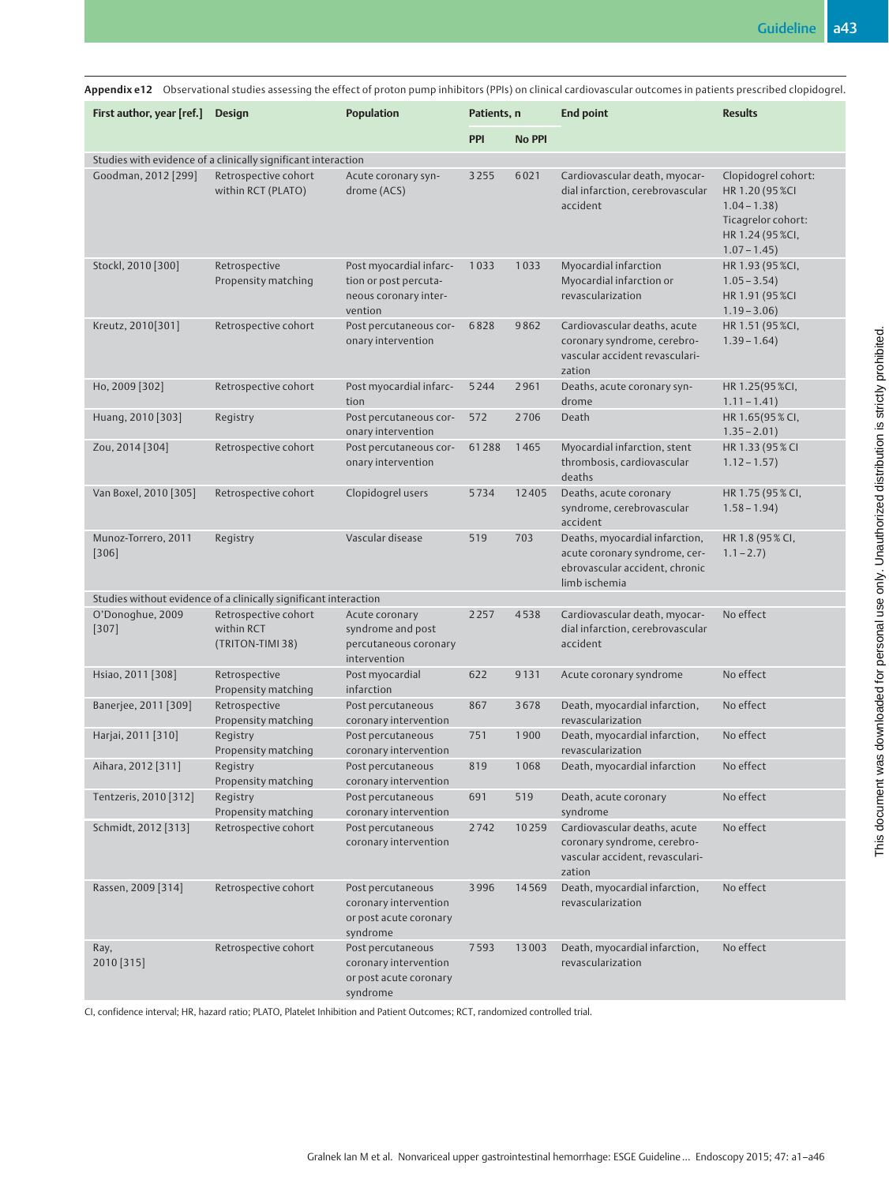|                                |                                                                      |                                                                                      |               |                                    | Appendix e12 Observational studies assessing the effect of proton pump inhibitors (PPIs) on clinical cardiovascular outcomes in patients prescribed clopidogrel. |                                                                                                                      |
|--------------------------------|----------------------------------------------------------------------|--------------------------------------------------------------------------------------|---------------|------------------------------------|------------------------------------------------------------------------------------------------------------------------------------------------------------------|----------------------------------------------------------------------------------------------------------------------|
|                                | <b>Population</b><br>First author, year [ref.] Design<br>Patients, n |                                                                                      | <b>No PPI</b> | <b>Results</b><br><b>End point</b> |                                                                                                                                                                  |                                                                                                                      |
|                                | Studies with evidence of a clinically significant interaction        |                                                                                      | <b>PPI</b>    |                                    |                                                                                                                                                                  |                                                                                                                      |
| Goodman, 2012 [299]            | Retrospective cohort<br>within RCT (PLATO)                           | Acute coronary syn-<br>drome (ACS)                                                   | 3255          | 6021                               | Cardiovascular death, myocar-<br>dial infarction, cerebrovascular<br>accident                                                                                    | Clopidogrel cohort:<br>HR 1.20 (95 %CI<br>$1.04 - 1.38$ )<br>Ticagrelor cohort:<br>HR 1.24 (95 %CI,<br>$1.07 - 1.45$ |
| Stockl, 2010 [300]             | Retrospective<br>Propensity matching                                 | Post myocardial infarc-<br>tion or post percuta-<br>neous coronary inter-<br>vention | 1033          | 1033                               | Myocardial infarction<br>Myocardial infarction or<br>revascularization                                                                                           | HR 1.93 (95 %CI,<br>$1.05 - 3.54$<br>HR 1.91 (95 %CI<br>$1.19 - 3.06$                                                |
| Kreutz, 2010[301]              | Retrospective cohort                                                 | Post percutaneous cor-<br>onary intervention                                         | 6828          | 9862                               | Cardiovascular deaths, acute<br>coronary syndrome, cerebro-<br>vascular accident revasculari-<br>zation                                                          | HR 1.51 (95 %CI,<br>$1.39 - 1.64$                                                                                    |
| Ho, 2009 [302]                 | Retrospective cohort                                                 | Post myocardial infarc-<br>tion                                                      | 5244          | 2961                               | Deaths, acute coronary syn-<br>drome                                                                                                                             | HR 1.25(95 %CI,<br>$1.11 - 1.41$                                                                                     |
| Huang, 2010 [303]              | Registry                                                             | Post percutaneous cor-<br>onary intervention                                         | 572           | 2706                               | Death                                                                                                                                                            | HR 1.65(95 % CI,<br>$1.35 - 2.01$                                                                                    |
| Zou, 2014 [304]                | Retrospective cohort                                                 | Post percutaneous cor-<br>onary intervention                                         | 61288         | 1465                               | Myocardial infarction, stent<br>thrombosis, cardiovascular<br>deaths                                                                                             | HR 1.33 (95% CI<br>$1.12 - 1.57$                                                                                     |
| Van Boxel, 2010 [305]          | Retrospective cohort                                                 | Clopidogrel users                                                                    | 5734          | 12405                              | Deaths, acute coronary<br>syndrome, cerebrovascular<br>accident                                                                                                  | HR 1.75 (95 % CI,<br>$1.58 - 1.94$                                                                                   |
| Munoz-Torrero, 2011<br>$[306]$ | Registry                                                             | Vascular disease                                                                     | 519           | 703                                | Deaths, myocardial infarction,<br>acute coronary syndrome, cer-<br>ebrovascular accident, chronic<br>limb ischemia                                               | HR 1.8 (95% CI,<br>$1.1 - 2.7$                                                                                       |
|                                | Studies without evidence of a clinically significant interaction     |                                                                                      |               |                                    |                                                                                                                                                                  |                                                                                                                      |
| O'Donoghue, 2009<br>$[307]$    | Retrospective cohort<br>within RCT<br>(TRITON-TIMI 38)               | Acute coronary<br>syndrome and post<br>percutaneous coronary<br>intervention         | 2257          | 4538                               | Cardiovascular death, myocar-<br>dial infarction, cerebrovascular<br>accident                                                                                    | No effect                                                                                                            |
| Hsiao, 2011 [308]              | Retrospective<br>Propensity matching                                 | Post myocardial<br>infarction                                                        | 622           | 9131                               | Acute coronary syndrome                                                                                                                                          | No effect                                                                                                            |
| Banerjee, 2011 [309]           | Retrospective<br>Propensity matching                                 | Post percutaneous<br>coronary intervention                                           | 867           | 3678                               | Death, myocardial infarction,<br>revascularization                                                                                                               | No effect                                                                                                            |
| Harjai, 2011 [310]             | Registry<br>Propensity matching                                      | Post percutaneous<br>coronary intervention                                           | 751           | 1900                               | Death, myocardial infarction,<br>revascularization                                                                                                               | No effect                                                                                                            |
| Aihara, 2012 [311]             | Registry<br>Propensity matching                                      | Post percutaneous<br>coronary intervention                                           | 819           | 1068                               | Death, myocardial infarction                                                                                                                                     | No effect                                                                                                            |
| Tentzeris, 2010 [312]          | Registry<br>Propensity matching                                      | Post percutaneous<br>coronary intervention                                           | 691           | 519                                | Death, acute coronary<br>syndrome                                                                                                                                | No effect                                                                                                            |
| Schmidt, 2012 [313]            | Retrospective cohort                                                 | Post percutaneous<br>coronary intervention                                           | 2742          | 10259                              | Cardiovascular deaths, acute<br>coronary syndrome, cerebro-<br>vascular accident, revasculari-<br>zation                                                         | No effect                                                                                                            |
| Rassen, 2009 [314]             | Retrospective cohort                                                 | Post percutaneous<br>coronary intervention<br>or post acute coronary<br>syndrome     | 3996          | 14569                              | Death, myocardial infarction,<br>revascularization                                                                                                               | No effect                                                                                                            |
| Ray,<br>2010 [315]             | Retrospective cohort                                                 | Post percutaneous<br>coronary intervention<br>or post acute coronary<br>syndrome     | 7593          | 13003                              | Death, myocardial infarction,<br>revascularization                                                                                                               | No effect                                                                                                            |

CI, confidence interval; HR, hazard ratio; PLATO, Platelet Inhibition and Patient Outcomes; RCT, randomized controlled trial.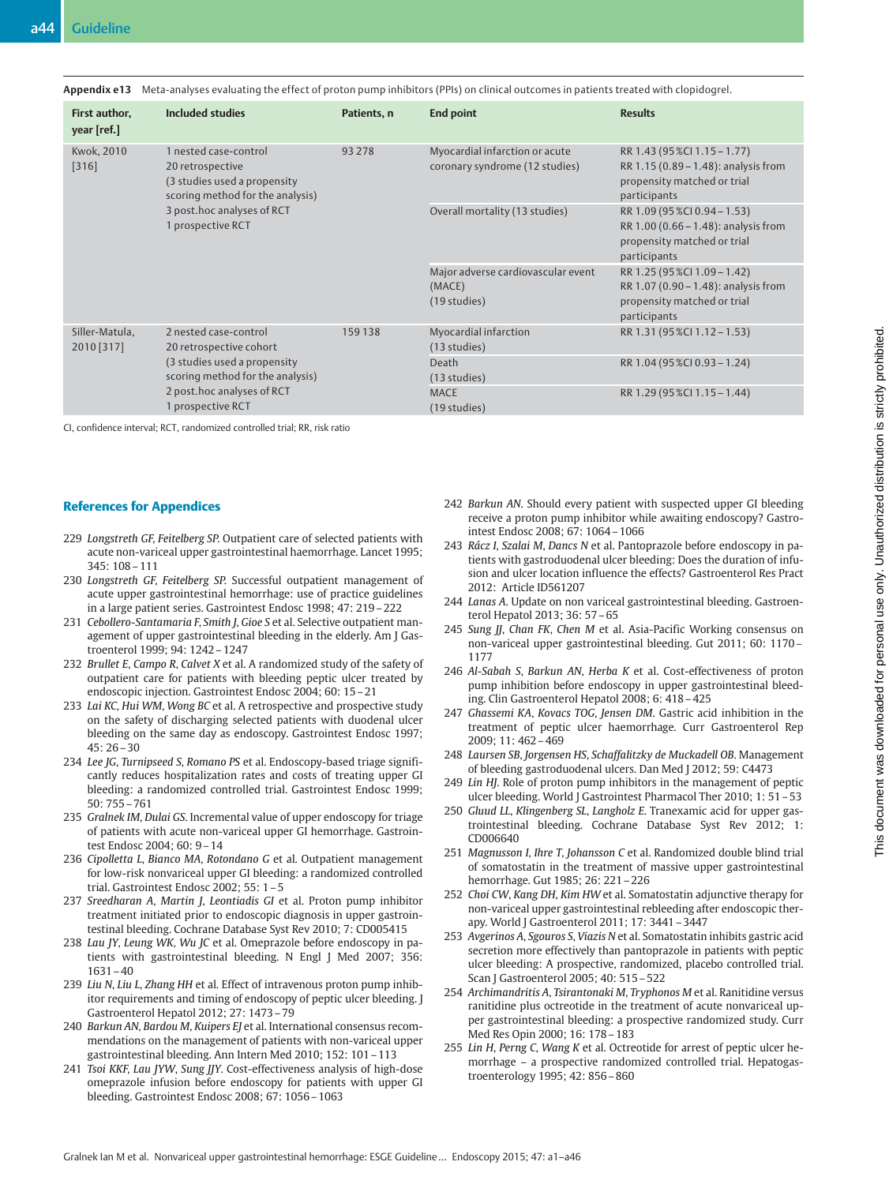|  | Appendix e13 Meta-analyses evaluating the effect of proton pump inhibitors (PPIs) on clinical outcomes in patients treated with clopidogrel. |
|--|----------------------------------------------------------------------------------------------------------------------------------------------|
|  |                                                                                                                                              |

| First author,<br>year [ref.] | Included studies                                                                                                                                                        | Patients, n | <b>End point</b>                                                 | <b>Results</b>                                                                                                      |
|------------------------------|-------------------------------------------------------------------------------------------------------------------------------------------------------------------------|-------------|------------------------------------------------------------------|---------------------------------------------------------------------------------------------------------------------|
| <b>Kwok, 2010</b><br>[316]   | 1 nested case-control<br>20 retrospective<br>(3 studies used a propensity<br>scoring method for the analysis)<br>3 post.hoc analyses of RCT<br>1 prospective RCT        | 93 278      | Myocardial infarction or acute<br>coronary syndrome (12 studies) | RR 1.43 (95 %Cl 1.15 - 1.77)<br>RR 1.15 (0.89 - 1.48): analysis from<br>propensity matched or trial<br>participants |
|                              |                                                                                                                                                                         |             | Overall mortality (13 studies)                                   | RR 1.09 (95 %CI 0.94 - 1.53)<br>RR 1.00 (0.66 - 1.48): analysis from<br>propensity matched or trial<br>participants |
|                              |                                                                                                                                                                         |             | Major adverse cardiovascular event<br>(MACE)<br>(19 studies)     | RR 1.25 (95 %Cl 1.09 - 1.42)<br>RR 1.07 (0.90 – 1.48): analysis from<br>propensity matched or trial<br>participants |
| Siller-Matula,<br>2010 [317] | 2 nested case-control<br>20 retrospective cohort<br>(3 studies used a propensity<br>scoring method for the analysis)<br>2 post.hoc analyses of RCT<br>1 prospective RCT | 159138      | Myocardial infarction<br>(13 studies)                            | RR 1.31 (95 %Cl 1.12 - 1.53)                                                                                        |
|                              |                                                                                                                                                                         |             | Death<br>(13 studies)                                            | RR 1.04 (95 %CI 0.93 - 1.24)                                                                                        |
|                              |                                                                                                                                                                         |             | <b>MACE</b><br>(19 studies)                                      | RR 1.29 (95 %Cl 1.15 - 1.44)                                                                                        |

CI, confidence interval; RCT, randomized controlled trial; RR, risk ratio

#### References for Appendices

- 229 Longstreth GF, Feitelberg SP. Outpatient care of selected patients with acute non-variceal upper gastrointestinal haemorrhage. Lancet 1995;  $345:108 - 111$
- 230 Longstreth GF, Feitelberg SP. Successful outpatient management of acute upper gastrointestinal hemorrhage: use of practice guidelines in a large patient series. Gastrointest Endosc 1998; 47: 219–222
- 231 Cebollero-Santamaria F, Smith J, Gioe S et al. Selective outpatient management of upper gastrointestinal bleeding in the elderly. Am J Gastroenterol 1999; 94: 1242–1247
- 232 Brullet E, Campo R, Calvet X et al. A randomized study of the safety of outpatient care for patients with bleeding peptic ulcer treated by endoscopic injection. Gastrointest Endosc 2004; 60: 15–21
- 233 Lai KC, Hui WM, Wong BC et al. A retrospective and prospective study on the safety of discharging selected patients with duodenal ulcer bleeding on the same day as endoscopy. Gastrointest Endosc 1997;  $45:76-30$
- 234 Lee JG, Turnipseed S, Romano PS et al. Endoscopy-based triage significantly reduces hospitalization rates and costs of treating upper GI bleeding: a randomized controlled trial. Gastrointest Endosc 1999; 50: 755–761
- 235 Gralnek IM, Dulai GS. Incremental value of upper endoscopy for triage of patients with acute non-variceal upper GI hemorrhage. Gastrointest Endosc 2004; 60: 9–14
- 236 Cipolletta L, Bianco MA, Rotondano G et al. Outpatient management for low-risk nonvariceal upper GI bleeding: a randomized controlled trial. Gastrointest Endosc 2002; 55: 1–5
- 237 Sreedharan A, Martin J, Leontiadis GI et al. Proton pump inhibitor treatment initiated prior to endoscopic diagnosis in upper gastrointestinal bleeding. Cochrane Database Syst Rev 2010; 7: CD005415
- 238 Lau JY, Leung WK, Wu JC et al. Omeprazole before endoscopy in patients with gastrointestinal bleeding. N Engl J Med 2007; 356: 1631–40
- 239 Liu N, Liu L, Zhang HH et al. Effect of intravenous proton pump inhibitor requirements and timing of endoscopy of peptic ulcer bleeding. J Gastroenterol Hepatol 2012; 27: 1473–79
- 240 Barkun AN, Bardou M, Kuipers EJ et al. International consensus recommendations on the management of patients with non-variceal upper gastrointestinal bleeding. Ann Intern Med 2010; 152: 101–113
- 241 Tsoi KKF, Lau JYW, Sung JJY. Cost-effectiveness analysis of high-dose omeprazole infusion before endoscopy for patients with upper GI bleeding. Gastrointest Endosc 2008; 67: 1056–1063
- 242 Barkun AN. Should every patient with suspected upper GI bleeding receive a proton pump inhibitor while awaiting endoscopy? Gastrointest Endosc 2008; 67: 1064–1066
- 243 Rácz I, Szalai M, Dancs N et al. Pantoprazole before endoscopy in patients with gastroduodenal ulcer bleeding: Does the duration of infusion and ulcer location influence the effects? Gastroenterol Res Pract 2012: Article ID561207
- 244 Lanas A. Update on non variceal gastrointestinal bleeding. Gastroenterol Hepatol 2013; 36: 57–65
- 245 Sung JJ, Chan FK, Chen M et al. Asia-Pacific Working consensus on non-variceal upper gastrointestinal bleeding. Gut 2011; 60: 1170– 1177
- 246 Al-Sabah S, Barkun AN, Herba K et al. Cost-effectiveness of proton pump inhibition before endoscopy in upper gastrointestinal bleeding. Clin Gastroenterol Hepatol 2008; 6: 418–425
- 247 Ghassemi KA, Kovacs TOG, Jensen DM. Gastric acid inhibition in the treatment of peptic ulcer haemorrhage. Curr Gastroenterol Rep 2009; 11: 462–469
- 248 Laursen SB, Jorgensen HS, Schaffalitzky de Muckadell OB. Management of bleeding gastroduodenal ulcers. Dan Med J 2012; 59: C4473
- 249 Lin HJ. Role of proton pump inhibitors in the management of peptic ulcer bleeding. World J Gastrointest Pharmacol Ther 2010; 1: 51–53
- 250 Gluud LL, Klingenberg SL, Langholz E. Tranexamic acid for upper gastrointestinal bleeding. Cochrane Database Syst Rev 2012; 1: CD006640
- 251 Magnusson I, Ihre T, Johansson C et al. Randomized double blind trial of somatostatin in the treatment of massive upper gastrointestinal hemorrhage. Gut 1985; 26: 221–226
- 252 Choi CW, Kang DH, Kim HW et al. Somatostatin adjunctive therapy for non-variceal upper gastrointestinal rebleeding after endoscopic therapy. World J Gastroenterol 2011; 17: 3441–3447
- 253 Avgerinos A, Sgouros S, Viazis N et al. Somatostatin inhibits gastric acid secretion more effectively than pantoprazole in patients with peptic ulcer bleeding: A prospective, randomized, placebo controlled trial. Scan J Gastroenterol 2005; 40: 515–522
- 254 Archimandritis A, Tsirantonaki M, Tryphonos M et al. Ranitidine versus ranitidine plus octreotide in the treatment of acute nonvariceal upper gastrointestinal bleeding: a prospective randomized study. Curr Med Res Opin 2000; 16: 178–183
- 255 Lin H, Perng C, Wang K et al. Octreotide for arrest of peptic ulcer hemorrhage – a prospective randomized controlled trial. Hepatogastroenterology 1995; 42: 856–860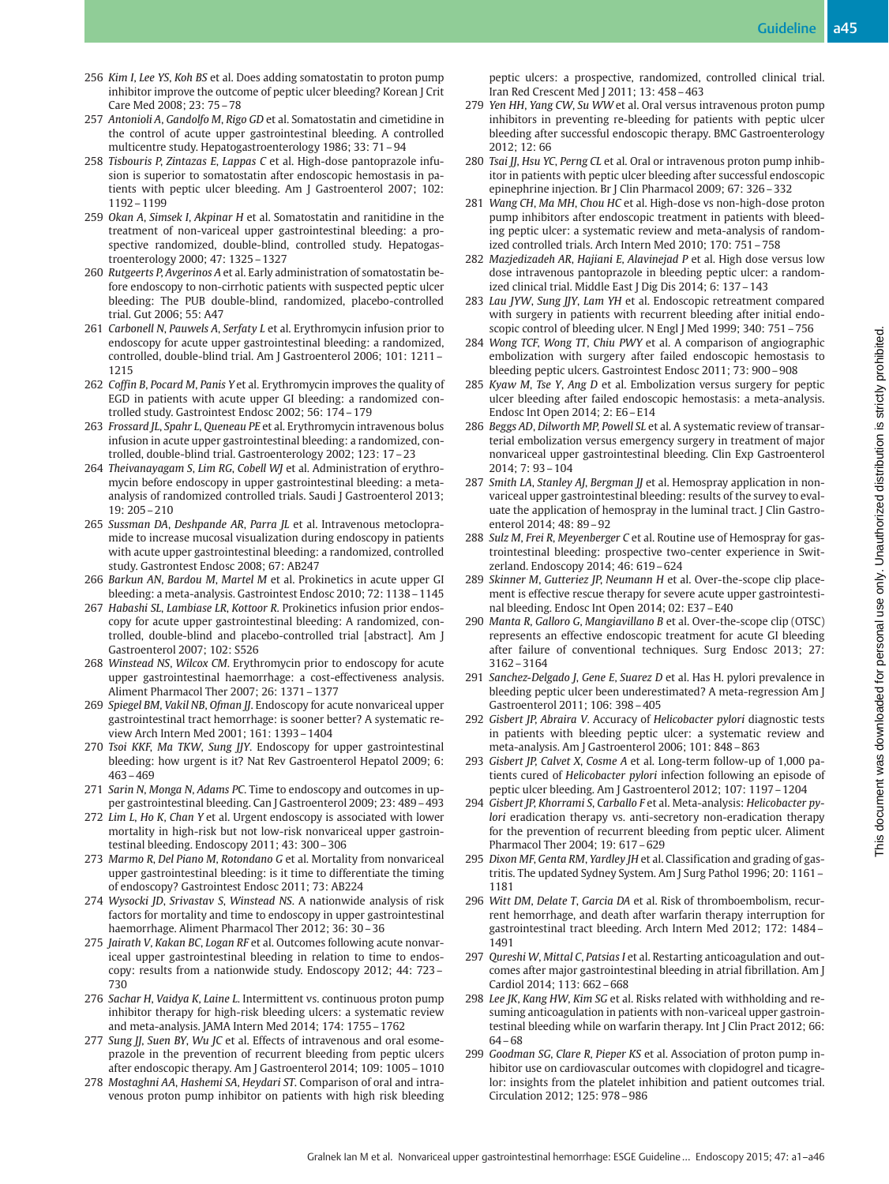- 256 Kim I, Lee YS, Koh BS et al. Does adding somatostatin to proton pump inhibitor improve the outcome of peptic ulcer bleeding? Korean J Crit Care Med 2008; 23: 75–78
- 257 Antonioli A, Gandolfo M, Rigo GD et al. Somatostatin and cimetidine in the control of acute upper gastrointestinal bleeding. A controlled multicentre study. Hepatogastroenterology 1986; 33: 71–94
- 258 Tisbouris P, Zintazas E, Lappas C et al. High-dose pantoprazole infusion is superior to somatostatin after endoscopic hemostasis in patients with peptic ulcer bleeding. Am J Gastroenterol 2007; 102: 1192–1199
- 259 Okan A, Simsek I, Akpinar H et al. Somatostatin and ranitidine in the treatment of non-variceal upper gastrointestinal bleeding: a prospective randomized, double-blind, controlled study. Hepatogastroenterology 2000; 47: 1325–1327
- 260 Rutgeerts P, Avgerinos A et al. Early administration of somatostatin before endoscopy to non-cirrhotic patients with suspected peptic ulcer bleeding: The PUB double-blind, randomized, placebo-controlled trial. Gut 2006; 55: A47
- 261 Carbonell N, Pauwels A, Serfaty L et al. Erythromycin infusion prior to endoscopy for acute upper gastrointestinal bleeding: a randomized, controlled, double-blind trial. Am J Gastroenterol 2006; 101: 1211– 1215
- 262 Coffin B, Pocard M, Panis Y et al. Erythromycin improves the quality of EGD in patients with acute upper GI bleeding: a randomized controlled study. Gastrointest Endosc 2002; 56: 174–179
- 263 Frossard JL, Spahr L, Queneau PE et al. Erythromycin intravenous bolus infusion in acute upper gastrointestinal bleeding: a randomized, controlled, double-blind trial. Gastroenterology 2002; 123: 17–23
- 264 Theivanayagam S, Lim RG, Cobell WJ et al. Administration of erythromycin before endoscopy in upper gastrointestinal bleeding: a metaanalysis of randomized controlled trials. Saudi J Gastroenterol 2013; 19: 205–210
- 265 Sussman DA, Deshpande AR, Parra JL et al. Intravenous metoclopramide to increase mucosal visualization during endoscopy in patients with acute upper gastrointestinal bleeding: a randomized, controlled study. Gastrontest Endosc 2008; 67: AB247
- 266 Barkun AN, Bardou M, Martel M et al. Prokinetics in acute upper GI bleeding: a meta-analysis. Gastrointest Endosc 2010; 72: 1138–1145
- 267 Habashi SL, Lambiase LR, Kottoor R. Prokinetics infusion prior endoscopy for acute upper gastrointestinal bleeding: A randomized, controlled, double-blind and placebo-controlled trial [abstract]. Am J Gastroenterol 2007; 102: S526
- 268 Winstead NS, Wilcox CM. Erythromycin prior to endoscopy for acute upper gastrointestinal haemorrhage: a cost-effectiveness analysis. Aliment Pharmacol Ther 2007; 26: 1371–1377
- 269 Spiegel BM, Vakil NB, Ofman JJ. Endoscopy for acute nonvariceal upper gastrointestinal tract hemorrhage: is sooner better? A systematic review Arch Intern Med 2001; 161: 1393–1404
- 270 Tsoi KKF, Ma TKW, Sung JJY. Endoscopy for upper gastrointestinal bleeding: how urgent is it? Nat Rev Gastroenterol Hepatol 2009; 6: 463–469
- 271 Sarin N, Monga N, Adams PC. Time to endoscopy and outcomes in upper gastrointestinal bleeding. Can J Gastroenterol 2009; 23: 489–493
- 272 Lim L, Ho K, Chan Y et al. Urgent endoscopy is associated with lower mortality in high-risk but not low-risk nonvariceal upper gastrointestinal bleeding. Endoscopy 2011; 43: 300–306
- 273 Marmo R, Del Piano M, Rotondano G et al. Mortality from nonvariceal upper gastrointestinal bleeding: is it time to differentiate the timing of endoscopy? Gastrointest Endosc 2011; 73: AB224
- 274 Wysocki JD, Srivastav S, Winstead NS. A nationwide analysis of risk factors for mortality and time to endoscopy in upper gastrointestinal haemorrhage. Aliment Pharmacol Ther 2012; 36: 30–36
- 275 Jairath V, Kakan BC, Logan RF et al. Outcomes following acute nonvariceal upper gastrointestinal bleeding in relation to time to endoscopy: results from a nationwide study. Endoscopy 2012; 44: 723– 730
- 276 Sachar H, Vaidya K, Laine L. Intermittent vs. continuous proton pump inhibitor therapy for high-risk bleeding ulcers: a systematic review and meta-analysis. JAMA Intern Med 2014; 174: 1755–1762
- 277 Sung JJ, Suen BY, Wu JC et al. Effects of intravenous and oral esomeprazole in the prevention of recurrent bleeding from peptic ulcers after endoscopic therapy. Am J Gastroenterol 2014; 109: 1005–1010
- 278 Mostaghni AA, Hashemi SA, Heydari ST. Comparison of oral and intravenous proton pump inhibitor on patients with high risk bleeding

peptic ulcers: a prospective, randomized, controlled clinical trial. Iran Red Crescent Med J 2011; 13: 458–463

- 279 Yen HH, Yang CW, Su WW et al. Oral versus intravenous proton pump inhibitors in preventing re-bleeding for patients with peptic ulcer bleeding after successful endoscopic therapy. BMC Gastroenterology 2012; 12: 66
- 280 Tsai JJ, Hsu YC, Perng CL et al. Oral or intravenous proton pump inhibitor in patients with peptic ulcer bleeding after successful endoscopic epinephrine injection. Br J Clin Pharmacol 2009; 67: 326–332
- 281 Wang CH, Ma MH, Chou HC et al. High-dose vs non-high-dose proton pump inhibitors after endoscopic treatment in patients with bleeding peptic ulcer: a systematic review and meta-analysis of randomized controlled trials. Arch Intern Med 2010; 170: 751–758
- 282 Mazjedizadeh AR, Hajiani E, Alavinejad P et al. High dose versus low dose intravenous pantoprazole in bleeding peptic ulcer: a randomized clinical trial. Middle East J Dig Dis 2014; 6: 137–143
- 283 Lau JYW, Sung JJY, Lam YH et al. Endoscopic retreatment compared with surgery in patients with recurrent bleeding after initial endoscopic control of bleeding ulcer. N Engl J Med 1999; 340: 751–756
- 284 Wong TCF, Wong TT, Chiu PWY et al. A comparison of angiographic embolization with surgery after failed endoscopic hemostasis to bleeding peptic ulcers. Gastrointest Endosc 2011; 73: 900–908
- 285 Kyaw M, Tse Y, Ang D et al. Embolization versus surgery for peptic ulcer bleeding after failed endoscopic hemostasis: a meta-analysis. Endosc Int Open 2014; 2: E6–E14
- 286 Beggs AD, Dilworth MP, Powell SL et al. A systematic review of transarterial embolization versus emergency surgery in treatment of major nonvariceal upper gastrointestinal bleeding. Clin Exp Gastroenterol 2014; 7: 93–104
- 287 Smith LA, Stanley AJ, Bergman JJ et al. Hemospray application in nonvariceal upper gastrointestinal bleeding: results of the survey to evaluate the application of hemospray in the luminal tract. J Clin Gastroenterol 2014; 48: 89–92
- 288 Sulz M, Frei R, Meyenberger C et al. Routine use of Hemospray for gastrointestinal bleeding: prospective two-center experience in Switzerland. Endoscopy 2014; 46: 619–624
- 289 Skinner M, Gutteriez JP, Neumann H et al. Over-the-scope clip placement is effective rescue therapy for severe acute upper gastrointestinal bleeding. Endosc Int Open 2014; 02: E37–E40
- 290 Manta R, Galloro G, Mangiavillano B et al. Over-the-scope clip (OTSC) represents an effective endoscopic treatment for acute GI bleeding after failure of conventional techniques. Surg Endosc 2013; 27: 3162–3164
- 291 Sanchez-Delgado J, Gene E, Suarez D et al. Has H. pylori prevalence in bleeding peptic ulcer been underestimated? A meta-regression Am J Gastroenterol 2011; 106: 398–405
- 292 Gisbert JP, Abraira V. Accuracy of Helicobacter pylori diagnostic tests in patients with bleeding peptic ulcer: a systematic review and meta-analysis. Am J Gastroenterol 2006; 101: 848–863
- 293 Gisbert JP, Calvet X, Cosme A et al. Long-term follow-up of 1,000 patients cured of Helicobacter pylori infection following an episode of peptic ulcer bleeding. Am J Gastroenterol 2012; 107: 1197–1204
- 294 Gisbert JP, Khorrami S, Carballo F et al. Meta-analysis: Helicobacter pylori eradication therapy vs. anti-secretory non-eradication therapy for the prevention of recurrent bleeding from peptic ulcer. Aliment Pharmacol Ther 2004; 19: 617–629
- 295 Dixon MF, Genta RM, Yardley JH et al. Classification and grading of gastritis. The updated Sydney System. Am J Surg Pathol 1996; 20: 1161– 1181
- 296 Witt DM, Delate T, Garcia DA et al. Risk of thromboembolism, recurrent hemorrhage, and death after warfarin therapy interruption for gastrointestinal tract bleeding. Arch Intern Med 2012; 172: 1484– 1491
- 297 Qureshi W, Mittal C, Patsias I et al. Restarting anticoagulation and outcomes after major gastrointestinal bleeding in atrial fibrillation. Am J Cardiol 2014; 113: 662–668
- 298 Lee JK, Kang HW, Kim SG et al. Risks related with withholding and resuming anticoagulation in patients with non-variceal upper gastrointestinal bleeding while on warfarin therapy. Int J Clin Pract 2012; 66: 64–68
- 299 Goodman SG, Clare R, Pieper KS et al. Association of proton pump inhibitor use on cardiovascular outcomes with clopidogrel and ticagrelor: insights from the platelet inhibition and patient outcomes trial. Circulation 2012; 125: 978–986